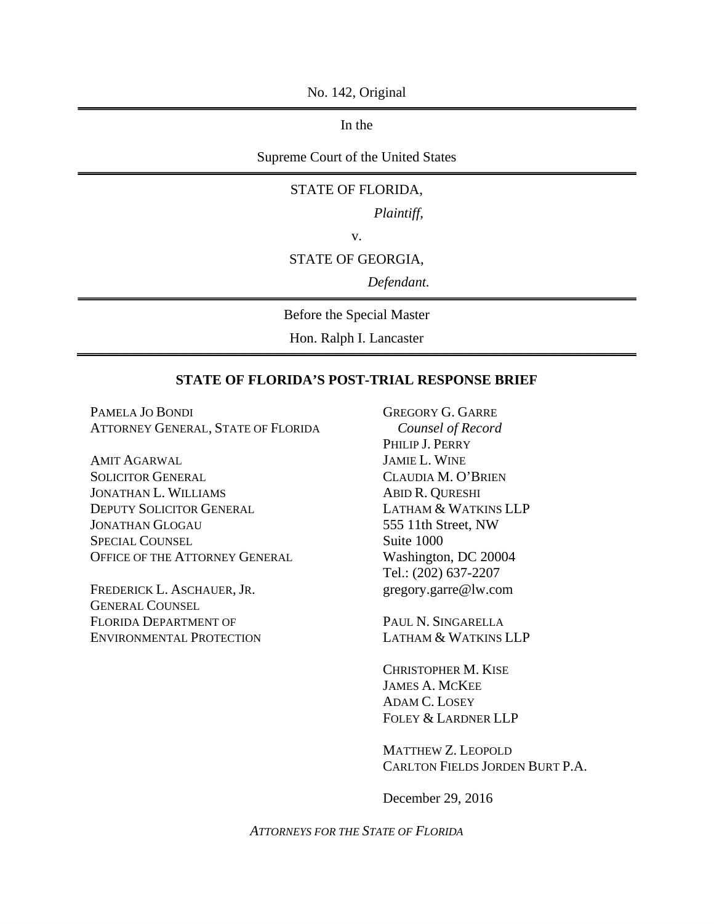No. 142, Original

In the

Supreme Court of the United States

### STATE OF FLORIDA,

*Plaintiff,*

v.

#### STATE OF GEORGIA,

*Defendant.*

Before the Special Master

Hon. Ralph I. Lancaster

## **STATE OF FLORIDA'S POST-TRIAL RESPONSE BRIEF**

PAMELA JO BONDI ATTORNEY GENERAL, STATE OF FLORIDA

AMIT AGARWAL SOLICITOR GENERAL JONATHAN L. WILLIAMS DEPUTY SOLICITOR GENERAL JONATHAN GLOGAU SPECIAL COUNSEL OFFICE OF THE ATTORNEY GENERAL

FREDERICK L. ASCHAUER, JR. GENERAL COUNSEL FLORIDA DEPARTMENT OF ENVIRONMENTAL PROTECTION GREGORY G. GARRE *Counsel of Record* PHILIP J. PERRY JAMIE L. WINE CLAUDIA M. O'BRIEN ABID R. QURESHI LATHAM & WATKINS LLP 555 11th Street, NW Suite 1000 Washington, DC 20004 Tel.: (202) 637-2207 gregory.garre@lw.com

PAUL N. SINGARELLA LATHAM & WATKINS LLP

CHRISTOPHER M. KISE JAMES A. MCKEE ADAM C. LOSEY FOLEY & LARDNER LLP

MATTHEW Z. LEOPOLD CARLTON FIELDS JORDEN BURT P.A.

December 29, 2016

*ATTORNEYS FOR THE STATE OF FLORIDA*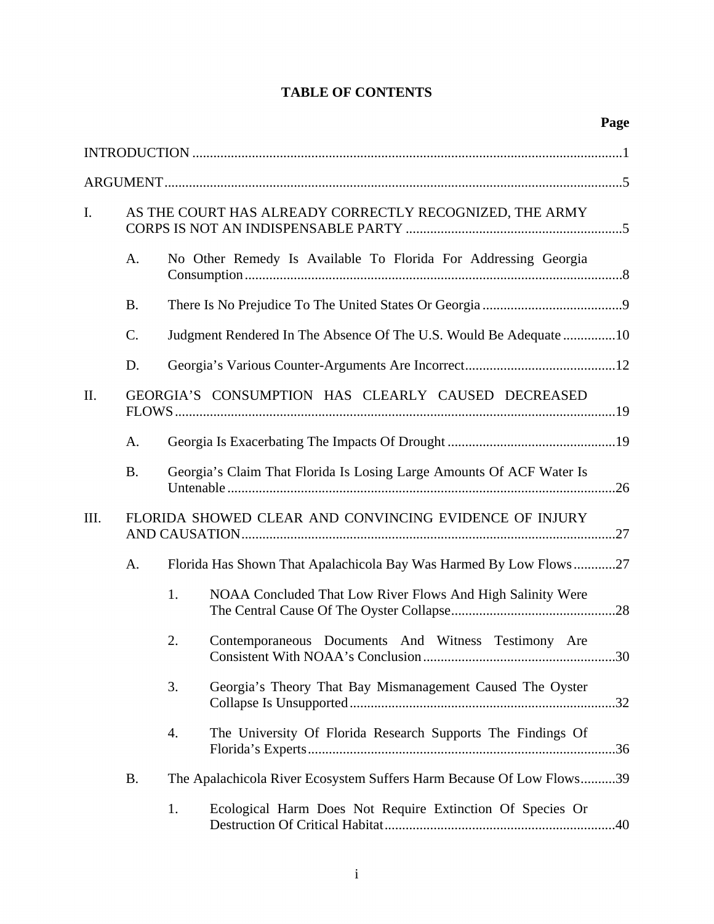# **TABLE OF CONTENTS**

| I.   |                 |    | AS THE COURT HAS ALREADY CORRECTLY RECOGNIZED, THE ARMY              |  |
|------|-----------------|----|----------------------------------------------------------------------|--|
|      | A.              |    | No Other Remedy Is Available To Florida For Addressing Georgia       |  |
|      | <b>B.</b>       |    |                                                                      |  |
|      | $\mathcal{C}$ . |    | Judgment Rendered In The Absence Of The U.S. Would Be Adequate 10    |  |
|      | D.              |    |                                                                      |  |
| II.  |                 |    | GEORGIA'S CONSUMPTION HAS CLEARLY CAUSED DECREASED                   |  |
|      | A.              |    |                                                                      |  |
|      | <b>B.</b>       |    | Georgia's Claim That Florida Is Losing Large Amounts Of ACF Water Is |  |
| III. |                 |    | FLORIDA SHOWED CLEAR AND CONVINCING EVIDENCE OF INJURY               |  |
|      | A.              |    | Florida Has Shown That Apalachicola Bay Was Harmed By Low Flows27    |  |
|      |                 | 1. | NOAA Concluded That Low River Flows And High Salinity Were           |  |
|      |                 | 2. | Contemporaneous Documents And Witness Testimony Are                  |  |
|      |                 | 3. | Georgia's Theory That Bay Mismanagement Caused The Oyster            |  |
|      |                 | 4. | The University Of Florida Research Supports The Findings Of          |  |
|      | <b>B.</b>       |    | The Apalachicola River Ecosystem Suffers Harm Because Of Low Flows39 |  |
|      |                 | 1. | Ecological Harm Does Not Require Extinction Of Species Or            |  |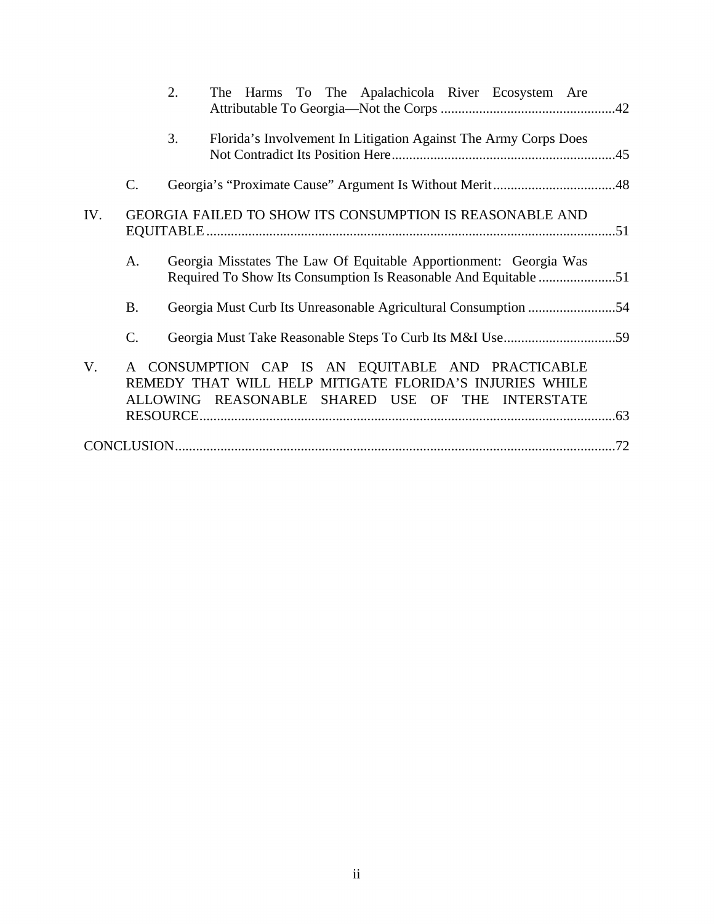|     |                 | 2.<br>The Harms To The Apalachicola River Ecosystem Are                                                                                                          |  |
|-----|-----------------|------------------------------------------------------------------------------------------------------------------------------------------------------------------|--|
|     |                 | 3.<br>Florida's Involvement In Litigation Against The Army Corps Does                                                                                            |  |
|     | $\mathcal{C}$ . |                                                                                                                                                                  |  |
| IV. |                 | <b>GEORGIA FAILED TO SHOW ITS CONSUMPTION IS REASONABLE AND</b>                                                                                                  |  |
|     | A.              | Georgia Misstates The Law Of Equitable Apportionment: Georgia Was                                                                                                |  |
|     | <b>B.</b>       |                                                                                                                                                                  |  |
|     | $\mathcal{C}$ . |                                                                                                                                                                  |  |
| V.  |                 | A CONSUMPTION CAP IS AN EQUITABLE AND PRACTICABLE<br>REMEDY THAT WILL HELP MITIGATE FLORIDA'S INJURIES WHILE<br>ALLOWING REASONABLE SHARED USE OF THE INTERSTATE |  |
|     |                 |                                                                                                                                                                  |  |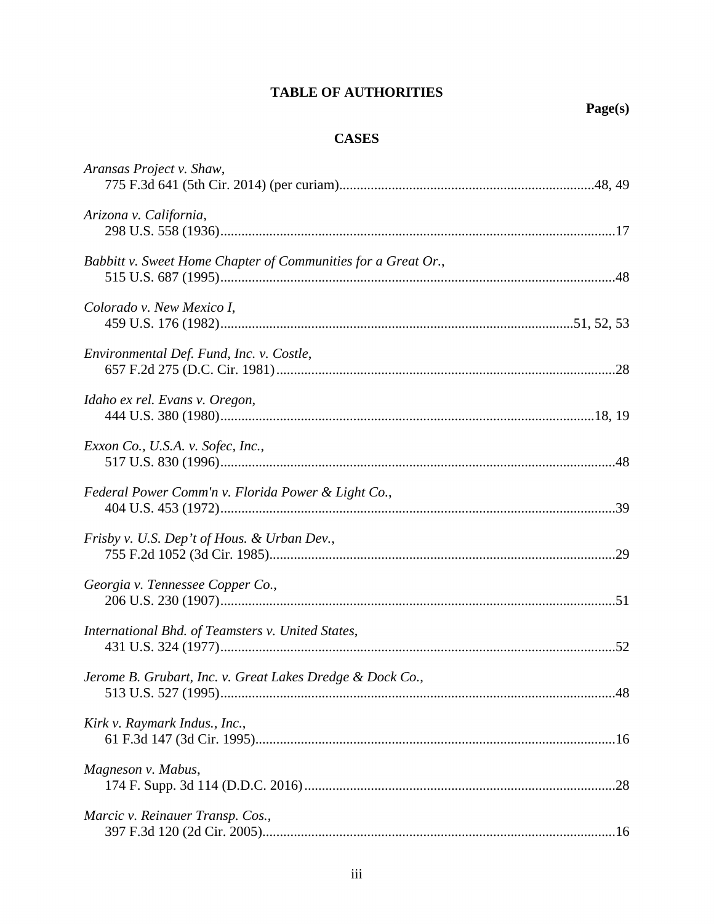## **TABLE OF AUTHORITIES**

## **CASES**

| Aransas Project v. Shaw,                                      |  |
|---------------------------------------------------------------|--|
| Arizona v. California,                                        |  |
| Babbitt v. Sweet Home Chapter of Communities for a Great Or., |  |
| Colorado v. New Mexico I,                                     |  |
| Environmental Def. Fund, Inc. v. Costle,                      |  |
| Idaho ex rel. Evans v. Oregon,                                |  |
| Exxon Co., U.S.A. v. Sofec, Inc.,                             |  |
| Federal Power Comm'n v. Florida Power & Light Co.,            |  |
| Frisby v. U.S. Dep't of Hous. & Urban Dev.,                   |  |
| Georgia v. Tennessee Copper Co.,                              |  |
| International Bhd. of Teamsters v. United States,             |  |
| Jerome B. Grubart, Inc. v. Great Lakes Dredge & Dock Co.,     |  |
| Kirk v. Raymark Indus., Inc.,                                 |  |
| Magneson v. Mabus,                                            |  |
| Marcic v. Reinauer Transp. Cos.,                              |  |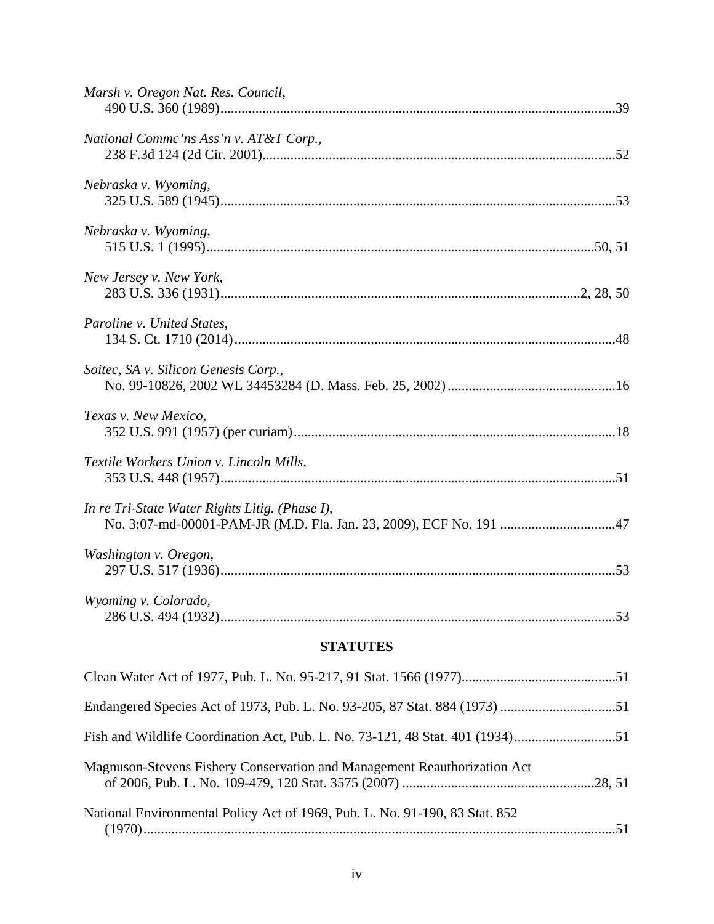| Marsh v. Oregon Nat. Res. Council,             |  |
|------------------------------------------------|--|
| National Commc'ns Ass'n v. AT&T Corp.,         |  |
| Nebraska v. Wyoming,                           |  |
| Nebraska v. Wyoming,                           |  |
| New Jersey v. New York,                        |  |
| Paroline v. United States,                     |  |
| Soitec, SA v. Silicon Genesis Corp.,           |  |
| Texas v. New Mexico,                           |  |
| Textile Workers Union v. Lincoln Mills,        |  |
| In re Tri-State Water Rights Litig. (Phase I), |  |
| Washington v. Oregon,                          |  |
| Wyoming v. Colorado,                           |  |

# **STATUTES**

| Magnuson-Stevens Fishery Conservation and Management Reauthorization Act    |  |
|-----------------------------------------------------------------------------|--|
| National Environmental Policy Act of 1969, Pub. L. No. 91-190, 83 Stat. 852 |  |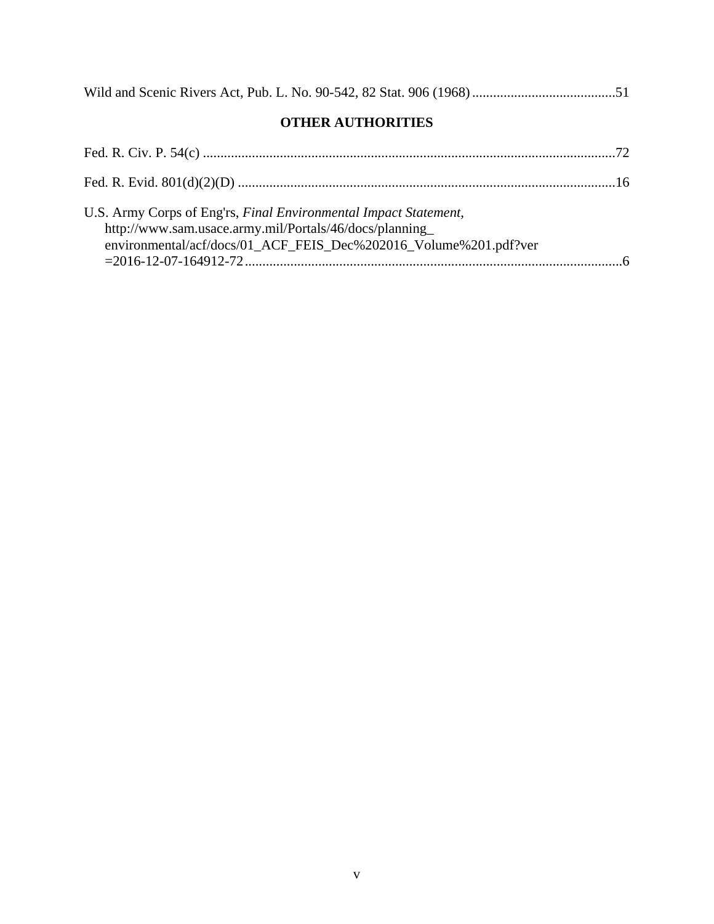|--|--|--|--|

# **OTHER AUTHORITIES**

| U.S. Army Corps of Eng'rs, Final Environmental Impact Statement,<br>http://www.sam.usace.army.mil/Portals/46/docs/planning<br>environmental/acf/docs/01_ACF_FEIS_Dec%202016_Volume%201.pdf?ver |  |
|------------------------------------------------------------------------------------------------------------------------------------------------------------------------------------------------|--|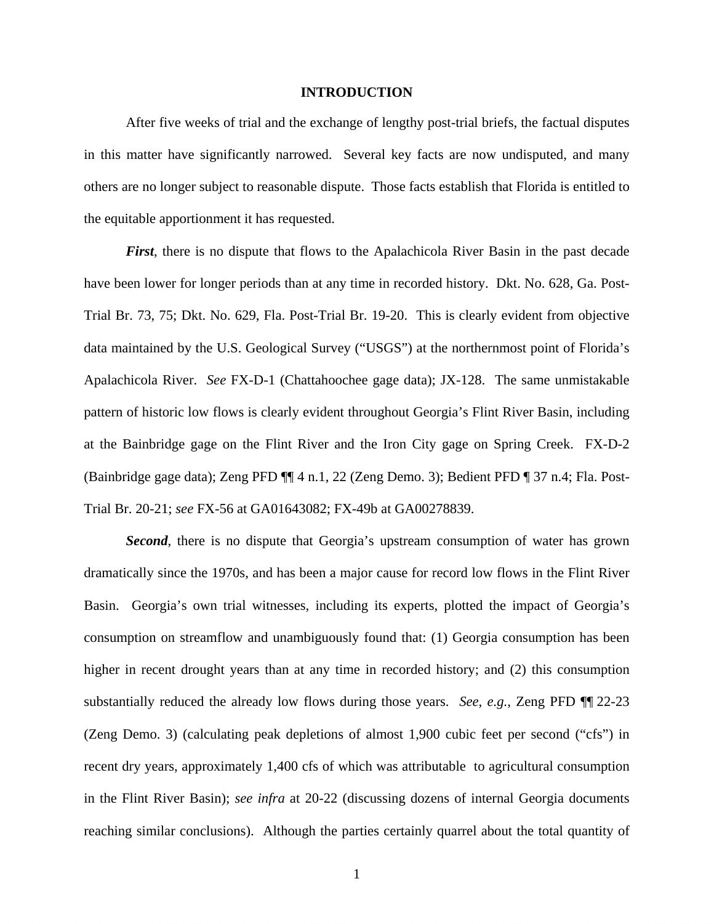#### **INTRODUCTION**

After five weeks of trial and the exchange of lengthy post-trial briefs, the factual disputes in this matter have significantly narrowed. Several key facts are now undisputed, and many others are no longer subject to reasonable dispute. Those facts establish that Florida is entitled to the equitable apportionment it has requested.

*First*, there is no dispute that flows to the Apalachicola River Basin in the past decade have been lower for longer periods than at any time in recorded history. Dkt. No. 628, Ga. Post-Trial Br. 73, 75; Dkt. No. 629, Fla. Post-Trial Br. 19-20. This is clearly evident from objective data maintained by the U.S. Geological Survey ("USGS") at the northernmost point of Florida's Apalachicola River. *See* FX-D-1 (Chattahoochee gage data); JX-128. The same unmistakable pattern of historic low flows is clearly evident throughout Georgia's Flint River Basin, including at the Bainbridge gage on the Flint River and the Iron City gage on Spring Creek. FX-D-2 (Bainbridge gage data); Zeng PFD ¶¶ 4 n.1, 22 (Zeng Demo. 3); Bedient PFD ¶ 37 n.4; Fla. Post-Trial Br. 20-21; *see* FX-56 at GA01643082; FX-49b at GA00278839.

**Second**, there is no dispute that Georgia's upstream consumption of water has grown dramatically since the 1970s, and has been a major cause for record low flows in the Flint River Basin. Georgia's own trial witnesses, including its experts, plotted the impact of Georgia's consumption on streamflow and unambiguously found that: (1) Georgia consumption has been higher in recent drought years than at any time in recorded history; and (2) this consumption substantially reduced the already low flows during those years. *See*, *e.g.*, Zeng PFD ¶¶ 22-23 (Zeng Demo. 3) (calculating peak depletions of almost 1,900 cubic feet per second ("cfs") in recent dry years, approximately 1,400 cfs of which was attributable to agricultural consumption in the Flint River Basin); *see infra* at 20-22 (discussing dozens of internal Georgia documents reaching similar conclusions). Although the parties certainly quarrel about the total quantity of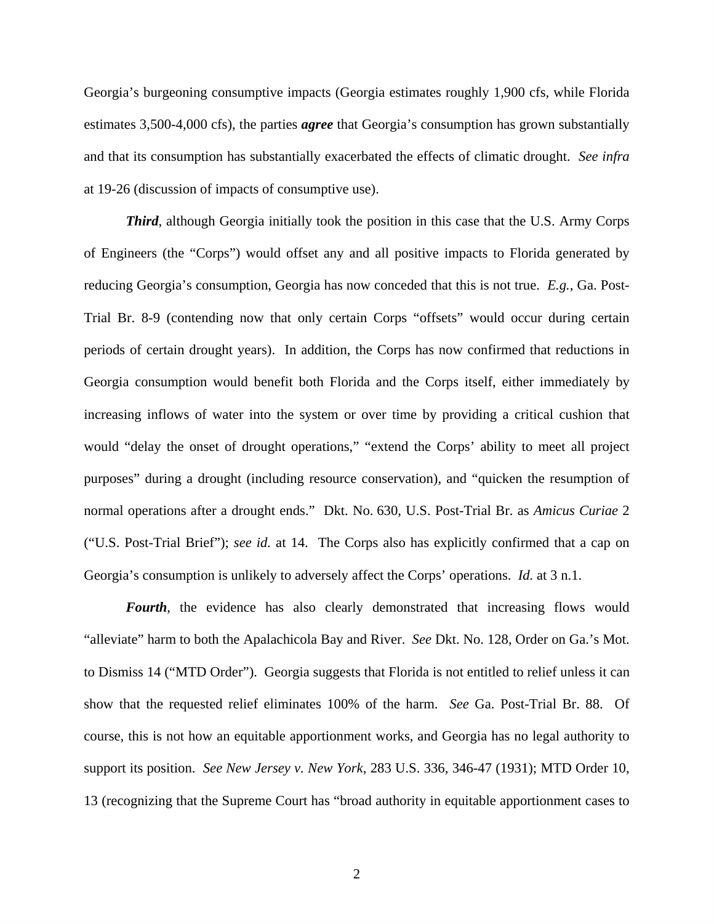Georgia's burgeoning consumptive impacts (Georgia estimates roughly 1,900 cfs, while Florida estimates 3,500-4,000 cfs), the parties *agree* that Georgia's consumption has grown substantially and that its consumption has substantially exacerbated the effects of climatic drought. *See infra*  at 19-26 (discussion of impacts of consumptive use).

*Third*, although Georgia initially took the position in this case that the U.S. Army Corps of Engineers (the "Corps") would offset any and all positive impacts to Florida generated by reducing Georgia's consumption, Georgia has now conceded that this is not true. *E.g.*, Ga. Post-Trial Br. 8-9 (contending now that only certain Corps "offsets" would occur during certain periods of certain drought years). In addition, the Corps has now confirmed that reductions in Georgia consumption would benefit both Florida and the Corps itself, either immediately by increasing inflows of water into the system or over time by providing a critical cushion that would "delay the onset of drought operations," "extend the Corps' ability to meet all project purposes" during a drought (including resource conservation), and "quicken the resumption of normal operations after a drought ends." Dkt. No. 630, U.S. Post-Trial Br. as *Amicus Curiae* 2 ("U.S. Post-Trial Brief"); *see id.* at 14. The Corps also has explicitly confirmed that a cap on Georgia's consumption is unlikely to adversely affect the Corps' operations. *Id.* at 3 n.1.

*Fourth*, the evidence has also clearly demonstrated that increasing flows would "alleviate" harm to both the Apalachicola Bay and River. *See* Dkt. No. 128, Order on Ga.'s Mot. to Dismiss 14 ("MTD Order"). Georgia suggests that Florida is not entitled to relief unless it can show that the requested relief eliminates 100% of the harm. *See* Ga. Post-Trial Br. 88. Of course, this is not how an equitable apportionment works, and Georgia has no legal authority to support its position. *See New Jersey v. New York*, 283 U.S. 336, 346-47 (1931); MTD Order 10, 13 (recognizing that the Supreme Court has "broad authority in equitable apportionment cases to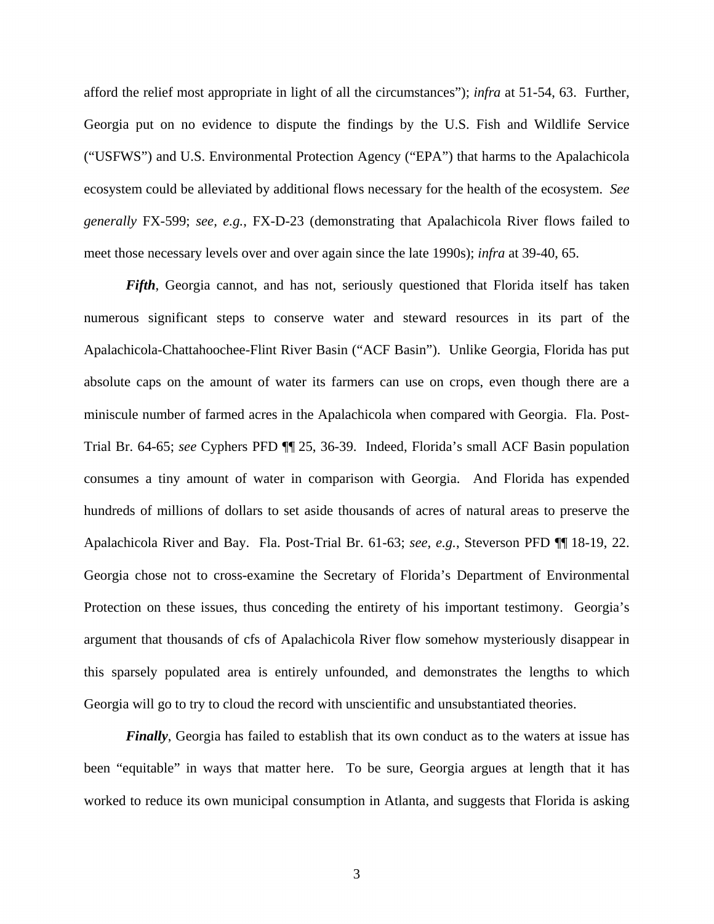afford the relief most appropriate in light of all the circumstances"); *infra* at 51-54, 63. Further, Georgia put on no evidence to dispute the findings by the U.S. Fish and Wildlife Service ("USFWS") and U.S. Environmental Protection Agency ("EPA") that harms to the Apalachicola ecosystem could be alleviated by additional flows necessary for the health of the ecosystem. *See generally* FX-599; *see, e.g.*, FX-D-23 (demonstrating that Apalachicola River flows failed to meet those necessary levels over and over again since the late 1990s); *infra* at 39-40, 65.

*Fifth*, Georgia cannot, and has not, seriously questioned that Florida itself has taken numerous significant steps to conserve water and steward resources in its part of the Apalachicola-Chattahoochee-Flint River Basin ("ACF Basin"). Unlike Georgia, Florida has put absolute caps on the amount of water its farmers can use on crops, even though there are a miniscule number of farmed acres in the Apalachicola when compared with Georgia. Fla. Post-Trial Br. 64-65; *see* Cyphers PFD ¶¶ 25, 36-39. Indeed, Florida's small ACF Basin population consumes a tiny amount of water in comparison with Georgia. And Florida has expended hundreds of millions of dollars to set aside thousands of acres of natural areas to preserve the Apalachicola River and Bay. Fla. Post-Trial Br. 61-63; *see, e.g.*, Steverson PFD ¶¶ 18-19, 22. Georgia chose not to cross-examine the Secretary of Florida's Department of Environmental Protection on these issues, thus conceding the entirety of his important testimony. Georgia's argument that thousands of cfs of Apalachicola River flow somehow mysteriously disappear in this sparsely populated area is entirely unfounded, and demonstrates the lengths to which Georgia will go to try to cloud the record with unscientific and unsubstantiated theories.

*Finally*, Georgia has failed to establish that its own conduct as to the waters at issue has been "equitable" in ways that matter here. To be sure, Georgia argues at length that it has worked to reduce its own municipal consumption in Atlanta, and suggests that Florida is asking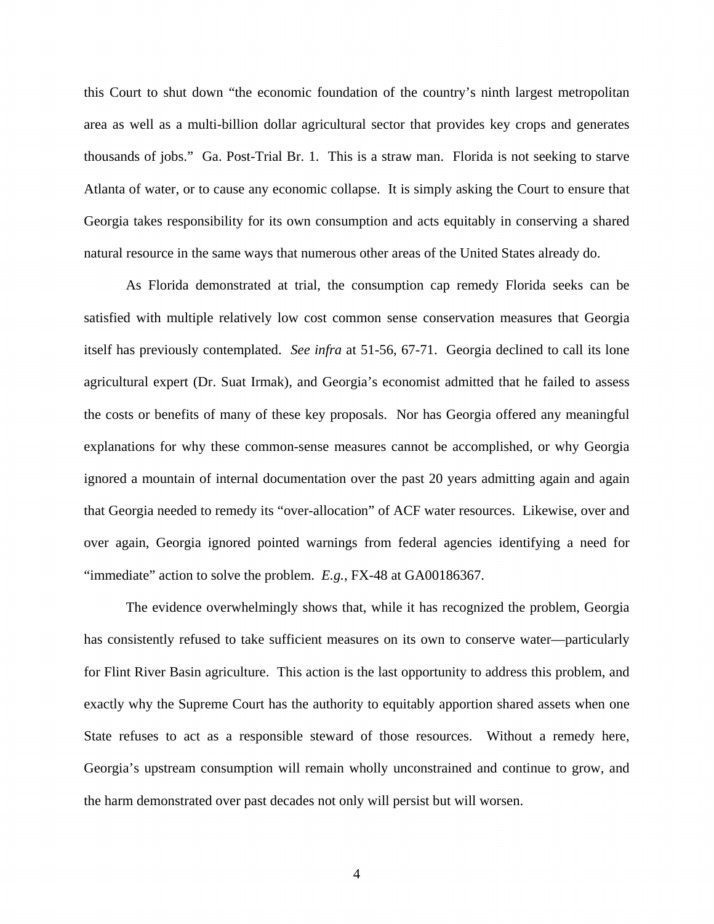this Court to shut down "the economic foundation of the country's ninth largest metropolitan area as well as a multi-billion dollar agricultural sector that provides key crops and generates thousands of jobs." Ga. Post-Trial Br. 1. This is a straw man. Florida is not seeking to starve Atlanta of water, or to cause any economic collapse. It is simply asking the Court to ensure that Georgia takes responsibility for its own consumption and acts equitably in conserving a shared natural resource in the same ways that numerous other areas of the United States already do.

As Florida demonstrated at trial, the consumption cap remedy Florida seeks can be satisfied with multiple relatively low cost common sense conservation measures that Georgia itself has previously contemplated. *See infra* at 51-56, 67-71. Georgia declined to call its lone agricultural expert (Dr. Suat Irmak), and Georgia's economist admitted that he failed to assess the costs or benefits of many of these key proposals. Nor has Georgia offered any meaningful explanations for why these common-sense measures cannot be accomplished, or why Georgia ignored a mountain of internal documentation over the past 20 years admitting again and again that Georgia needed to remedy its "over-allocation" of ACF water resources. Likewise, over and over again, Georgia ignored pointed warnings from federal agencies identifying a need for "immediate" action to solve the problem. *E.g.*, FX-48 at GA00186367.

The evidence overwhelmingly shows that, while it has recognized the problem, Georgia has consistently refused to take sufficient measures on its own to conserve water—particularly for Flint River Basin agriculture. This action is the last opportunity to address this problem, and exactly why the Supreme Court has the authority to equitably apportion shared assets when one State refuses to act as a responsible steward of those resources. Without a remedy here, Georgia's upstream consumption will remain wholly unconstrained and continue to grow, and the harm demonstrated over past decades not only will persist but will worsen.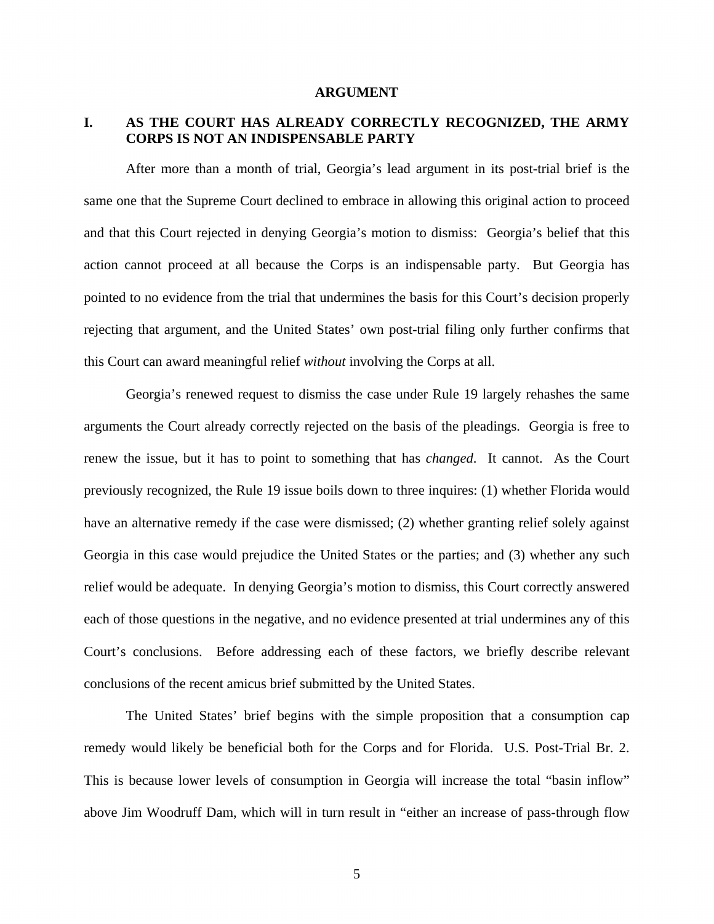#### **ARGUMENT**

## **I. AS THE COURT HAS ALREADY CORRECTLY RECOGNIZED, THE ARMY CORPS IS NOT AN INDISPENSABLE PARTY**

After more than a month of trial, Georgia's lead argument in its post-trial brief is the same one that the Supreme Court declined to embrace in allowing this original action to proceed and that this Court rejected in denying Georgia's motion to dismiss: Georgia's belief that this action cannot proceed at all because the Corps is an indispensable party. But Georgia has pointed to no evidence from the trial that undermines the basis for this Court's decision properly rejecting that argument, and the United States' own post-trial filing only further confirms that this Court can award meaningful relief *without* involving the Corps at all.

Georgia's renewed request to dismiss the case under Rule 19 largely rehashes the same arguments the Court already correctly rejected on the basis of the pleadings. Georgia is free to renew the issue, but it has to point to something that has *changed*. It cannot. As the Court previously recognized, the Rule 19 issue boils down to three inquires: (1) whether Florida would have an alternative remedy if the case were dismissed; (2) whether granting relief solely against Georgia in this case would prejudice the United States or the parties; and (3) whether any such relief would be adequate. In denying Georgia's motion to dismiss, this Court correctly answered each of those questions in the negative, and no evidence presented at trial undermines any of this Court's conclusions. Before addressing each of these factors, we briefly describe relevant conclusions of the recent amicus brief submitted by the United States.

The United States' brief begins with the simple proposition that a consumption cap remedy would likely be beneficial both for the Corps and for Florida. U.S. Post-Trial Br. 2. This is because lower levels of consumption in Georgia will increase the total "basin inflow" above Jim Woodruff Dam, which will in turn result in "either an increase of pass-through flow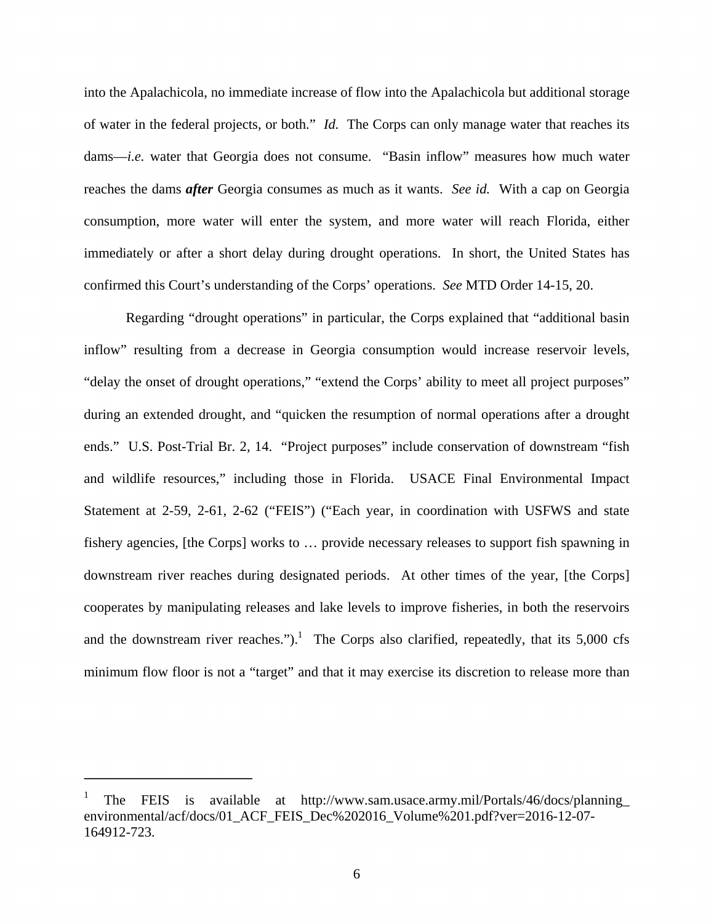into the Apalachicola, no immediate increase of flow into the Apalachicola but additional storage of water in the federal projects, or both." *Id.* The Corps can only manage water that reaches its dams—*i.e.* water that Georgia does not consume. "Basin inflow" measures how much water reaches the dams *after* Georgia consumes as much as it wants. *See id.* With a cap on Georgia consumption, more water will enter the system, and more water will reach Florida, either immediately or after a short delay during drought operations. In short, the United States has confirmed this Court's understanding of the Corps' operations. *See* MTD Order 14-15, 20.

Regarding "drought operations" in particular, the Corps explained that "additional basin inflow" resulting from a decrease in Georgia consumption would increase reservoir levels, "delay the onset of drought operations," "extend the Corps' ability to meet all project purposes" during an extended drought, and "quicken the resumption of normal operations after a drought ends." U.S. Post-Trial Br. 2, 14. "Project purposes" include conservation of downstream "fish and wildlife resources," including those in Florida. USACE Final Environmental Impact Statement at 2-59, 2-61, 2-62 ("FEIS") ("Each year, in coordination with USFWS and state fishery agencies, [the Corps] works to … provide necessary releases to support fish spawning in downstream river reaches during designated periods. At other times of the year, [the Corps] cooperates by manipulating releases and lake levels to improve fisheries, in both the reservoirs and the downstream river reaches.").<sup>1</sup> The Corps also clarified, repeatedly, that its  $5,000$  cfs minimum flow floor is not a "target" and that it may exercise its discretion to release more than

 $\overline{\phantom{0}}$ 

<sup>1</sup> The FEIS is available at http://www.sam.usace.army.mil/Portals/46/docs/planning\_ environmental/acf/docs/01\_ACF\_FEIS\_Dec%202016\_Volume%201.pdf?ver=2016-12-07-164912-723.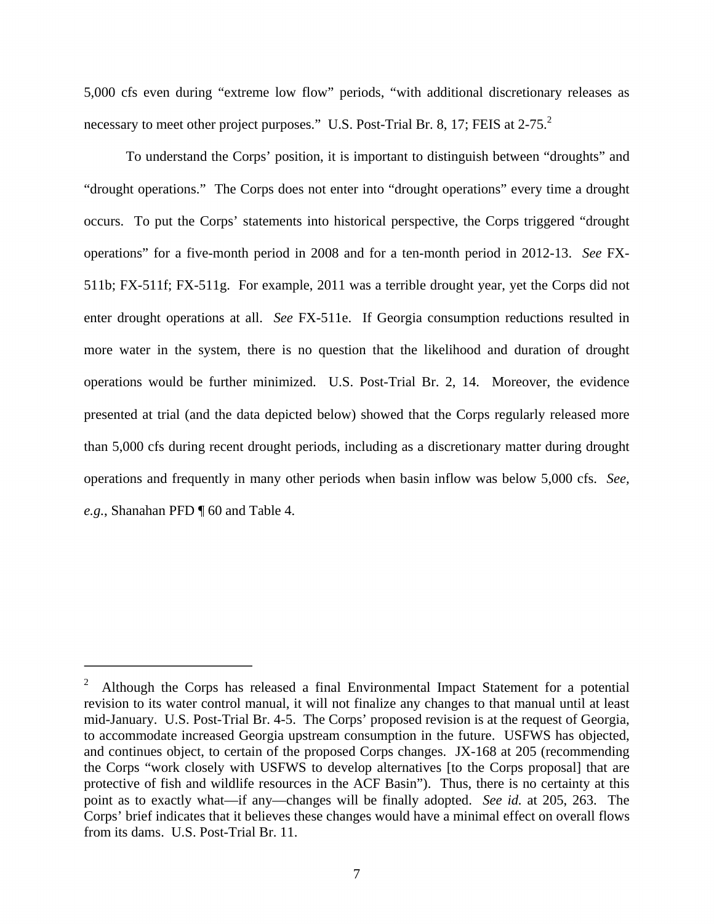5,000 cfs even during "extreme low flow" periods, "with additional discretionary releases as necessary to meet other project purposes." U.S. Post-Trial Br. 8, 17; FEIS at 2-75. $^2$ 

To understand the Corps' position, it is important to distinguish between "droughts" and "drought operations." The Corps does not enter into "drought operations" every time a drought occurs. To put the Corps' statements into historical perspective, the Corps triggered "drought operations" for a five-month period in 2008 and for a ten-month period in 2012-13. *See* FX-511b; FX-511f; FX-511g. For example, 2011 was a terrible drought year, yet the Corps did not enter drought operations at all. *See* FX-511e. If Georgia consumption reductions resulted in more water in the system, there is no question that the likelihood and duration of drought operations would be further minimized. U.S. Post-Trial Br. 2, 14. Moreover, the evidence presented at trial (and the data depicted below) showed that the Corps regularly released more than 5,000 cfs during recent drought periods, including as a discretionary matter during drought operations and frequently in many other periods when basin inflow was below 5,000 cfs. *See, e.g.*, Shanahan PFD ¶ 60 and Table 4.

<u>.</u>

<sup>2</sup> Although the Corps has released a final Environmental Impact Statement for a potential revision to its water control manual, it will not finalize any changes to that manual until at least mid-January. U.S. Post-Trial Br. 4-5. The Corps' proposed revision is at the request of Georgia, to accommodate increased Georgia upstream consumption in the future. USFWS has objected, and continues object, to certain of the proposed Corps changes. JX-168 at 205 (recommending the Corps "work closely with USFWS to develop alternatives [to the Corps proposal] that are protective of fish and wildlife resources in the ACF Basin"). Thus, there is no certainty at this point as to exactly what—if any—changes will be finally adopted. *See id.* at 205, 263. The Corps' brief indicates that it believes these changes would have a minimal effect on overall flows from its dams. U.S. Post-Trial Br. 11.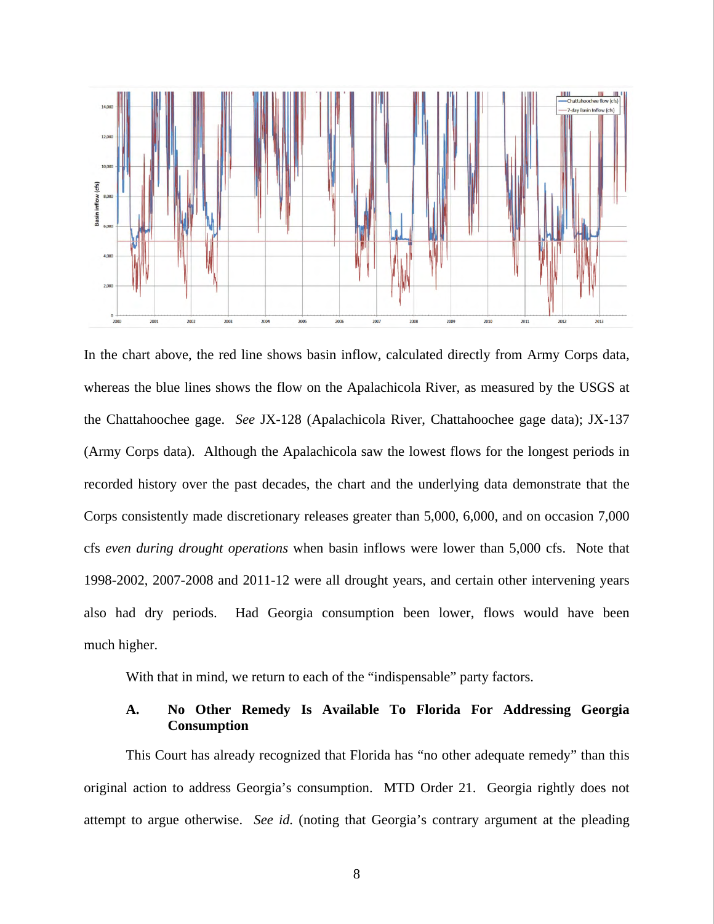

In the chart above, the red line shows basin inflow, calculated directly from Army Corps data, whereas the blue lines shows the flow on the Apalachicola River, as measured by the USGS at the Chattahoochee gage. *See* JX-128 (Apalachicola River, Chattahoochee gage data); JX-137 (Army Corps data). Although the Apalachicola saw the lowest flows for the longest periods in recorded history over the past decades, the chart and the underlying data demonstrate that the Corps consistently made discretionary releases greater than 5,000, 6,000, and on occasion 7,000 cfs *even during drought operations* when basin inflows were lower than 5,000 cfs. Note that 1998-2002, 2007-2008 and 2011-12 were all drought years, and certain other intervening years also had dry periods. Had Georgia consumption been lower, flows would have been much higher.

With that in mind, we return to each of the "indispensable" party factors.

### **A. No Other Remedy Is Available To Florida For Addressing Georgia Consumption**

This Court has already recognized that Florida has "no other adequate remedy" than this original action to address Georgia's consumption. MTD Order 21. Georgia rightly does not attempt to argue otherwise. *See id.* (noting that Georgia's contrary argument at the pleading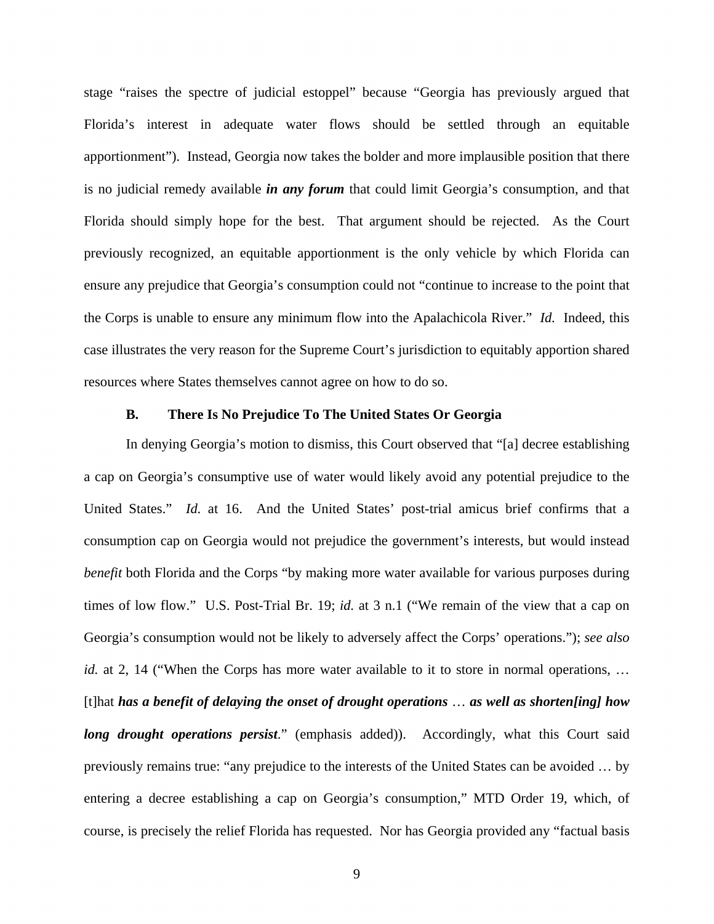stage "raises the spectre of judicial estoppel" because "Georgia has previously argued that Florida's interest in adequate water flows should be settled through an equitable apportionment"). Instead, Georgia now takes the bolder and more implausible position that there is no judicial remedy available *in any forum* that could limit Georgia's consumption, and that Florida should simply hope for the best. That argument should be rejected. As the Court previously recognized, an equitable apportionment is the only vehicle by which Florida can ensure any prejudice that Georgia's consumption could not "continue to increase to the point that the Corps is unable to ensure any minimum flow into the Apalachicola River." *Id.* Indeed, this case illustrates the very reason for the Supreme Court's jurisdiction to equitably apportion shared resources where States themselves cannot agree on how to do so.

#### **B. There Is No Prejudice To The United States Or Georgia**

In denying Georgia's motion to dismiss, this Court observed that "[a] decree establishing a cap on Georgia's consumptive use of water would likely avoid any potential prejudice to the United States." *Id.* at 16. And the United States' post-trial amicus brief confirms that a consumption cap on Georgia would not prejudice the government's interests, but would instead *benefit* both Florida and the Corps "by making more water available for various purposes during times of low flow." U.S. Post-Trial Br. 19; *id.* at 3 n.1 ("We remain of the view that a cap on Georgia's consumption would not be likely to adversely affect the Corps' operations."); *see also id.* at 2, 14 ("When the Corps has more water available to it to store in normal operations, ... [t]hat *has a benefit of delaying the onset of drought operations* … *as well as shorten[ing] how long drought operations persist.*" (emphasis added)). Accordingly, what this Court said previously remains true: "any prejudice to the interests of the United States can be avoided … by entering a decree establishing a cap on Georgia's consumption," MTD Order 19, which, of course, is precisely the relief Florida has requested. Nor has Georgia provided any "factual basis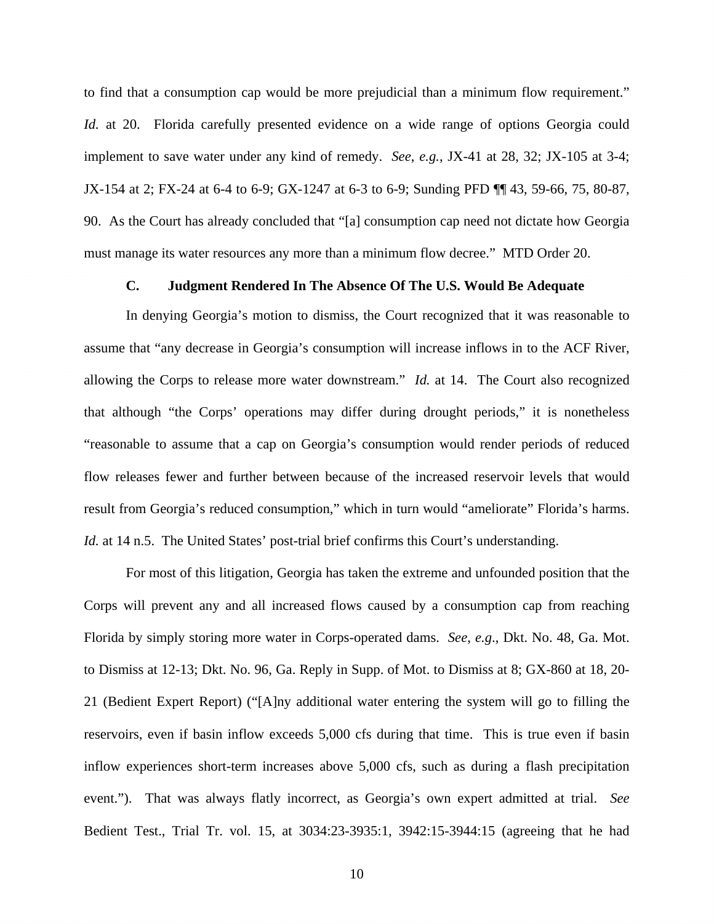to find that a consumption cap would be more prejudicial than a minimum flow requirement." *Id.* at 20. Florida carefully presented evidence on a wide range of options Georgia could implement to save water under any kind of remedy. *See*, *e.g.*, JX-41 at 28, 32; JX-105 at 3-4; JX-154 at 2; FX-24 at 6-4 to 6-9; GX-1247 at 6-3 to 6-9; Sunding PFD ¶¶ 43, 59-66, 75, 80-87, 90. As the Court has already concluded that "[a] consumption cap need not dictate how Georgia must manage its water resources any more than a minimum flow decree." MTD Order 20.

### **C. Judgment Rendered In The Absence Of The U.S. Would Be Adequate**

In denying Georgia's motion to dismiss, the Court recognized that it was reasonable to assume that "any decrease in Georgia's consumption will increase inflows in to the ACF River, allowing the Corps to release more water downstream." *Id.* at 14. The Court also recognized that although "the Corps' operations may differ during drought periods," it is nonetheless "reasonable to assume that a cap on Georgia's consumption would render periods of reduced flow releases fewer and further between because of the increased reservoir levels that would result from Georgia's reduced consumption," which in turn would "ameliorate" Florida's harms. *Id.* at 14 n.5. The United States' post-trial brief confirms this Court's understanding.

For most of this litigation, Georgia has taken the extreme and unfounded position that the Corps will prevent any and all increased flows caused by a consumption cap from reaching Florida by simply storing more water in Corps-operated dams. *See*, *e.g*., Dkt. No. 48, Ga. Mot. to Dismiss at 12-13; Dkt. No. 96, Ga. Reply in Supp. of Mot. to Dismiss at 8; GX-860 at 18, 20- 21 (Bedient Expert Report) ("[A]ny additional water entering the system will go to filling the reservoirs, even if basin inflow exceeds 5,000 cfs during that time. This is true even if basin inflow experiences short-term increases above 5,000 cfs, such as during a flash precipitation event."). That was always flatly incorrect, as Georgia's own expert admitted at trial. *See*  Bedient Test., Trial Tr. vol. 15, at 3034:23-3935:1, 3942:15-3944:15 (agreeing that he had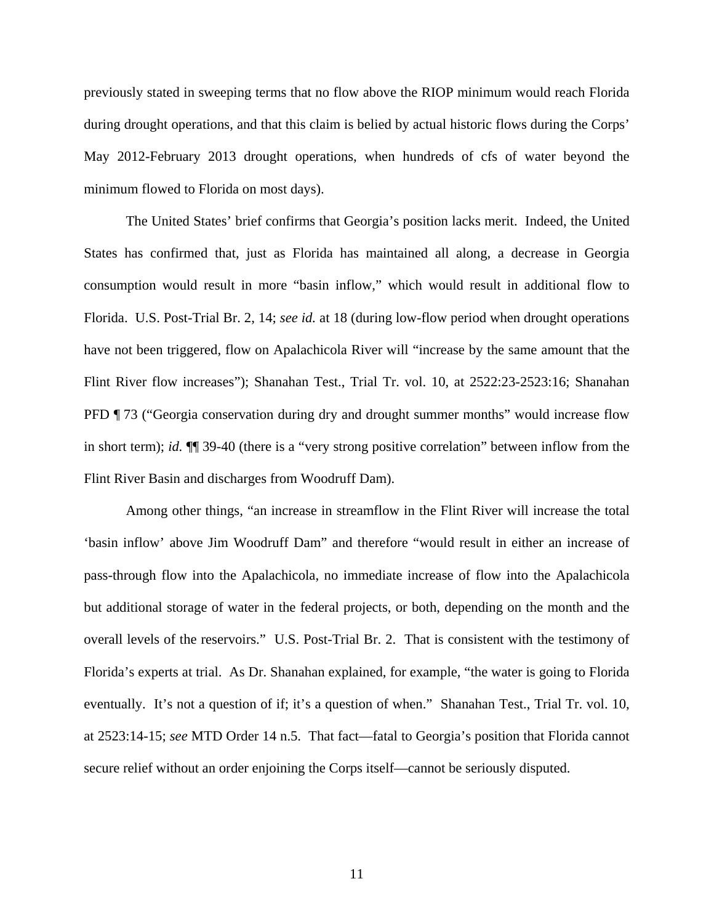previously stated in sweeping terms that no flow above the RIOP minimum would reach Florida during drought operations, and that this claim is belied by actual historic flows during the Corps' May 2012-February 2013 drought operations, when hundreds of cfs of water beyond the minimum flowed to Florida on most days).

The United States' brief confirms that Georgia's position lacks merit. Indeed, the United States has confirmed that, just as Florida has maintained all along, a decrease in Georgia consumption would result in more "basin inflow," which would result in additional flow to Florida. U.S. Post-Trial Br. 2, 14; *see id.* at 18 (during low-flow period when drought operations have not been triggered, flow on Apalachicola River will "increase by the same amount that the Flint River flow increases"); Shanahan Test., Trial Tr. vol. 10, at 2522:23-2523:16; Shanahan PFD ¶ 73 ("Georgia conservation during dry and drought summer months" would increase flow in short term); *id.* ¶¶ 39-40 (there is a "very strong positive correlation" between inflow from the Flint River Basin and discharges from Woodruff Dam).

Among other things, "an increase in streamflow in the Flint River will increase the total 'basin inflow' above Jim Woodruff Dam" and therefore "would result in either an increase of pass-through flow into the Apalachicola, no immediate increase of flow into the Apalachicola but additional storage of water in the federal projects, or both, depending on the month and the overall levels of the reservoirs." U.S. Post-Trial Br. 2. That is consistent with the testimony of Florida's experts at trial. As Dr. Shanahan explained, for example, "the water is going to Florida eventually. It's not a question of if; it's a question of when." Shanahan Test., Trial Tr. vol. 10, at 2523:14-15; *see* MTD Order 14 n.5. That fact—fatal to Georgia's position that Florida cannot secure relief without an order enjoining the Corps itself—cannot be seriously disputed.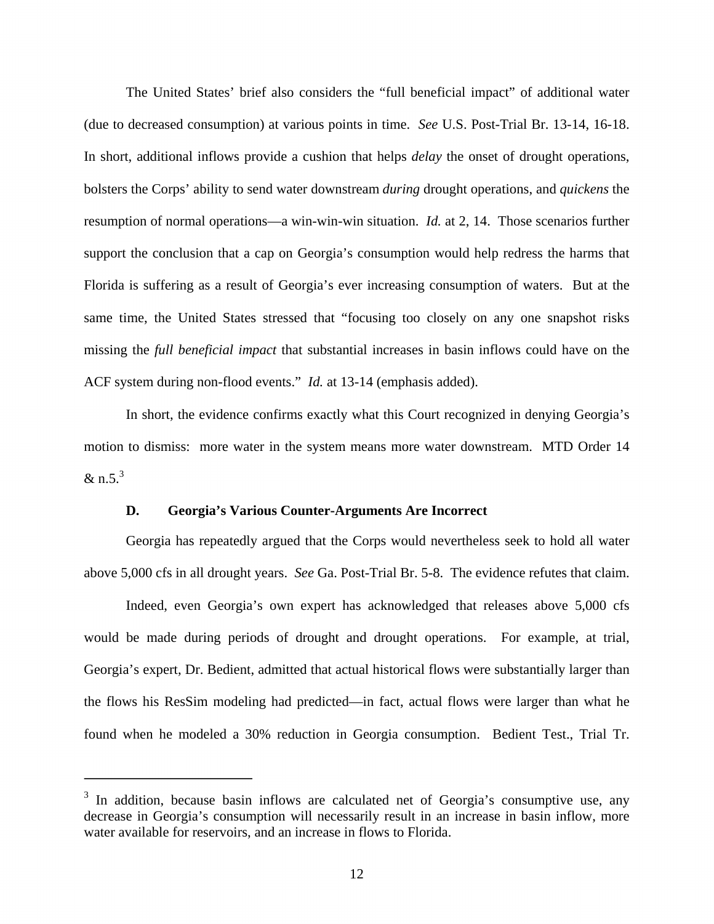The United States' brief also considers the "full beneficial impact" of additional water (due to decreased consumption) at various points in time. *See* U.S. Post-Trial Br. 13-14, 16-18. In short, additional inflows provide a cushion that helps *delay* the onset of drought operations, bolsters the Corps' ability to send water downstream *during* drought operations, and *quickens* the resumption of normal operations—a win-win-win situation. *Id.* at 2, 14. Those scenarios further support the conclusion that a cap on Georgia's consumption would help redress the harms that Florida is suffering as a result of Georgia's ever increasing consumption of waters. But at the same time, the United States stressed that "focusing too closely on any one snapshot risks missing the *full beneficial impact* that substantial increases in basin inflows could have on the ACF system during non-flood events." *Id.* at 13-14 (emphasis added).

In short, the evidence confirms exactly what this Court recognized in denying Georgia's motion to dismiss: more water in the system means more water downstream. MTD Order 14 & n.5. $3$ 

#### **D. Georgia's Various Counter-Arguments Are Incorrect**

 $\overline{\phantom{0}}$ 

Georgia has repeatedly argued that the Corps would nevertheless seek to hold all water above 5,000 cfs in all drought years. *See* Ga. Post-Trial Br. 5-8. The evidence refutes that claim.

Indeed, even Georgia's own expert has acknowledged that releases above 5,000 cfs would be made during periods of drought and drought operations. For example, at trial, Georgia's expert, Dr. Bedient, admitted that actual historical flows were substantially larger than the flows his ResSim modeling had predicted—in fact, actual flows were larger than what he found when he modeled a 30% reduction in Georgia consumption. Bedient Test., Trial Tr.

 $3$  In addition, because basin inflows are calculated net of Georgia's consumptive use, any decrease in Georgia's consumption will necessarily result in an increase in basin inflow, more water available for reservoirs, and an increase in flows to Florida.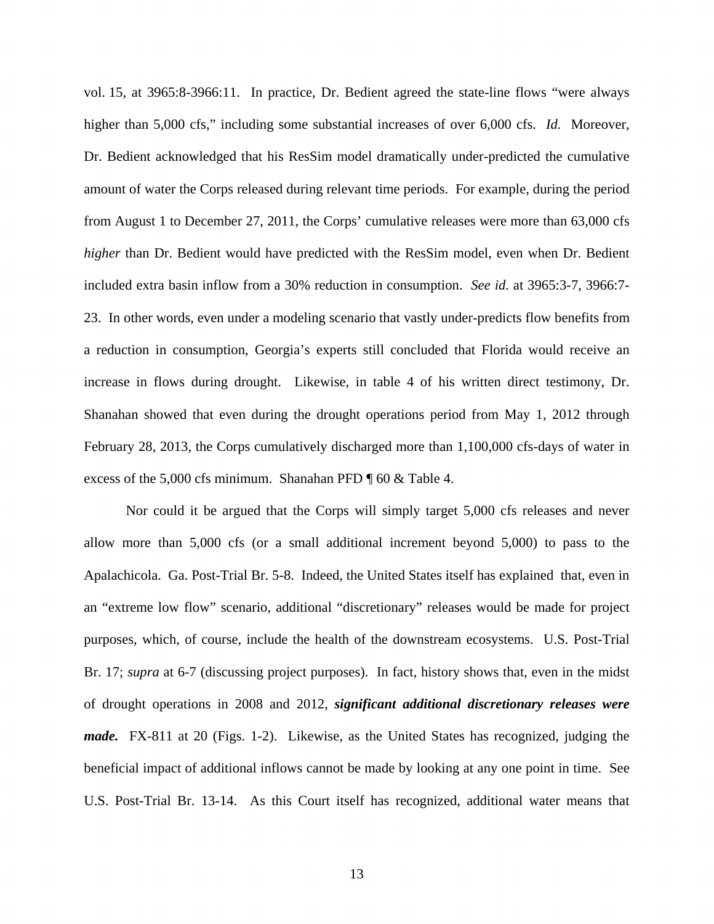vol. 15, at 3965:8-3966:11. In practice, Dr. Bedient agreed the state-line flows "were always higher than 5,000 cfs," including some substantial increases of over 6,000 cfs. *Id.* Moreover, Dr. Bedient acknowledged that his ResSim model dramatically under-predicted the cumulative amount of water the Corps released during relevant time periods. For example, during the period from August 1 to December 27, 2011, the Corps' cumulative releases were more than 63,000 cfs *higher* than Dr. Bedient would have predicted with the ResSim model, even when Dr. Bedient included extra basin inflow from a 30% reduction in consumption. *See id.* at 3965:3-7, 3966:7- 23. In other words, even under a modeling scenario that vastly under-predicts flow benefits from a reduction in consumption, Georgia's experts still concluded that Florida would receive an increase in flows during drought. Likewise, in table 4 of his written direct testimony, Dr. Shanahan showed that even during the drought operations period from May 1, 2012 through February 28, 2013, the Corps cumulatively discharged more than 1,100,000 cfs-days of water in excess of the 5,000 cfs minimum. Shanahan PFD ¶ 60 & Table 4.

Nor could it be argued that the Corps will simply target 5,000 cfs releases and never allow more than 5,000 cfs (or a small additional increment beyond 5,000) to pass to the Apalachicola. Ga. Post-Trial Br. 5-8. Indeed, the United States itself has explained that, even in an "extreme low flow" scenario, additional "discretionary" releases would be made for project purposes, which, of course, include the health of the downstream ecosystems. U.S. Post-Trial Br. 17; *supra* at 6-7 (discussing project purposes). In fact, history shows that, even in the midst of drought operations in 2008 and 2012, *significant additional discretionary releases were made.* FX-811 at 20 (Figs. 1-2). Likewise, as the United States has recognized, judging the beneficial impact of additional inflows cannot be made by looking at any one point in time. See U.S. Post-Trial Br. 13-14. As this Court itself has recognized, additional water means that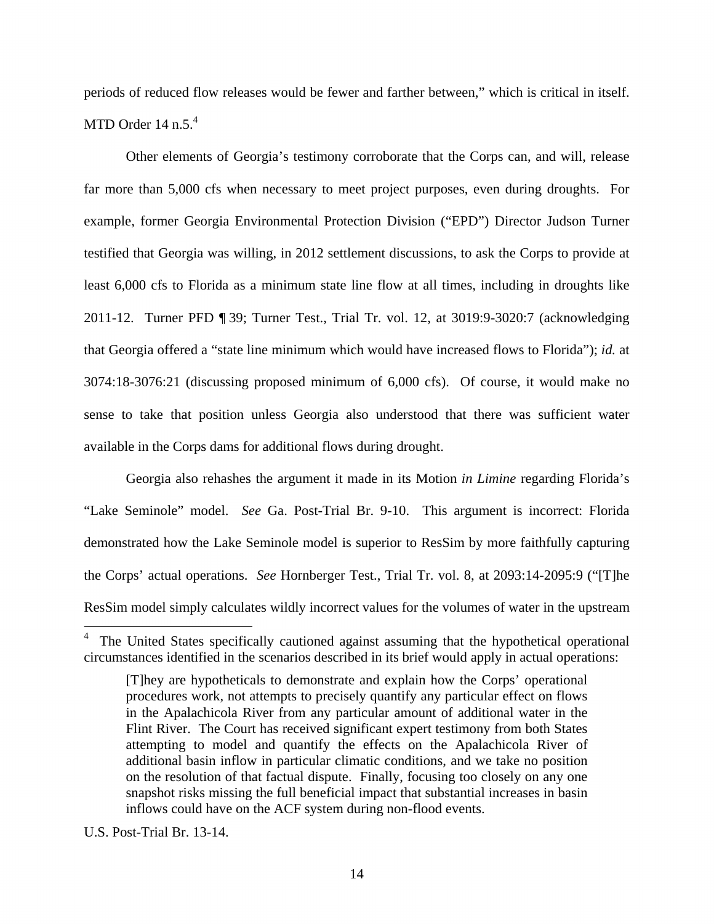periods of reduced flow releases would be fewer and farther between," which is critical in itself. MTD Order  $14$  n.5. $4$ 

Other elements of Georgia's testimony corroborate that the Corps can, and will, release far more than 5,000 cfs when necessary to meet project purposes, even during droughts. For example, former Georgia Environmental Protection Division ("EPD") Director Judson Turner testified that Georgia was willing, in 2012 settlement discussions, to ask the Corps to provide at least 6,000 cfs to Florida as a minimum state line flow at all times, including in droughts like 2011-12. Turner PFD ¶ 39; Turner Test., Trial Tr. vol. 12, at 3019:9-3020:7 (acknowledging that Georgia offered a "state line minimum which would have increased flows to Florida"); *id.* at 3074:18-3076:21 (discussing proposed minimum of 6,000 cfs). Of course, it would make no sense to take that position unless Georgia also understood that there was sufficient water available in the Corps dams for additional flows during drought.

Georgia also rehashes the argument it made in its Motion *in Limine* regarding Florida's "Lake Seminole" model. *See* Ga. Post-Trial Br. 9-10. This argument is incorrect: Florida demonstrated how the Lake Seminole model is superior to ResSim by more faithfully capturing the Corps' actual operations. *See* Hornberger Test., Trial Tr. vol. 8, at 2093:14-2095:9 ("[T]he ResSim model simply calculates wildly incorrect values for the volumes of water in the upstream

 $\overline{a}$ 

<sup>4</sup> The United States specifically cautioned against assuming that the hypothetical operational circumstances identified in the scenarios described in its brief would apply in actual operations:

<sup>[</sup>T]hey are hypotheticals to demonstrate and explain how the Corps' operational procedures work, not attempts to precisely quantify any particular effect on flows in the Apalachicola River from any particular amount of additional water in the Flint River. The Court has received significant expert testimony from both States attempting to model and quantify the effects on the Apalachicola River of additional basin inflow in particular climatic conditions, and we take no position on the resolution of that factual dispute. Finally, focusing too closely on any one snapshot risks missing the full beneficial impact that substantial increases in basin inflows could have on the ACF system during non-flood events.

U.S. Post-Trial Br. 13-14.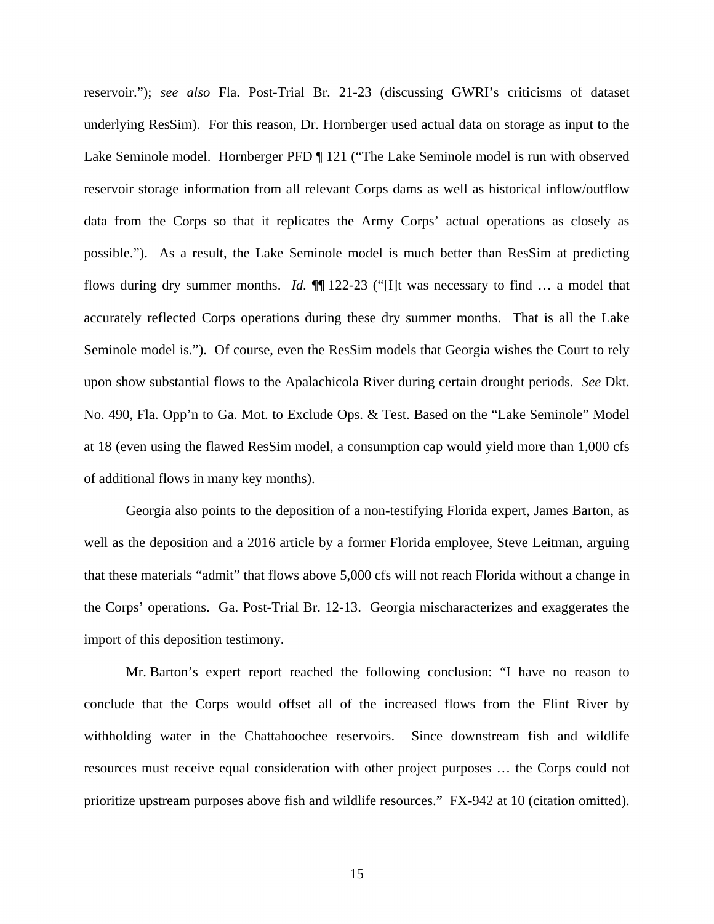reservoir."); *see also* Fla. Post-Trial Br. 21-23 (discussing GWRI's criticisms of dataset underlying ResSim). For this reason, Dr. Hornberger used actual data on storage as input to the Lake Seminole model. Hornberger PFD ¶ 121 ("The Lake Seminole model is run with observed reservoir storage information from all relevant Corps dams as well as historical inflow/outflow data from the Corps so that it replicates the Army Corps' actual operations as closely as possible."). As a result, the Lake Seminole model is much better than ResSim at predicting flows during dry summer months. *Id.* ¶¶ 122-23 ("[I]t was necessary to find … a model that accurately reflected Corps operations during these dry summer months. That is all the Lake Seminole model is."). Of course, even the ResSim models that Georgia wishes the Court to rely upon show substantial flows to the Apalachicola River during certain drought periods. *See* Dkt. No. 490, Fla. Opp'n to Ga. Mot. to Exclude Ops. & Test. Based on the "Lake Seminole" Model at 18 (even using the flawed ResSim model, a consumption cap would yield more than 1,000 cfs of additional flows in many key months).

Georgia also points to the deposition of a non-testifying Florida expert, James Barton, as well as the deposition and a 2016 article by a former Florida employee, Steve Leitman, arguing that these materials "admit" that flows above 5,000 cfs will not reach Florida without a change in the Corps' operations. Ga. Post-Trial Br. 12-13. Georgia mischaracterizes and exaggerates the import of this deposition testimony.

Mr. Barton's expert report reached the following conclusion: "I have no reason to conclude that the Corps would offset all of the increased flows from the Flint River by withholding water in the Chattahoochee reservoirs. Since downstream fish and wildlife resources must receive equal consideration with other project purposes … the Corps could not prioritize upstream purposes above fish and wildlife resources." FX-942 at 10 (citation omitted).

15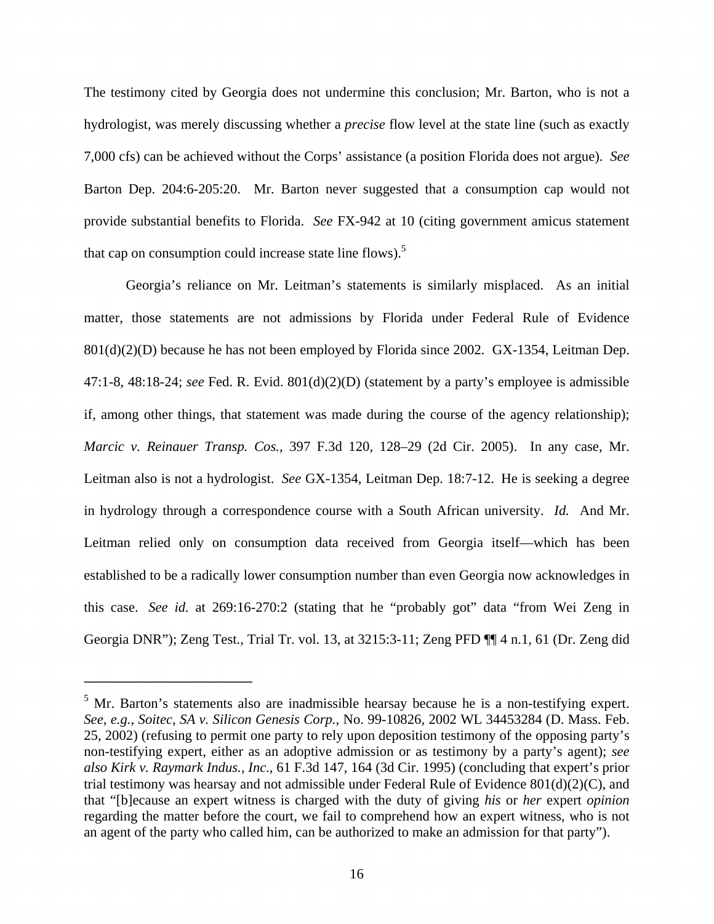The testimony cited by Georgia does not undermine this conclusion; Mr. Barton, who is not a hydrologist, was merely discussing whether a *precise* flow level at the state line (such as exactly 7,000 cfs) can be achieved without the Corps' assistance (a position Florida does not argue). *See*  Barton Dep. 204:6-205:20. Mr. Barton never suggested that a consumption cap would not provide substantial benefits to Florida. *See* FX-942 at 10 (citing government amicus statement that cap on consumption could increase state line flows).<sup>5</sup>

Georgia's reliance on Mr. Leitman's statements is similarly misplaced. As an initial matter, those statements are not admissions by Florida under Federal Rule of Evidence 801(d)(2)(D) because he has not been employed by Florida since 2002. GX-1354, Leitman Dep. 47:1-8, 48:18-24; *see* Fed. R. Evid. 801(d)(2)(D) (statement by a party's employee is admissible if, among other things, that statement was made during the course of the agency relationship); *Marcic v. Reinauer Transp. Cos.*, 397 F.3d 120, 128–29 (2d Cir. 2005). In any case, Mr. Leitman also is not a hydrologist. *See* GX-1354, Leitman Dep. 18:7-12. He is seeking a degree in hydrology through a correspondence course with a South African university. *Id.* And Mr. Leitman relied only on consumption data received from Georgia itself—which has been established to be a radically lower consumption number than even Georgia now acknowledges in this case. *See id.* at 269:16-270:2 (stating that he "probably got" data "from Wei Zeng in Georgia DNR"); Zeng Test., Trial Tr. vol. 13, at 3215:3-11; Zeng PFD ¶¶ 4 n.1, 61 (Dr. Zeng did

<u>.</u>

 $<sup>5</sup>$  Mr. Barton's statements also are inadmissible hearsay because he is a non-testifying expert.</sup> *See, e.g.*, *Soitec, SA v. Silicon Genesis Corp.*, No. 99-10826, 2002 WL 34453284 (D. Mass. Feb. 25, 2002) (refusing to permit one party to rely upon deposition testimony of the opposing party's non-testifying expert, either as an adoptive admission or as testimony by a party's agent); *see also Kirk v. Raymark Indus., Inc.*, 61 F.3d 147, 164 (3d Cir. 1995) (concluding that expert's prior trial testimony was hearsay and not admissible under Federal Rule of Evidence 801(d)(2)(C), and that "[b]ecause an expert witness is charged with the duty of giving *his* or *her* expert *opinion* regarding the matter before the court, we fail to comprehend how an expert witness, who is not an agent of the party who called him, can be authorized to make an admission for that party").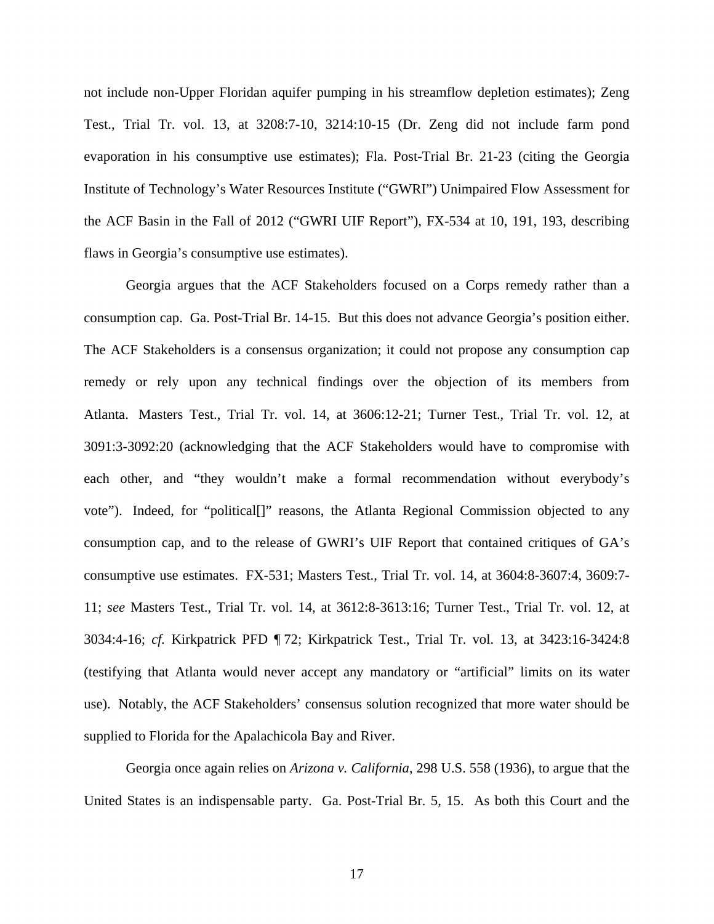not include non-Upper Floridan aquifer pumping in his streamflow depletion estimates); Zeng Test., Trial Tr. vol. 13, at 3208:7-10, 3214:10-15 (Dr. Zeng did not include farm pond evaporation in his consumptive use estimates); Fla. Post-Trial Br. 21-23 (citing the Georgia Institute of Technology's Water Resources Institute ("GWRI") Unimpaired Flow Assessment for the ACF Basin in the Fall of 2012 ("GWRI UIF Report"), FX-534 at 10, 191, 193, describing flaws in Georgia's consumptive use estimates).

Georgia argues that the ACF Stakeholders focused on a Corps remedy rather than a consumption cap. Ga. Post-Trial Br. 14-15. But this does not advance Georgia's position either. The ACF Stakeholders is a consensus organization; it could not propose any consumption cap remedy or rely upon any technical findings over the objection of its members from Atlanta. Masters Test., Trial Tr. vol. 14, at 3606:12-21; Turner Test., Trial Tr. vol. 12, at 3091:3-3092:20 (acknowledging that the ACF Stakeholders would have to compromise with each other, and "they wouldn't make a formal recommendation without everybody's vote"). Indeed, for "political[]" reasons, the Atlanta Regional Commission objected to any consumption cap, and to the release of GWRI's UIF Report that contained critiques of GA's consumptive use estimates. FX-531; Masters Test., Trial Tr. vol. 14, at 3604:8-3607:4, 3609:7- 11; *see* Masters Test., Trial Tr. vol. 14, at 3612:8-3613:16; Turner Test., Trial Tr. vol. 12, at 3034:4-16; *cf.* Kirkpatrick PFD ¶ 72; Kirkpatrick Test., Trial Tr. vol. 13, at 3423:16-3424:8 (testifying that Atlanta would never accept any mandatory or "artificial" limits on its water use). Notably, the ACF Stakeholders' consensus solution recognized that more water should be supplied to Florida for the Apalachicola Bay and River.

Georgia once again relies on *Arizona v. California*, 298 U.S. 558 (1936), to argue that the United States is an indispensable party. Ga. Post-Trial Br. 5, 15. As both this Court and the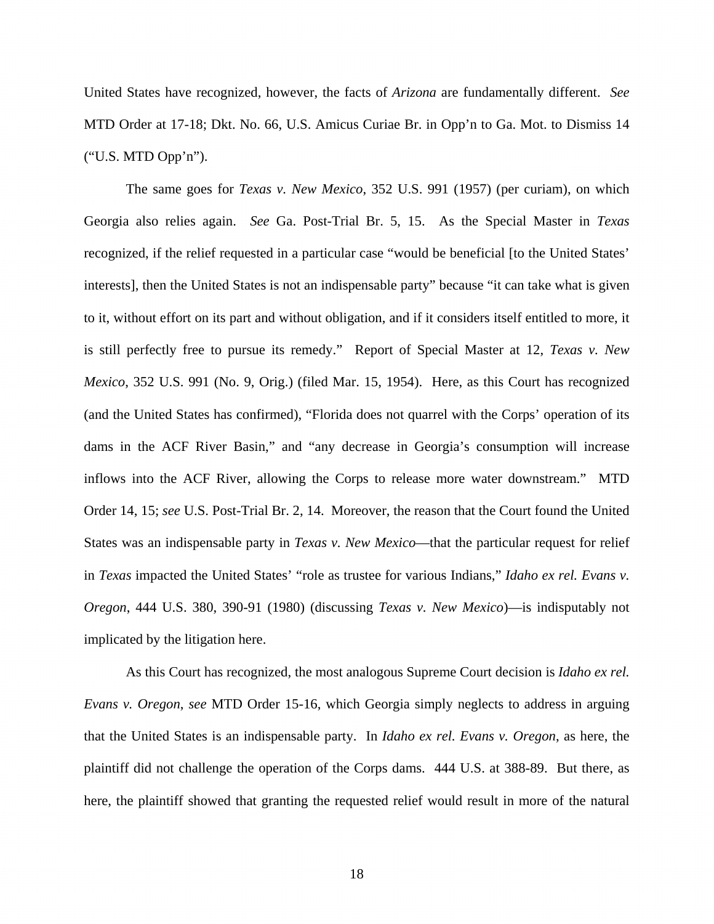United States have recognized, however, the facts of *Arizona* are fundamentally different. *See* MTD Order at 17-18; Dkt. No. 66, U.S. Amicus Curiae Br. in Opp'n to Ga. Mot. to Dismiss 14 ("U.S. MTD Opp'n").

The same goes for *Texas v. New Mexico*, 352 U.S. 991 (1957) (per curiam), on which Georgia also relies again. *See* Ga. Post-Trial Br. 5, 15. As the Special Master in *Texas* recognized, if the relief requested in a particular case "would be beneficial [to the United States' interests], then the United States is not an indispensable party" because "it can take what is given to it, without effort on its part and without obligation, and if it considers itself entitled to more, it is still perfectly free to pursue its remedy." Report of Special Master at 12, *Texas v. New Mexico*, 352 U.S. 991 (No. 9, Orig.) (filed Mar. 15, 1954). Here, as this Court has recognized (and the United States has confirmed), "Florida does not quarrel with the Corps' operation of its dams in the ACF River Basin," and "any decrease in Georgia's consumption will increase inflows into the ACF River, allowing the Corps to release more water downstream." MTD Order 14, 15; *see* U.S. Post-Trial Br. 2, 14. Moreover, the reason that the Court found the United States was an indispensable party in *Texas v. New Mexico*—that the particular request for relief in *Texas* impacted the United States' "role as trustee for various Indians," *Idaho ex rel. Evans v. Oregon*, 444 U.S. 380, 390-91 (1980) (discussing *Texas v. New Mexico*)—is indisputably not implicated by the litigation here.

As this Court has recognized, the most analogous Supreme Court decision is *Idaho ex rel. Evans v. Oregon*, *see* MTD Order 15-16, which Georgia simply neglects to address in arguing that the United States is an indispensable party. In *Idaho ex rel. Evans v. Oregon*, as here, the plaintiff did not challenge the operation of the Corps dams. 444 U.S. at 388-89. But there, as here, the plaintiff showed that granting the requested relief would result in more of the natural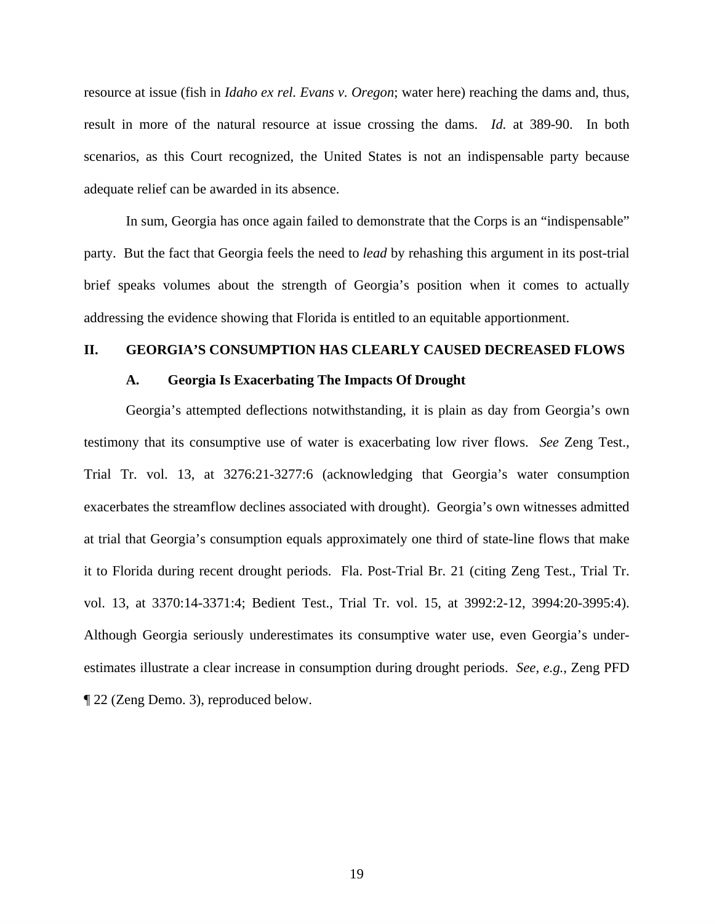resource at issue (fish in *Idaho ex rel. Evans v. Oregon*; water here) reaching the dams and, thus, result in more of the natural resource at issue crossing the dams. *Id.* at 389-90. In both scenarios, as this Court recognized, the United States is not an indispensable party because adequate relief can be awarded in its absence.

In sum, Georgia has once again failed to demonstrate that the Corps is an "indispensable" party. But the fact that Georgia feels the need to *lead* by rehashing this argument in its post-trial brief speaks volumes about the strength of Georgia's position when it comes to actually addressing the evidence showing that Florida is entitled to an equitable apportionment.

## **II. GEORGIA'S CONSUMPTION HAS CLEARLY CAUSED DECREASED FLOWS**

#### **A. Georgia Is Exacerbating The Impacts Of Drought**

Georgia's attempted deflections notwithstanding, it is plain as day from Georgia's own testimony that its consumptive use of water is exacerbating low river flows. *See* Zeng Test., Trial Tr. vol. 13, at 3276:21-3277:6 (acknowledging that Georgia's water consumption exacerbates the streamflow declines associated with drought). Georgia's own witnesses admitted at trial that Georgia's consumption equals approximately one third of state-line flows that make it to Florida during recent drought periods. Fla. Post-Trial Br. 21 (citing Zeng Test., Trial Tr. vol. 13, at 3370:14-3371:4; Bedient Test., Trial Tr. vol. 15, at 3992:2-12, 3994:20-3995:4). Although Georgia seriously underestimates its consumptive water use, even Georgia's underestimates illustrate a clear increase in consumption during drought periods. *See, e.g.*, Zeng PFD ¶ 22 (Zeng Demo. 3), reproduced below.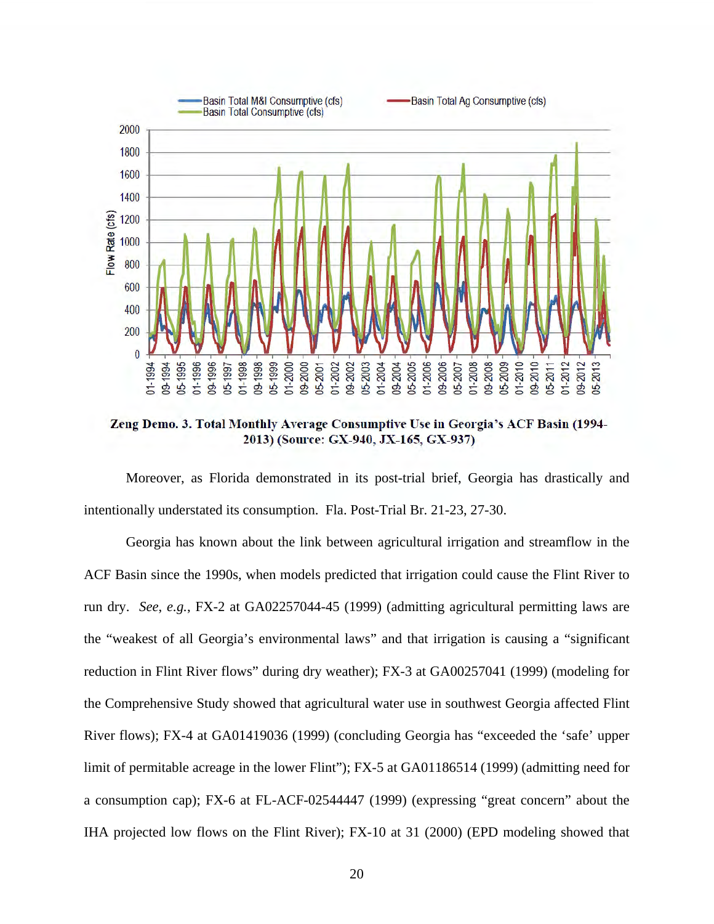

**Zeng Demo. 3. Total Monthly Average Consumptive Use in Georgia's ACF Basin (1994- 2013) (Source: GX-940, JX-165, GX-937)** 

Moreover, as Florida demonstrated in its post-trial brief, Georgia has drastically and intentionally understated its consumption. Fla. Post-Trial Br. 21-23, 27-30.

Georgia has known about the link between agricultural irrigation and streamflow in the ACF Basin since the 1990s, when models predicted that irrigation could cause the Flint River to run dry. *See*, *e.g.*, FX-2 at GA02257044-45 (1999) (admitting agricultural permitting laws are the "weakest of all Georgia's environmental laws" and that irrigation is causing a "significant reduction in Flint River flows" during dry weather); FX-3 at GA00257041 (1999) (modeling for the Comprehensive Study showed that agricultural water use in southwest Georgia affected Flint River flows); FX-4 at GA01419036 (1999) (concluding Georgia has "exceeded the 'safe' upper limit of permitable acreage in the lower Flint"); FX-5 at GA01186514 (1999) (admitting need for a consumption cap); FX-6 at FL-ACF-02544447 (1999) (expressing "great concern" about the IHA projected low flows on the Flint River); FX-10 at 31 (2000) (EPD modeling showed that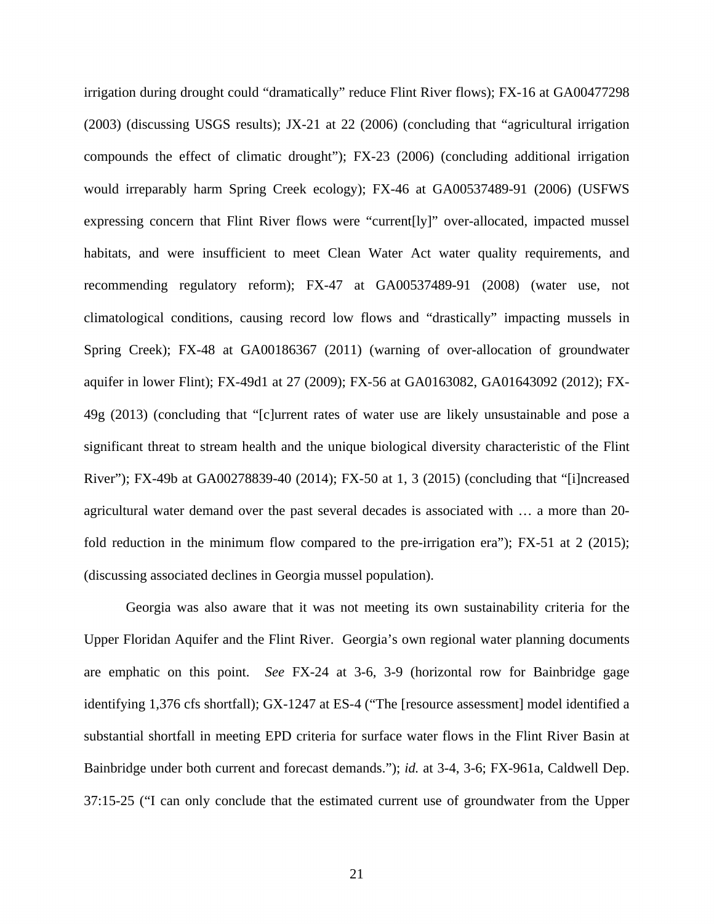irrigation during drought could "dramatically" reduce Flint River flows); FX-16 at GA00477298 (2003) (discussing USGS results); JX-21 at 22 (2006) (concluding that "agricultural irrigation compounds the effect of climatic drought"); FX-23 (2006) (concluding additional irrigation would irreparably harm Spring Creek ecology); FX-46 at GA00537489-91 (2006) (USFWS expressing concern that Flint River flows were "current[ly]" over-allocated, impacted mussel habitats, and were insufficient to meet Clean Water Act water quality requirements, and recommending regulatory reform); FX-47 at GA00537489-91 (2008) (water use, not climatological conditions, causing record low flows and "drastically" impacting mussels in Spring Creek); FX-48 at GA00186367 (2011) (warning of over-allocation of groundwater aquifer in lower Flint); FX-49d1 at 27 (2009); FX-56 at GA0163082, GA01643092 (2012); FX-49g (2013) (concluding that "[c]urrent rates of water use are likely unsustainable and pose a significant threat to stream health and the unique biological diversity characteristic of the Flint River"); FX-49b at GA00278839-40 (2014); FX-50 at 1, 3 (2015) (concluding that "[i]ncreased agricultural water demand over the past several decades is associated with … a more than 20 fold reduction in the minimum flow compared to the pre-irrigation era"); FX-51 at 2 (2015); (discussing associated declines in Georgia mussel population).

Georgia was also aware that it was not meeting its own sustainability criteria for the Upper Floridan Aquifer and the Flint River. Georgia's own regional water planning documents are emphatic on this point. *See* FX-24 at 3-6, 3-9 (horizontal row for Bainbridge gage identifying 1,376 cfs shortfall); GX-1247 at ES-4 ("The [resource assessment] model identified a substantial shortfall in meeting EPD criteria for surface water flows in the Flint River Basin at Bainbridge under both current and forecast demands."); *id.* at 3-4, 3-6; FX-961a, Caldwell Dep. 37:15-25 ("I can only conclude that the estimated current use of groundwater from the Upper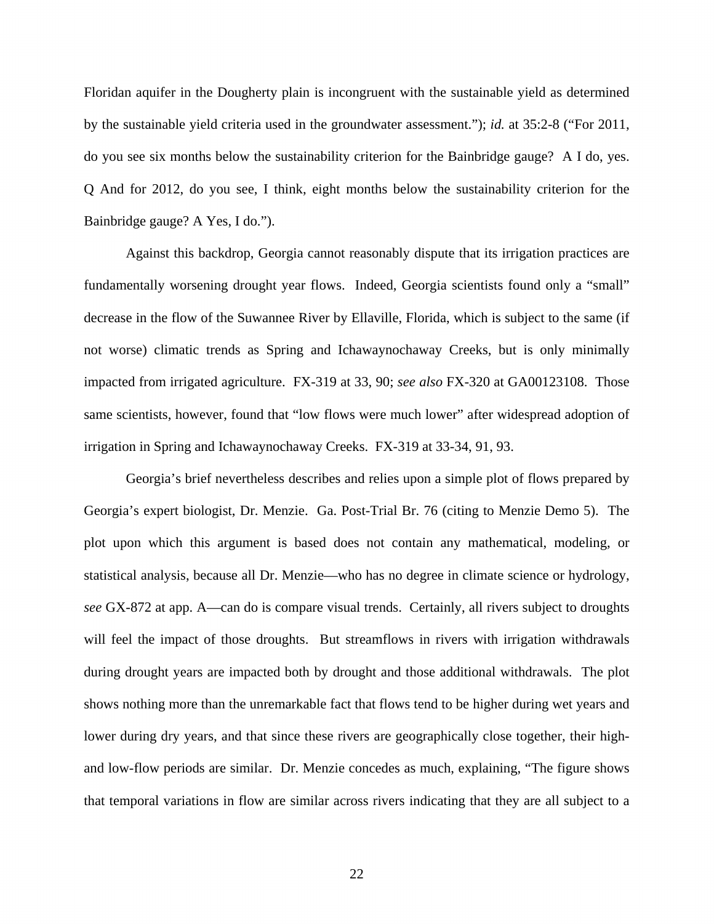Floridan aquifer in the Dougherty plain is incongruent with the sustainable yield as determined by the sustainable yield criteria used in the groundwater assessment."); *id.* at 35:2-8 ("For 2011, do you see six months below the sustainability criterion for the Bainbridge gauge? A I do, yes. Q And for 2012, do you see, I think, eight months below the sustainability criterion for the Bainbridge gauge? A Yes, I do.").

Against this backdrop, Georgia cannot reasonably dispute that its irrigation practices are fundamentally worsening drought year flows. Indeed, Georgia scientists found only a "small" decrease in the flow of the Suwannee River by Ellaville, Florida, which is subject to the same (if not worse) climatic trends as Spring and Ichawaynochaway Creeks, but is only minimally impacted from irrigated agriculture. FX-319 at 33, 90; *see also* FX-320 at GA00123108. Those same scientists, however, found that "low flows were much lower" after widespread adoption of irrigation in Spring and Ichawaynochaway Creeks. FX-319 at 33-34, 91, 93.

Georgia's brief nevertheless describes and relies upon a simple plot of flows prepared by Georgia's expert biologist, Dr. Menzie. Ga. Post-Trial Br. 76 (citing to Menzie Demo 5). The plot upon which this argument is based does not contain any mathematical, modeling, or statistical analysis, because all Dr. Menzie—who has no degree in climate science or hydrology, *see* GX-872 at app. A—can do is compare visual trends. Certainly, all rivers subject to droughts will feel the impact of those droughts. But streamflows in rivers with irrigation withdrawals during drought years are impacted both by drought and those additional withdrawals. The plot shows nothing more than the unremarkable fact that flows tend to be higher during wet years and lower during dry years, and that since these rivers are geographically close together, their highand low-flow periods are similar. Dr. Menzie concedes as much, explaining, "The figure shows that temporal variations in flow are similar across rivers indicating that they are all subject to a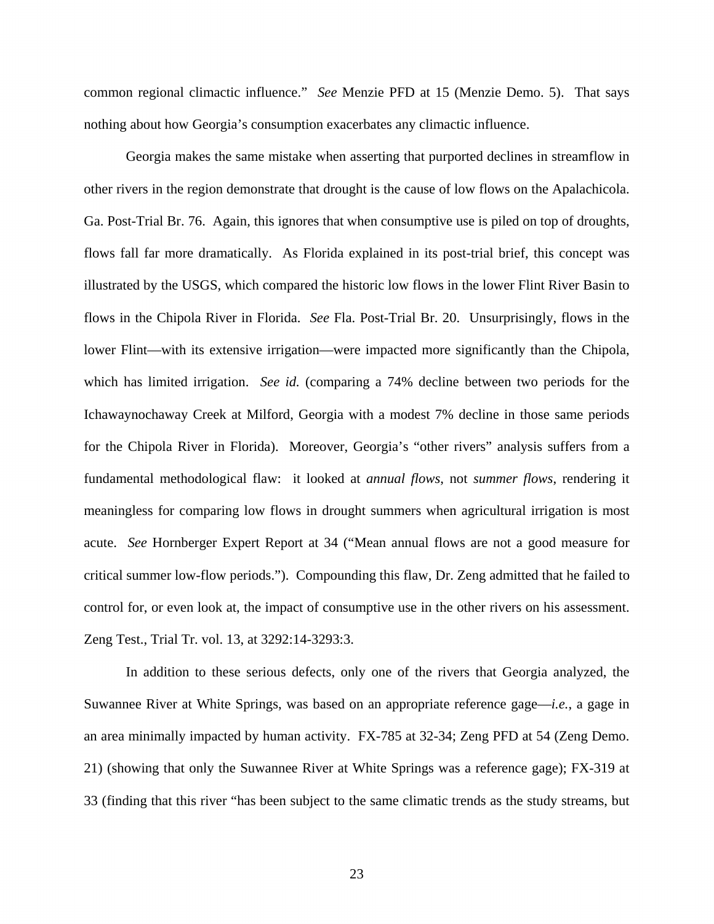common regional climactic influence." *See* Menzie PFD at 15 (Menzie Demo. 5). That says nothing about how Georgia's consumption exacerbates any climactic influence.

Georgia makes the same mistake when asserting that purported declines in streamflow in other rivers in the region demonstrate that drought is the cause of low flows on the Apalachicola. Ga. Post-Trial Br. 76. Again, this ignores that when consumptive use is piled on top of droughts, flows fall far more dramatically. As Florida explained in its post-trial brief, this concept was illustrated by the USGS, which compared the historic low flows in the lower Flint River Basin to flows in the Chipola River in Florida. *See* Fla. Post-Trial Br. 20. Unsurprisingly, flows in the lower Flint—with its extensive irrigation—were impacted more significantly than the Chipola, which has limited irrigation. *See id.* (comparing a 74% decline between two periods for the Ichawaynochaway Creek at Milford, Georgia with a modest 7% decline in those same periods for the Chipola River in Florida). Moreover, Georgia's "other rivers" analysis suffers from a fundamental methodological flaw: it looked at *annual flows*, not *summer flows*, rendering it meaningless for comparing low flows in drought summers when agricultural irrigation is most acute. *See* Hornberger Expert Report at 34 ("Mean annual flows are not a good measure for critical summer low-flow periods."). Compounding this flaw, Dr. Zeng admitted that he failed to control for, or even look at, the impact of consumptive use in the other rivers on his assessment. Zeng Test., Trial Tr. vol. 13, at 3292:14-3293:3.

In addition to these serious defects, only one of the rivers that Georgia analyzed, the Suwannee River at White Springs, was based on an appropriate reference gage—*i.e.*, a gage in an area minimally impacted by human activity. FX-785 at 32-34; Zeng PFD at 54 (Zeng Demo. 21) (showing that only the Suwannee River at White Springs was a reference gage); FX-319 at 33 (finding that this river "has been subject to the same climatic trends as the study streams, but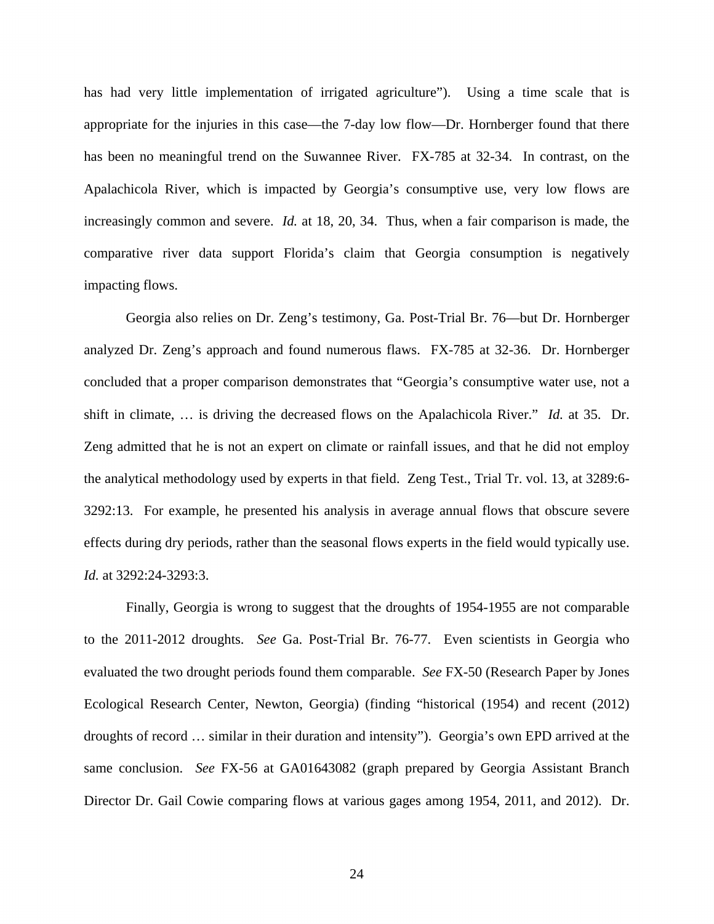has had very little implementation of irrigated agriculture"). Using a time scale that is appropriate for the injuries in this case—the 7-day low flow—Dr. Hornberger found that there has been no meaningful trend on the Suwannee River. FX-785 at 32-34. In contrast, on the Apalachicola River, which is impacted by Georgia's consumptive use, very low flows are increasingly common and severe. *Id.* at 18, 20, 34. Thus, when a fair comparison is made, the comparative river data support Florida's claim that Georgia consumption is negatively impacting flows.

Georgia also relies on Dr. Zeng's testimony, Ga. Post-Trial Br. 76—but Dr. Hornberger analyzed Dr. Zeng's approach and found numerous flaws. FX-785 at 32-36. Dr. Hornberger concluded that a proper comparison demonstrates that "Georgia's consumptive water use, not a shift in climate, … is driving the decreased flows on the Apalachicola River." *Id.* at 35. Dr. Zeng admitted that he is not an expert on climate or rainfall issues, and that he did not employ the analytical methodology used by experts in that field. Zeng Test., Trial Tr. vol. 13, at 3289:6- 3292:13. For example, he presented his analysis in average annual flows that obscure severe effects during dry periods, rather than the seasonal flows experts in the field would typically use. *Id.* at 3292:24-3293:3.

 Finally, Georgia is wrong to suggest that the droughts of 1954-1955 are not comparable to the 2011-2012 droughts. *See* Ga. Post-Trial Br. 76-77. Even scientists in Georgia who evaluated the two drought periods found them comparable. *See* FX-50 (Research Paper by Jones Ecological Research Center, Newton, Georgia) (finding "historical (1954) and recent (2012) droughts of record … similar in their duration and intensity"). Georgia's own EPD arrived at the same conclusion. *See* FX-56 at GA01643082 (graph prepared by Georgia Assistant Branch Director Dr. Gail Cowie comparing flows at various gages among 1954, 2011, and 2012). Dr.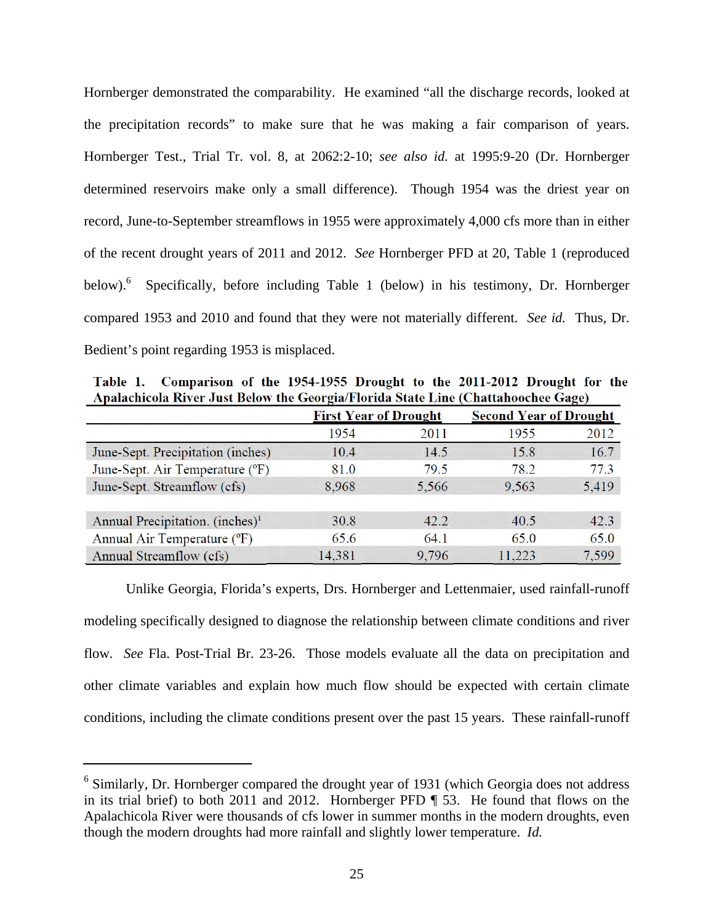Hornberger demonstrated the comparability. He examined "all the discharge records, looked at the precipitation records" to make sure that he was making a fair comparison of years. Hornberger Test., Trial Tr. vol. 8, at 2062:2-10; *see also id.* at 1995:9-20 (Dr. Hornberger determined reservoirs make only a small difference). Though 1954 was the driest year on record, June-to-September streamflows in 1955 were approximately 4,000 cfs more than in either of the recent drought years of 2011 and 2012. *See* Hornberger PFD at 20, Table 1 (reproduced below).<sup>6</sup> Specifically, before including Table 1 (below) in his testimony, Dr. Hornberger compared 1953 and 2010 and found that they were not materially different. *See id.* Thus, Dr. Bedient's point regarding 1953 is misplaced.

|                                             | Apalachicola River Just Below the Georgia/Florida State Line (Chattahoochee Gage) |       |                               |       |  |
|---------------------------------------------|-----------------------------------------------------------------------------------|-------|-------------------------------|-------|--|
|                                             | <b>First Year of Drought</b>                                                      |       | <b>Second Year of Drought</b> |       |  |
|                                             | 1954                                                                              | 2011  | 1955                          | 2012  |  |
| June-Sept. Precipitation (inches)           | 10.4                                                                              | 14.5  | 15.8                          | 16.7  |  |
| June-Sept. Air Temperature (°F)             | 81.0                                                                              | 79.5  | 78.2                          | 77.3  |  |
| June-Sept. Streamflow (cfs)                 | 8,968                                                                             | 5,566 | 9,563                         | 5,419 |  |
| Annual Precipitation. (inches) <sup>1</sup> | 30.8                                                                              | 42.2  | 40.5                          | 42.3  |  |
| Annual Air Temperature (°F)                 | 65.6                                                                              | 64.1  | 65.0                          | 65.0  |  |
| Annual Streamflow (cfs)                     | 14.381                                                                            | 9.796 | 11.223                        | 7.599 |  |

**Table 1. Comparison of the 1954-1955 Drought to the 2011-2012 Drought for the Apalachicola River Just Below the Georgia/Florida State Line (Chattahoochee Gage)** 

 Unlike Georgia, Florida's experts, Drs. Hornberger and Lettenmaier, used rainfall-runoff modeling specifically designed to diagnose the relationship between climate conditions and river flow. *See* Fla. Post-Trial Br. 23-26. Those models evaluate all the data on precipitation and other climate variables and explain how much flow should be expected with certain climate conditions, including the climate conditions present over the past 15 years. These rainfall-runoff

l

 $6$  Similarly, Dr. Hornberger compared the drought year of 1931 (which Georgia does not address in its trial brief) to both 2011 and 2012. Hornberger PFD ¶ 53. He found that flows on the Apalachicola River were thousands of cfs lower in summer months in the modern droughts, even though the modern droughts had more rainfall and slightly lower temperature. *Id.*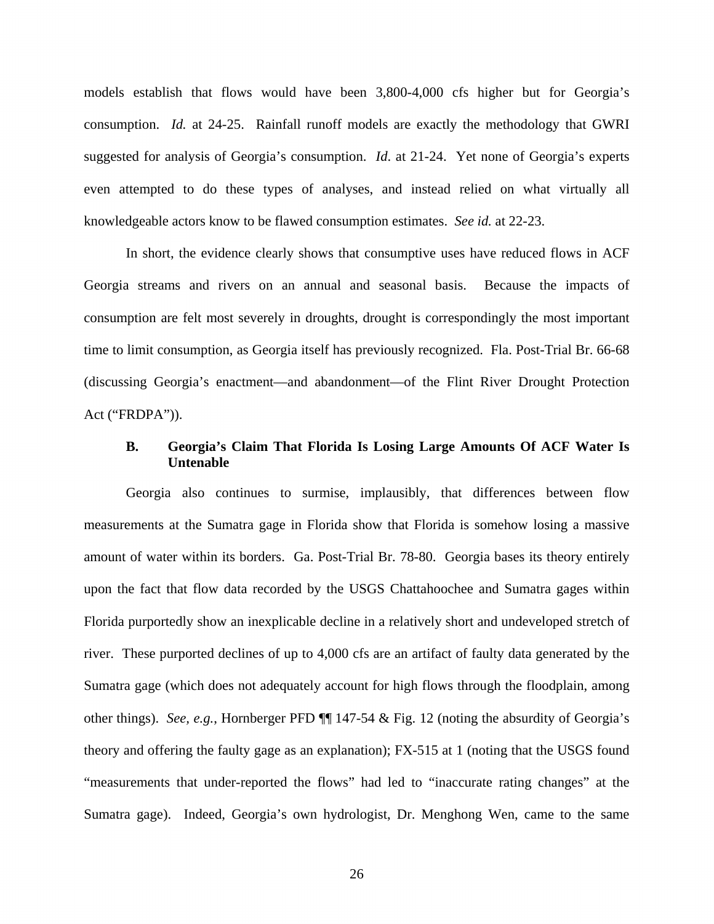models establish that flows would have been 3,800-4,000 cfs higher but for Georgia's consumption. *Id.* at 24-25. Rainfall runoff models are exactly the methodology that GWRI suggested for analysis of Georgia's consumption. *Id*. at 21-24. Yet none of Georgia's experts even attempted to do these types of analyses, and instead relied on what virtually all knowledgeable actors know to be flawed consumption estimates. *See id.* at 22-23.

 In short, the evidence clearly shows that consumptive uses have reduced flows in ACF Georgia streams and rivers on an annual and seasonal basis. Because the impacts of consumption are felt most severely in droughts, drought is correspondingly the most important time to limit consumption, as Georgia itself has previously recognized. Fla. Post-Trial Br. 66-68 (discussing Georgia's enactment—and abandonment—of the Flint River Drought Protection Act ("FRDPA")).

## **B. Georgia's Claim That Florida Is Losing Large Amounts Of ACF Water Is Untenable**

Georgia also continues to surmise, implausibly, that differences between flow measurements at the Sumatra gage in Florida show that Florida is somehow losing a massive amount of water within its borders. Ga. Post-Trial Br. 78-80. Georgia bases its theory entirely upon the fact that flow data recorded by the USGS Chattahoochee and Sumatra gages within Florida purportedly show an inexplicable decline in a relatively short and undeveloped stretch of river. These purported declines of up to 4,000 cfs are an artifact of faulty data generated by the Sumatra gage (which does not adequately account for high flows through the floodplain, among other things). *See, e.g.*, Hornberger PFD ¶¶ 147-54 & Fig. 12 (noting the absurdity of Georgia's theory and offering the faulty gage as an explanation); FX-515 at 1 (noting that the USGS found "measurements that under-reported the flows" had led to "inaccurate rating changes" at the Sumatra gage). Indeed, Georgia's own hydrologist, Dr. Menghong Wen, came to the same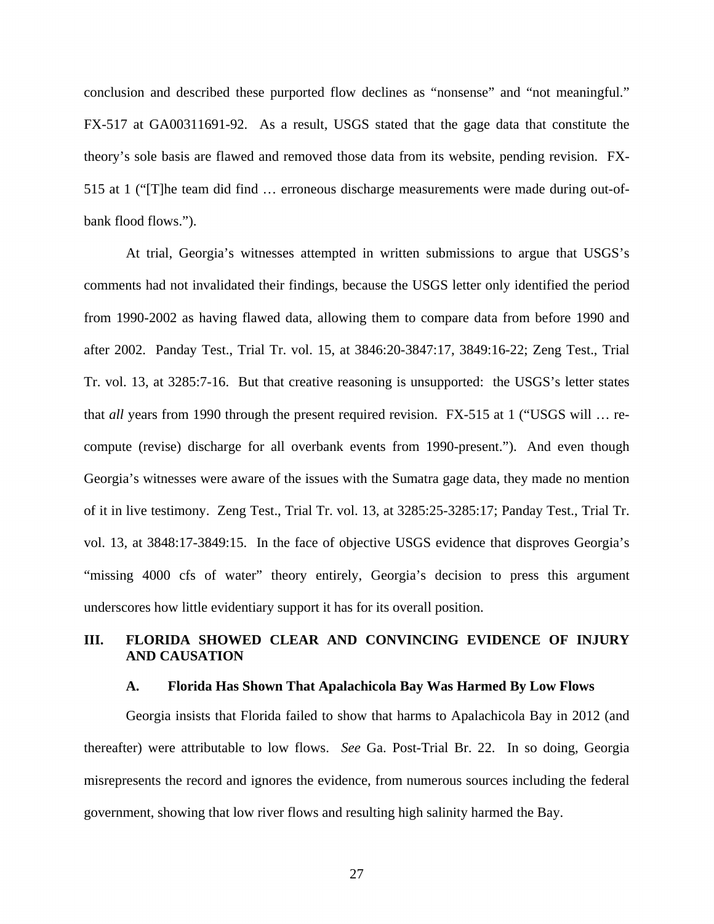conclusion and described these purported flow declines as "nonsense" and "not meaningful." FX-517 at GA00311691-92. As a result, USGS stated that the gage data that constitute the theory's sole basis are flawed and removed those data from its website, pending revision. FX-515 at 1 ("[T]he team did find … erroneous discharge measurements were made during out-ofbank flood flows.").

At trial, Georgia's witnesses attempted in written submissions to argue that USGS's comments had not invalidated their findings, because the USGS letter only identified the period from 1990-2002 as having flawed data, allowing them to compare data from before 1990 and after 2002. Panday Test., Trial Tr. vol. 15, at 3846:20-3847:17, 3849:16-22; Zeng Test., Trial Tr. vol. 13, at 3285:7-16. But that creative reasoning is unsupported: the USGS's letter states that *all* years from 1990 through the present required revision. FX-515 at 1 ("USGS will … recompute (revise) discharge for all overbank events from 1990-present."). And even though Georgia's witnesses were aware of the issues with the Sumatra gage data, they made no mention of it in live testimony. Zeng Test., Trial Tr. vol. 13, at 3285:25-3285:17; Panday Test., Trial Tr. vol. 13, at 3848:17-3849:15. In the face of objective USGS evidence that disproves Georgia's "missing 4000 cfs of water" theory entirely, Georgia's decision to press this argument underscores how little evidentiary support it has for its overall position.

## **III. FLORIDA SHOWED CLEAR AND CONVINCING EVIDENCE OF INJURY AND CAUSATION**

#### **A. Florida Has Shown That Apalachicola Bay Was Harmed By Low Flows**

Georgia insists that Florida failed to show that harms to Apalachicola Bay in 2012 (and thereafter) were attributable to low flows. *See* Ga. Post-Trial Br. 22. In so doing, Georgia misrepresents the record and ignores the evidence, from numerous sources including the federal government, showing that low river flows and resulting high salinity harmed the Bay.

27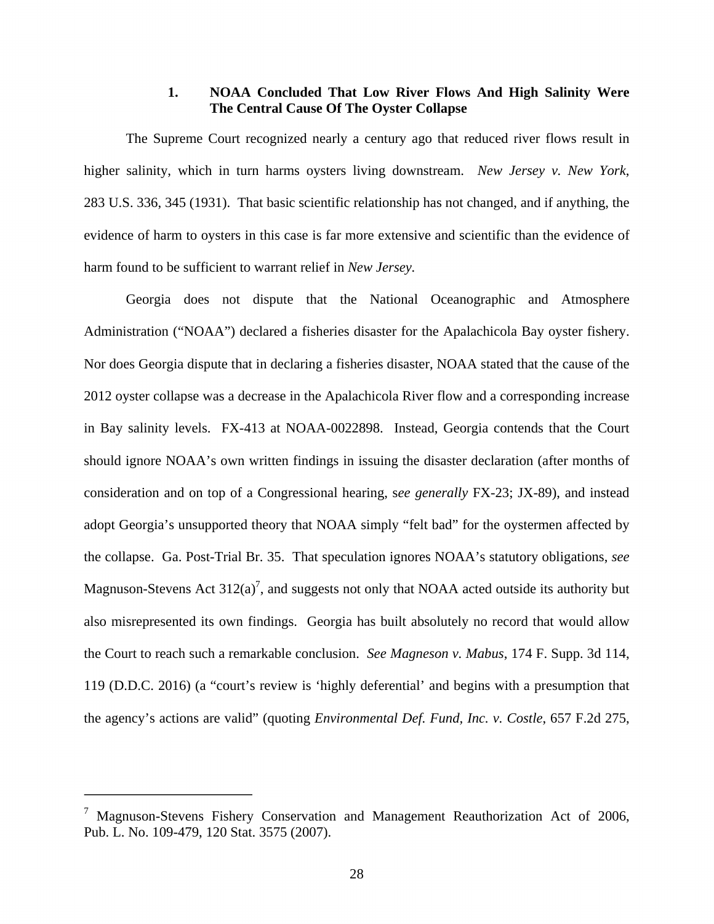## **1. NOAA Concluded That Low River Flows And High Salinity Were The Central Cause Of The Oyster Collapse**

The Supreme Court recognized nearly a century ago that reduced river flows result in higher salinity, which in turn harms oysters living downstream. *New Jersey v. New York*, 283 U.S. 336, 345 (1931). That basic scientific relationship has not changed, and if anything, the evidence of harm to oysters in this case is far more extensive and scientific than the evidence of harm found to be sufficient to warrant relief in *New Jersey.*

Georgia does not dispute that the National Oceanographic and Atmosphere Administration ("NOAA") declared a fisheries disaster for the Apalachicola Bay oyster fishery. Nor does Georgia dispute that in declaring a fisheries disaster, NOAA stated that the cause of the 2012 oyster collapse was a decrease in the Apalachicola River flow and a corresponding increase in Bay salinity levels. FX-413 at NOAA-0022898. Instead, Georgia contends that the Court should ignore NOAA's own written findings in issuing the disaster declaration (after months of consideration and on top of a Congressional hearing, s*ee generally* FX-23; JX-89), and instead adopt Georgia's unsupported theory that NOAA simply "felt bad" for the oystermen affected by the collapse. Ga. Post-Trial Br. 35. That speculation ignores NOAA's statutory obligations, *see* Magnuson-Stevens Act  $312(a)^7$ , and suggests not only that NOAA acted outside its authority but also misrepresented its own findings. Georgia has built absolutely no record that would allow the Court to reach such a remarkable conclusion. *See Magneson v. Mabus*, 174 F. Supp. 3d 114, 119 (D.D.C. 2016) (a "court's review is 'highly deferential' and begins with a presumption that the agency's actions are valid" (quoting *Environmental Def. Fund, Inc. v. Costle*, 657 F.2d 275,

 $\overline{a}$ 

 $7$  Magnuson-Stevens Fishery Conservation and Management Reauthorization Act of 2006, Pub. L. No. 109-479, 120 Stat. 3575 (2007).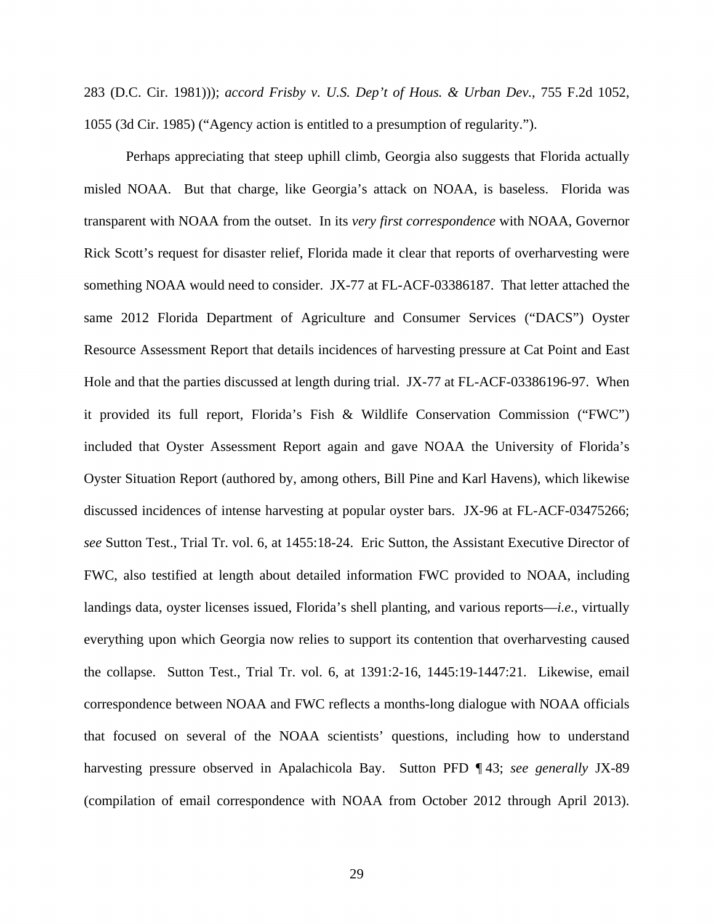283 (D.C. Cir. 1981))); *accord Frisby v. U.S. Dep't of Hous. & Urban Dev.*, 755 F.2d 1052, 1055 (3d Cir. 1985) ("Agency action is entitled to a presumption of regularity.").

Perhaps appreciating that steep uphill climb, Georgia also suggests that Florida actually misled NOAA. But that charge, like Georgia's attack on NOAA, is baseless. Florida was transparent with NOAA from the outset. In its *very first correspondence* with NOAA, Governor Rick Scott's request for disaster relief, Florida made it clear that reports of overharvesting were something NOAA would need to consider. JX-77 at FL-ACF-03386187. That letter attached the same 2012 Florida Department of Agriculture and Consumer Services ("DACS") Oyster Resource Assessment Report that details incidences of harvesting pressure at Cat Point and East Hole and that the parties discussed at length during trial. JX-77 at FL-ACF-03386196-97. When it provided its full report, Florida's Fish & Wildlife Conservation Commission ("FWC") included that Oyster Assessment Report again and gave NOAA the University of Florida's Oyster Situation Report (authored by, among others, Bill Pine and Karl Havens), which likewise discussed incidences of intense harvesting at popular oyster bars. JX-96 at FL-ACF-03475266; *see* Sutton Test., Trial Tr. vol. 6, at 1455:18-24. Eric Sutton, the Assistant Executive Director of FWC, also testified at length about detailed information FWC provided to NOAA, including landings data, oyster licenses issued, Florida's shell planting, and various reports—*i.e.*, virtually everything upon which Georgia now relies to support its contention that overharvesting caused the collapse. Sutton Test., Trial Tr. vol. 6, at 1391:2-16, 1445:19-1447:21. Likewise, email correspondence between NOAA and FWC reflects a months-long dialogue with NOAA officials that focused on several of the NOAA scientists' questions, including how to understand harvesting pressure observed in Apalachicola Bay. Sutton PFD ¶ 43; *see generally* JX-89 (compilation of email correspondence with NOAA from October 2012 through April 2013).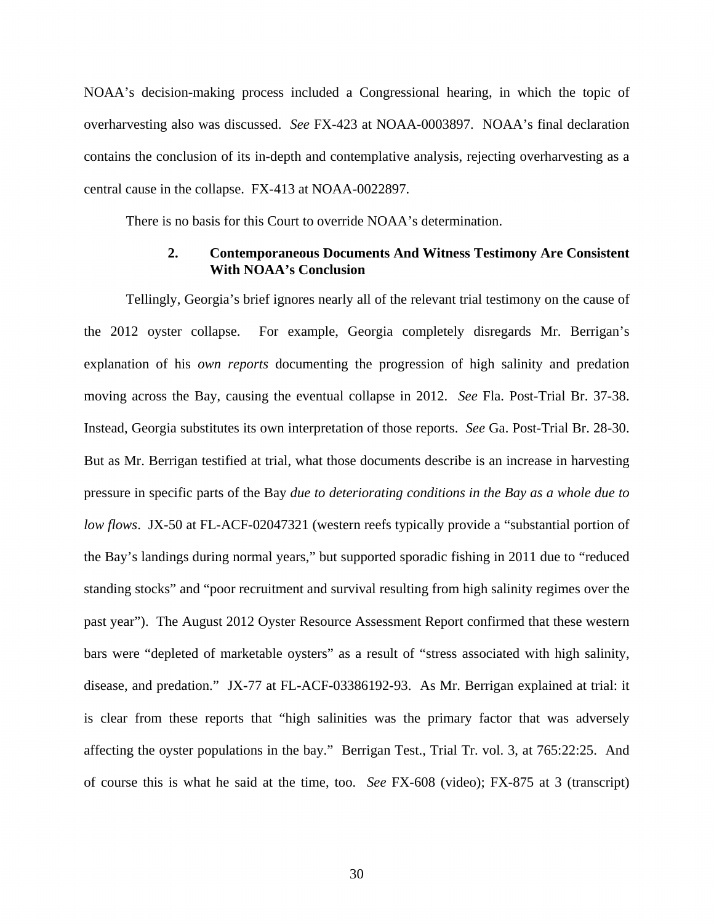NOAA's decision-making process included a Congressional hearing, in which the topic of overharvesting also was discussed. *See* FX-423 at NOAA-0003897. NOAA's final declaration contains the conclusion of its in-depth and contemplative analysis, rejecting overharvesting as a central cause in the collapse. FX-413 at NOAA-0022897.

There is no basis for this Court to override NOAA's determination.

## **2. Contemporaneous Documents And Witness Testimony Are Consistent With NOAA's Conclusion**

Tellingly, Georgia's brief ignores nearly all of the relevant trial testimony on the cause of the 2012 oyster collapse. For example, Georgia completely disregards Mr. Berrigan's explanation of his *own reports* documenting the progression of high salinity and predation moving across the Bay, causing the eventual collapse in 2012. *See* Fla. Post-Trial Br. 37-38. Instead, Georgia substitutes its own interpretation of those reports. *See* Ga. Post-Trial Br. 28-30. But as Mr. Berrigan testified at trial, what those documents describe is an increase in harvesting pressure in specific parts of the Bay *due to deteriorating conditions in the Bay as a whole due to low flows*. JX-50 at FL-ACF-02047321 (western reefs typically provide a "substantial portion of the Bay's landings during normal years," but supported sporadic fishing in 2011 due to "reduced standing stocks" and "poor recruitment and survival resulting from high salinity regimes over the past year"). The August 2012 Oyster Resource Assessment Report confirmed that these western bars were "depleted of marketable oysters" as a result of "stress associated with high salinity, disease, and predation." JX-77 at FL-ACF-03386192-93. As Mr. Berrigan explained at trial: it is clear from these reports that "high salinities was the primary factor that was adversely affecting the oyster populations in the bay." Berrigan Test., Trial Tr. vol. 3, at 765:22:25. And of course this is what he said at the time, too. *See* FX-608 (video); FX-875 at 3 (transcript)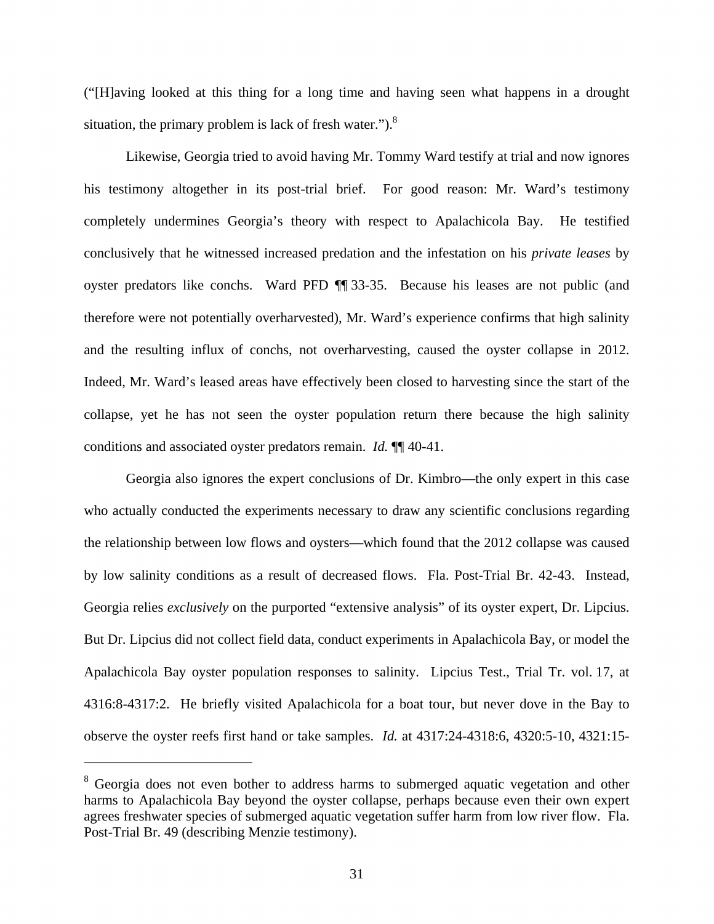("[H]aving looked at this thing for a long time and having seen what happens in a drought situation, the primary problem is lack of fresh water." $)$ .<sup>8</sup>

Likewise, Georgia tried to avoid having Mr. Tommy Ward testify at trial and now ignores his testimony altogether in its post-trial brief. For good reason: Mr. Ward's testimony completely undermines Georgia's theory with respect to Apalachicola Bay. He testified conclusively that he witnessed increased predation and the infestation on his *private leases* by oyster predators like conchs. Ward PFD ¶¶ 33-35. Because his leases are not public (and therefore were not potentially overharvested), Mr. Ward's experience confirms that high salinity and the resulting influx of conchs, not overharvesting, caused the oyster collapse in 2012. Indeed, Mr. Ward's leased areas have effectively been closed to harvesting since the start of the collapse, yet he has not seen the oyster population return there because the high salinity conditions and associated oyster predators remain. *Id.* ¶¶ 40-41.

Georgia also ignores the expert conclusions of Dr. Kimbro—the only expert in this case who actually conducted the experiments necessary to draw any scientific conclusions regarding the relationship between low flows and oysters—which found that the 2012 collapse was caused by low salinity conditions as a result of decreased flows. Fla. Post-Trial Br. 42-43. Instead, Georgia relies *exclusively* on the purported "extensive analysis" of its oyster expert, Dr. Lipcius. But Dr. Lipcius did not collect field data, conduct experiments in Apalachicola Bay, or model the Apalachicola Bay oyster population responses to salinity. Lipcius Test., Trial Tr. vol. 17, at 4316:8-4317:2. He briefly visited Apalachicola for a boat tour, but never dove in the Bay to observe the oyster reefs first hand or take samples. *Id.* at 4317:24-4318:6, 4320:5-10, 4321:15-

<sup>&</sup>lt;sup>8</sup> Georgia does not even bother to address harms to submerged aquatic vegetation and other harms to Apalachicola Bay beyond the oyster collapse, perhaps because even their own expert agrees freshwater species of submerged aquatic vegetation suffer harm from low river flow. Fla. Post-Trial Br. 49 (describing Menzie testimony).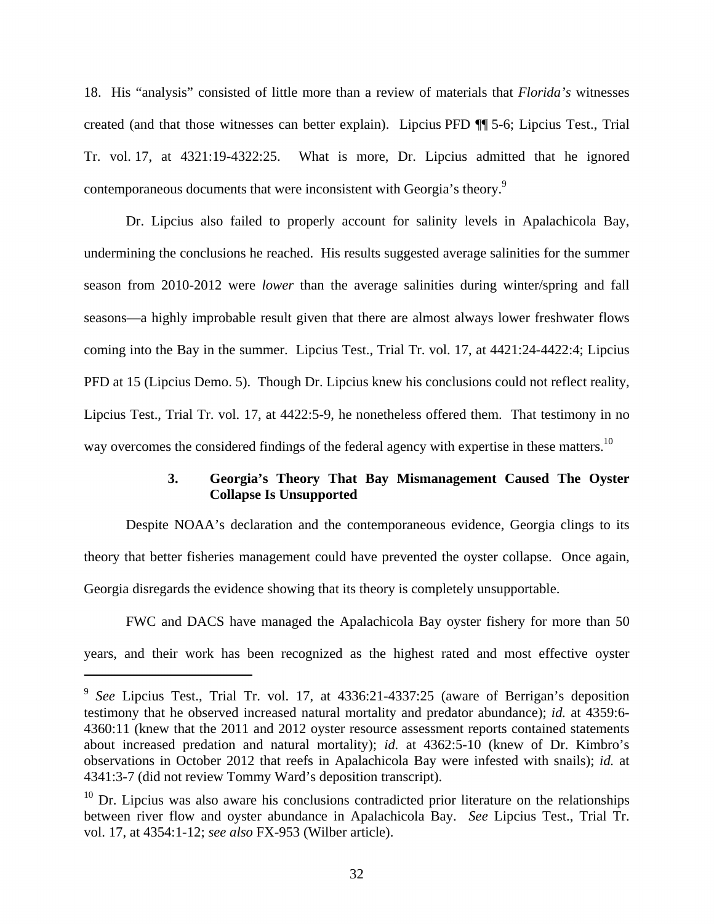18. His "analysis" consisted of little more than a review of materials that *Florida's* witnesses created (and that those witnesses can better explain). Lipcius PFD ¶¶ 5-6; Lipcius Test., Trial Tr. vol. 17, at 4321:19-4322:25. What is more, Dr. Lipcius admitted that he ignored contemporaneous documents that were inconsistent with Georgia's theory.<sup>9</sup>

Dr. Lipcius also failed to properly account for salinity levels in Apalachicola Bay, undermining the conclusions he reached. His results suggested average salinities for the summer season from 2010-2012 were *lower* than the average salinities during winter/spring and fall seasons—a highly improbable result given that there are almost always lower freshwater flows coming into the Bay in the summer. Lipcius Test., Trial Tr. vol. 17, at 4421:24-4422:4; Lipcius PFD at 15 (Lipcius Demo. 5). Though Dr. Lipcius knew his conclusions could not reflect reality, Lipcius Test., Trial Tr. vol. 17, at 4422:5-9, he nonetheless offered them. That testimony in no way overcomes the considered findings of the federal agency with expertise in these matters.<sup>10</sup>

# **3. Georgia's Theory That Bay Mismanagement Caused The Oyster Collapse Is Unsupported**

Despite NOAA's declaration and the contemporaneous evidence, Georgia clings to its theory that better fisheries management could have prevented the oyster collapse. Once again, Georgia disregards the evidence showing that its theory is completely unsupportable.

FWC and DACS have managed the Apalachicola Bay oyster fishery for more than 50 years, and their work has been recognized as the highest rated and most effective oyster

<u>.</u>

<sup>9</sup> *See* Lipcius Test., Trial Tr. vol. 17, at 4336:21-4337:25 (aware of Berrigan's deposition testimony that he observed increased natural mortality and predator abundance); *id.* at 4359:6- 4360:11 (knew that the 2011 and 2012 oyster resource assessment reports contained statements about increased predation and natural mortality); *id.* at 4362:5-10 (knew of Dr. Kimbro's observations in October 2012 that reefs in Apalachicola Bay were infested with snails); *id.* at 4341:3-7 (did not review Tommy Ward's deposition transcript).

 $10$  Dr. Lipcius was also aware his conclusions contradicted prior literature on the relationships between river flow and oyster abundance in Apalachicola Bay. *See* Lipcius Test., Trial Tr. vol. 17, at 4354:1-12; *see also* FX-953 (Wilber article).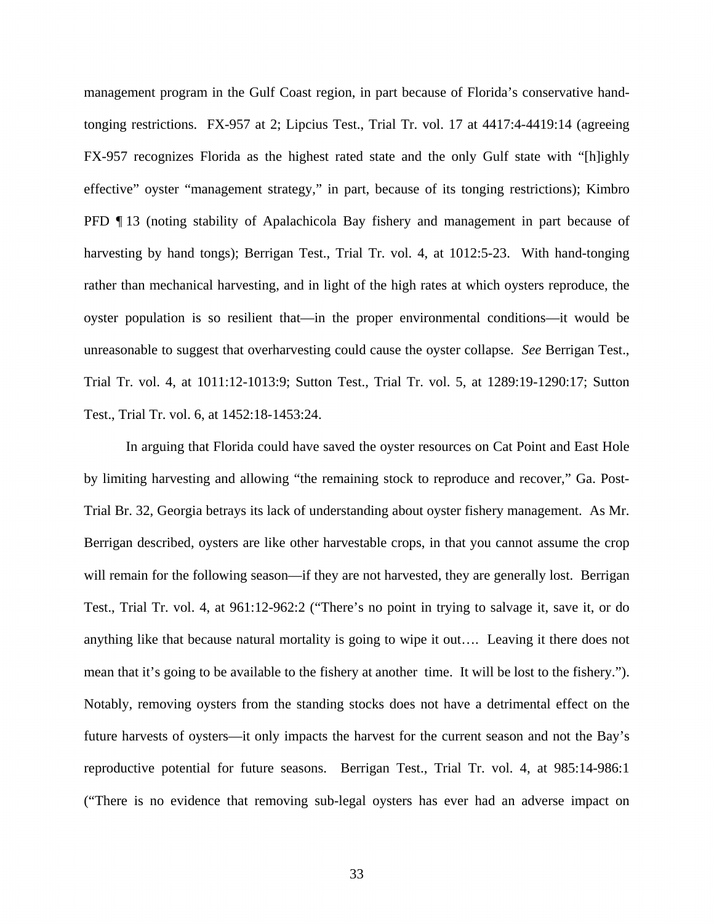management program in the Gulf Coast region, in part because of Florida's conservative handtonging restrictions. FX-957 at 2; Lipcius Test., Trial Tr. vol. 17 at 4417:4-4419:14 (agreeing FX-957 recognizes Florida as the highest rated state and the only Gulf state with "[h]ighly effective" oyster "management strategy," in part, because of its tonging restrictions); Kimbro PFD ¶ 13 (noting stability of Apalachicola Bay fishery and management in part because of harvesting by hand tongs); Berrigan Test., Trial Tr. vol. 4, at 1012:5-23. With hand-tonging rather than mechanical harvesting, and in light of the high rates at which oysters reproduce, the oyster population is so resilient that—in the proper environmental conditions—it would be unreasonable to suggest that overharvesting could cause the oyster collapse. *See* Berrigan Test., Trial Tr. vol. 4, at 1011:12-1013:9; Sutton Test., Trial Tr. vol. 5, at 1289:19-1290:17; Sutton Test., Trial Tr. vol. 6, at 1452:18-1453:24.

In arguing that Florida could have saved the oyster resources on Cat Point and East Hole by limiting harvesting and allowing "the remaining stock to reproduce and recover," Ga. Post-Trial Br. 32, Georgia betrays its lack of understanding about oyster fishery management. As Mr. Berrigan described, oysters are like other harvestable crops, in that you cannot assume the crop will remain for the following season—if they are not harvested, they are generally lost. Berrigan Test., Trial Tr. vol. 4, at 961:12-962:2 ("There's no point in trying to salvage it, save it, or do anything like that because natural mortality is going to wipe it out…. Leaving it there does not mean that it's going to be available to the fishery at another time. It will be lost to the fishery."). Notably, removing oysters from the standing stocks does not have a detrimental effect on the future harvests of oysters—it only impacts the harvest for the current season and not the Bay's reproductive potential for future seasons. Berrigan Test., Trial Tr. vol. 4, at 985:14-986:1 ("There is no evidence that removing sub-legal oysters has ever had an adverse impact on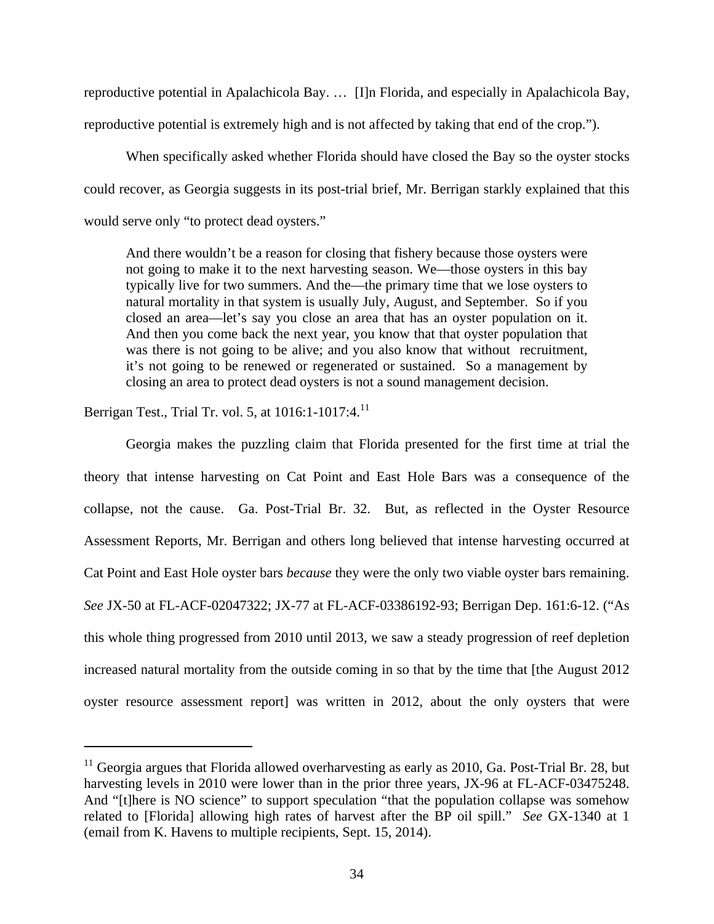reproductive potential in Apalachicola Bay. … [I]n Florida, and especially in Apalachicola Bay, reproductive potential is extremely high and is not affected by taking that end of the crop.").

When specifically asked whether Florida should have closed the Bay so the oyster stocks could recover, as Georgia suggests in its post-trial brief, Mr. Berrigan starkly explained that this would serve only "to protect dead oysters."

And there wouldn't be a reason for closing that fishery because those oysters were not going to make it to the next harvesting season. We—those oysters in this bay typically live for two summers. And the—the primary time that we lose oysters to natural mortality in that system is usually July, August, and September. So if you closed an area—let's say you close an area that has an oyster population on it. And then you come back the next year, you know that that oyster population that was there is not going to be alive; and you also know that without recruitment, it's not going to be renewed or regenerated or sustained. So a management by closing an area to protect dead oysters is not a sound management decision.

Berrigan Test., Trial Tr. vol. 5, at 1016:1-1017:4.<sup>11</sup>

 $\overline{\phantom{a}}$ 

Georgia makes the puzzling claim that Florida presented for the first time at trial the theory that intense harvesting on Cat Point and East Hole Bars was a consequence of the collapse, not the cause. Ga. Post-Trial Br. 32. But, as reflected in the Oyster Resource Assessment Reports, Mr. Berrigan and others long believed that intense harvesting occurred at Cat Point and East Hole oyster bars *because* they were the only two viable oyster bars remaining. *See* JX-50 at FL-ACF-02047322; JX-77 at FL-ACF-03386192-93; Berrigan Dep. 161:6-12. ("As this whole thing progressed from 2010 until 2013, we saw a steady progression of reef depletion increased natural mortality from the outside coming in so that by the time that [the August 2012 oyster resource assessment report] was written in 2012, about the only oysters that were

 $11$  Georgia argues that Florida allowed overharvesting as early as 2010, Ga. Post-Trial Br. 28, but harvesting levels in 2010 were lower than in the prior three years, JX-96 at FL-ACF-03475248. And "[t]here is NO science" to support speculation "that the population collapse was somehow related to [Florida] allowing high rates of harvest after the BP oil spill." *See* GX-1340 at 1 (email from K. Havens to multiple recipients, Sept. 15, 2014).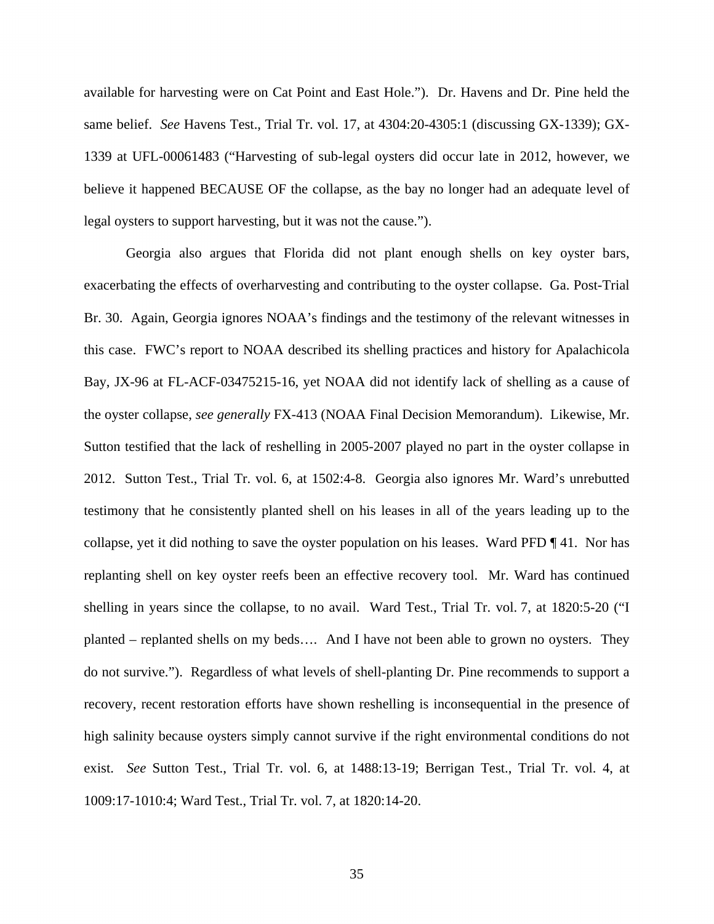available for harvesting were on Cat Point and East Hole."). Dr. Havens and Dr. Pine held the same belief. *See* Havens Test., Trial Tr. vol. 17, at 4304:20-4305:1 (discussing GX-1339); GX-1339 at UFL-00061483 ("Harvesting of sub-legal oysters did occur late in 2012, however, we believe it happened BECAUSE OF the collapse, as the bay no longer had an adequate level of legal oysters to support harvesting, but it was not the cause.").

Georgia also argues that Florida did not plant enough shells on key oyster bars, exacerbating the effects of overharvesting and contributing to the oyster collapse. Ga. Post-Trial Br. 30. Again, Georgia ignores NOAA's findings and the testimony of the relevant witnesses in this case. FWC's report to NOAA described its shelling practices and history for Apalachicola Bay, JX-96 at FL-ACF-03475215-16, yet NOAA did not identify lack of shelling as a cause of the oyster collapse, *see generally* FX-413 (NOAA Final Decision Memorandum). Likewise, Mr. Sutton testified that the lack of reshelling in 2005-2007 played no part in the oyster collapse in 2012. Sutton Test., Trial Tr. vol. 6, at 1502:4-8. Georgia also ignores Mr. Ward's unrebutted testimony that he consistently planted shell on his leases in all of the years leading up to the collapse, yet it did nothing to save the oyster population on his leases. Ward PFD ¶ 41. Nor has replanting shell on key oyster reefs been an effective recovery tool. Mr. Ward has continued shelling in years since the collapse, to no avail. Ward Test., Trial Tr. vol. 7, at 1820:5-20 ("I planted – replanted shells on my beds…. And I have not been able to grown no oysters. They do not survive."). Regardless of what levels of shell-planting Dr. Pine recommends to support a recovery, recent restoration efforts have shown reshelling is inconsequential in the presence of high salinity because oysters simply cannot survive if the right environmental conditions do not exist. *See* Sutton Test., Trial Tr. vol. 6, at 1488:13-19; Berrigan Test., Trial Tr. vol. 4, at 1009:17-1010:4; Ward Test., Trial Tr. vol. 7, at 1820:14-20.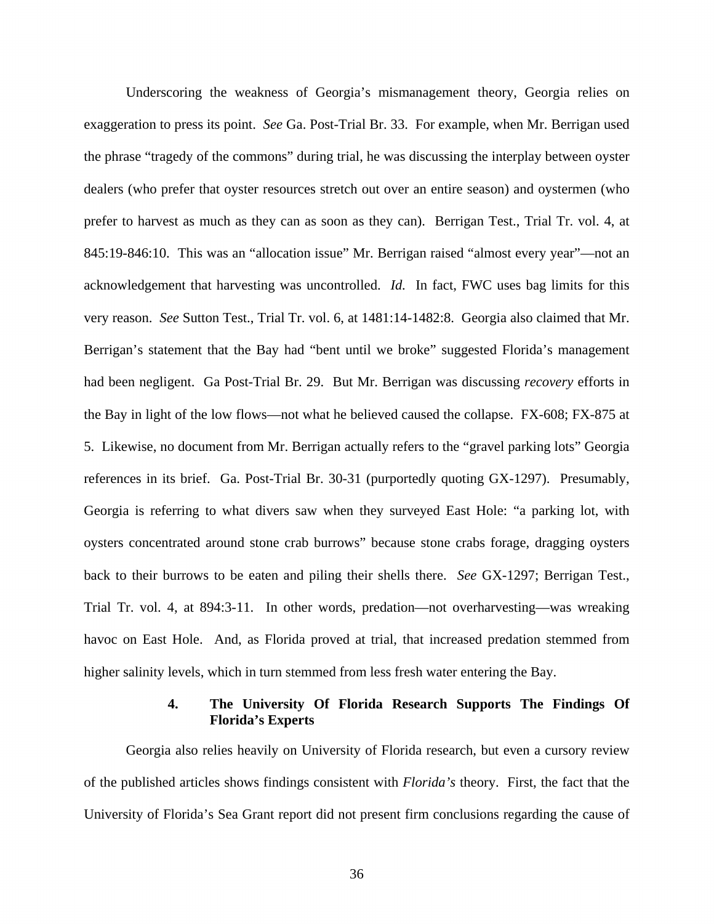Underscoring the weakness of Georgia's mismanagement theory, Georgia relies on exaggeration to press its point. *See* Ga. Post-Trial Br. 33. For example, when Mr. Berrigan used the phrase "tragedy of the commons" during trial, he was discussing the interplay between oyster dealers (who prefer that oyster resources stretch out over an entire season) and oystermen (who prefer to harvest as much as they can as soon as they can). Berrigan Test., Trial Tr. vol. 4, at 845:19-846:10. This was an "allocation issue" Mr. Berrigan raised "almost every year"—not an acknowledgement that harvesting was uncontrolled. *Id.* In fact, FWC uses bag limits for this very reason. *See* Sutton Test., Trial Tr. vol. 6, at 1481:14-1482:8. Georgia also claimed that Mr. Berrigan's statement that the Bay had "bent until we broke" suggested Florida's management had been negligent. Ga Post-Trial Br. 29. But Mr. Berrigan was discussing *recovery* efforts in the Bay in light of the low flows—not what he believed caused the collapse. FX-608; FX-875 at 5. Likewise, no document from Mr. Berrigan actually refers to the "gravel parking lots" Georgia references in its brief. Ga. Post-Trial Br. 30-31 (purportedly quoting GX-1297). Presumably, Georgia is referring to what divers saw when they surveyed East Hole: "a parking lot, with oysters concentrated around stone crab burrows" because stone crabs forage, dragging oysters back to their burrows to be eaten and piling their shells there. *See* GX-1297; Berrigan Test., Trial Tr. vol. 4, at 894:3-11. In other words, predation—not overharvesting—was wreaking havoc on East Hole. And, as Florida proved at trial, that increased predation stemmed from higher salinity levels, which in turn stemmed from less fresh water entering the Bay.

## **4. The University Of Florida Research Supports The Findings Of Florida's Experts**

Georgia also relies heavily on University of Florida research, but even a cursory review of the published articles shows findings consistent with *Florida's* theory. First, the fact that the University of Florida's Sea Grant report did not present firm conclusions regarding the cause of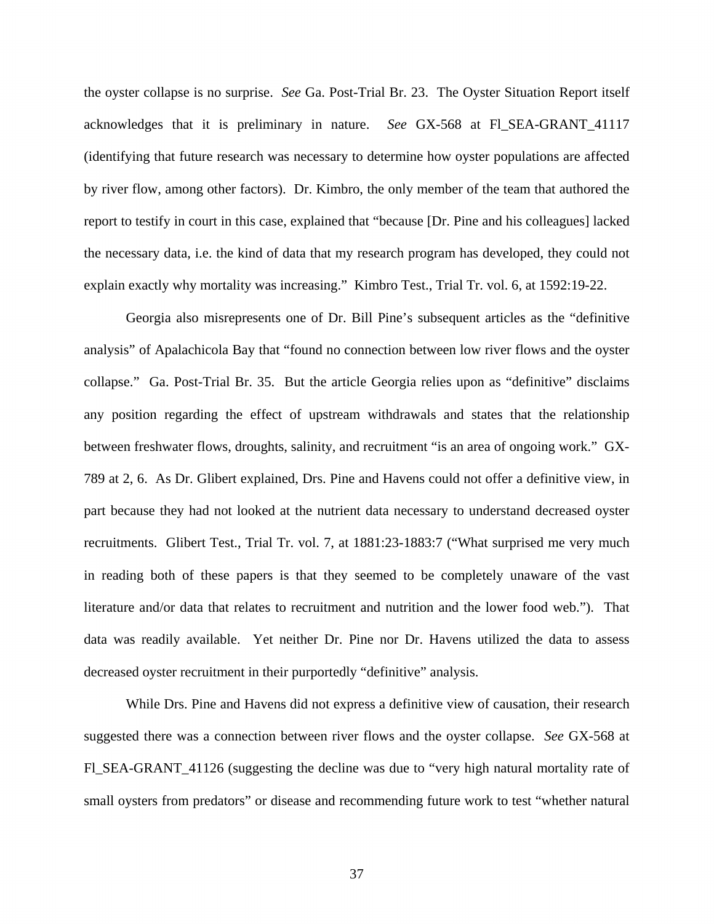the oyster collapse is no surprise. *See* Ga. Post-Trial Br. 23. The Oyster Situation Report itself acknowledges that it is preliminary in nature. *See* GX-568 at Fl\_SEA-GRANT\_41117 (identifying that future research was necessary to determine how oyster populations are affected by river flow, among other factors). Dr. Kimbro, the only member of the team that authored the report to testify in court in this case, explained that "because [Dr. Pine and his colleagues] lacked the necessary data, i.e. the kind of data that my research program has developed, they could not explain exactly why mortality was increasing." Kimbro Test., Trial Tr. vol. 6, at 1592:19-22.

Georgia also misrepresents one of Dr. Bill Pine's subsequent articles as the "definitive analysis" of Apalachicola Bay that "found no connection between low river flows and the oyster collapse." Ga. Post-Trial Br. 35. But the article Georgia relies upon as "definitive" disclaims any position regarding the effect of upstream withdrawals and states that the relationship between freshwater flows, droughts, salinity, and recruitment "is an area of ongoing work." GX-789 at 2, 6. As Dr. Glibert explained, Drs. Pine and Havens could not offer a definitive view, in part because they had not looked at the nutrient data necessary to understand decreased oyster recruitments. Glibert Test., Trial Tr. vol. 7, at 1881:23-1883:7 ("What surprised me very much in reading both of these papers is that they seemed to be completely unaware of the vast literature and/or data that relates to recruitment and nutrition and the lower food web."). That data was readily available. Yet neither Dr. Pine nor Dr. Havens utilized the data to assess decreased oyster recruitment in their purportedly "definitive" analysis.

While Drs. Pine and Havens did not express a definitive view of causation, their research suggested there was a connection between river flows and the oyster collapse. *See* GX-568 at Fl\_SEA-GRANT\_41126 (suggesting the decline was due to "very high natural mortality rate of small oysters from predators" or disease and recommending future work to test "whether natural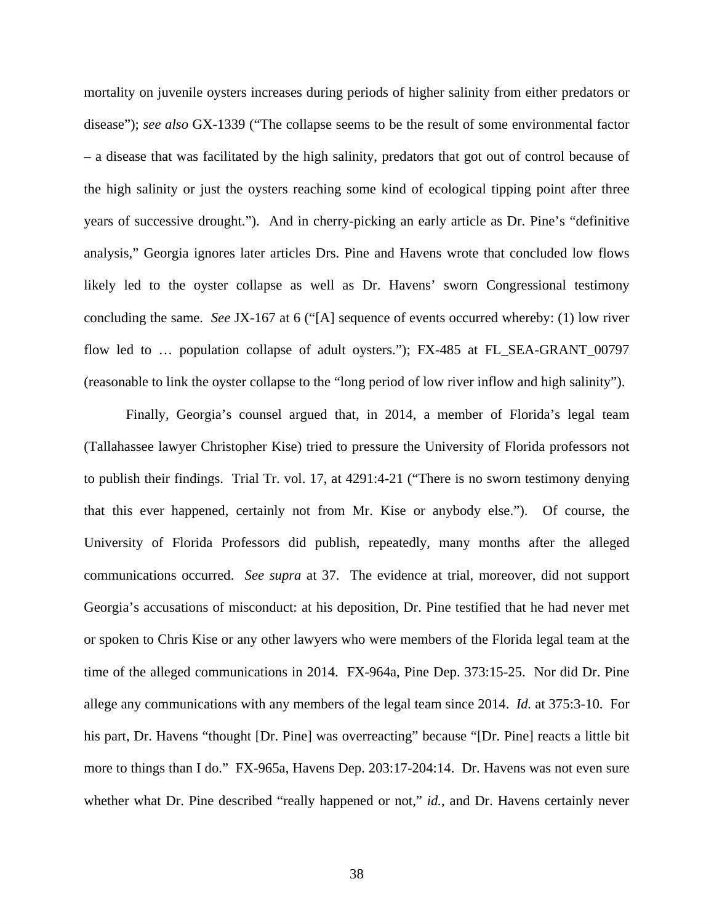mortality on juvenile oysters increases during periods of higher salinity from either predators or disease"); *see also* GX-1339 ("The collapse seems to be the result of some environmental factor – a disease that was facilitated by the high salinity, predators that got out of control because of the high salinity or just the oysters reaching some kind of ecological tipping point after three years of successive drought."). And in cherry-picking an early article as Dr. Pine's "definitive analysis," Georgia ignores later articles Drs. Pine and Havens wrote that concluded low flows likely led to the oyster collapse as well as Dr. Havens' sworn Congressional testimony concluding the same. *See* JX-167 at 6 ("[A] sequence of events occurred whereby: (1) low river flow led to … population collapse of adult oysters."); FX-485 at FL\_SEA-GRANT\_00797 (reasonable to link the oyster collapse to the "long period of low river inflow and high salinity").

Finally, Georgia's counsel argued that, in 2014, a member of Florida's legal team (Tallahassee lawyer Christopher Kise) tried to pressure the University of Florida professors not to publish their findings. Trial Tr. vol. 17, at 4291:4-21 ("There is no sworn testimony denying that this ever happened, certainly not from Mr. Kise or anybody else."). Of course, the University of Florida Professors did publish, repeatedly, many months after the alleged communications occurred. *See supra* at 37. The evidence at trial, moreover, did not support Georgia's accusations of misconduct: at his deposition, Dr. Pine testified that he had never met or spoken to Chris Kise or any other lawyers who were members of the Florida legal team at the time of the alleged communications in 2014. FX-964a, Pine Dep. 373:15-25. Nor did Dr. Pine allege any communications with any members of the legal team since 2014. *Id.* at 375:3-10. For his part, Dr. Havens "thought [Dr. Pine] was overreacting" because "[Dr. Pine] reacts a little bit more to things than I do." FX-965a, Havens Dep. 203:17-204:14. Dr. Havens was not even sure whether what Dr. Pine described "really happened or not," *id.*, and Dr. Havens certainly never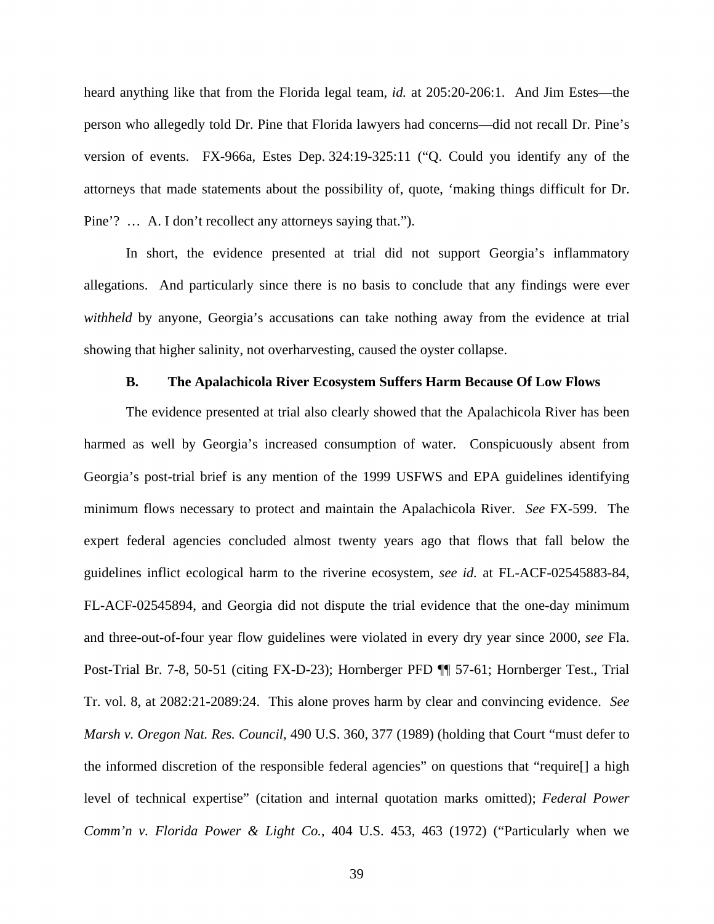heard anything like that from the Florida legal team, *id.* at 205:20-206:1. And Jim Estes—the person who allegedly told Dr. Pine that Florida lawyers had concerns—did not recall Dr. Pine's version of events. FX-966a, Estes Dep. 324:19-325:11 ("Q. Could you identify any of the attorneys that made statements about the possibility of, quote, 'making things difficult for Dr. Pine'? … A. I don't recollect any attorneys saying that.").

In short, the evidence presented at trial did not support Georgia's inflammatory allegations. And particularly since there is no basis to conclude that any findings were ever *withheld* by anyone, Georgia's accusations can take nothing away from the evidence at trial showing that higher salinity, not overharvesting, caused the oyster collapse.

## **B. The Apalachicola River Ecosystem Suffers Harm Because Of Low Flows**

The evidence presented at trial also clearly showed that the Apalachicola River has been harmed as well by Georgia's increased consumption of water. Conspicuously absent from Georgia's post-trial brief is any mention of the 1999 USFWS and EPA guidelines identifying minimum flows necessary to protect and maintain the Apalachicola River. *See* FX-599. The expert federal agencies concluded almost twenty years ago that flows that fall below the guidelines inflict ecological harm to the riverine ecosystem, *see id.* at FL-ACF-02545883-84, FL-ACF-02545894, and Georgia did not dispute the trial evidence that the one-day minimum and three-out-of-four year flow guidelines were violated in every dry year since 2000, *see* Fla. Post-Trial Br. 7-8, 50-51 (citing FX-D-23); Hornberger PFD ¶¶ 57-61; Hornberger Test., Trial Tr. vol. 8, at 2082:21-2089:24. This alone proves harm by clear and convincing evidence. *See Marsh v. Oregon Nat. Res. Council*, 490 U.S. 360, 377 (1989) (holding that Court "must defer to the informed discretion of the responsible federal agencies" on questions that "require[] a high level of technical expertise" (citation and internal quotation marks omitted); *Federal Power Comm'n v. Florida Power & Light Co.*, 404 U.S. 453, 463 (1972) ("Particularly when we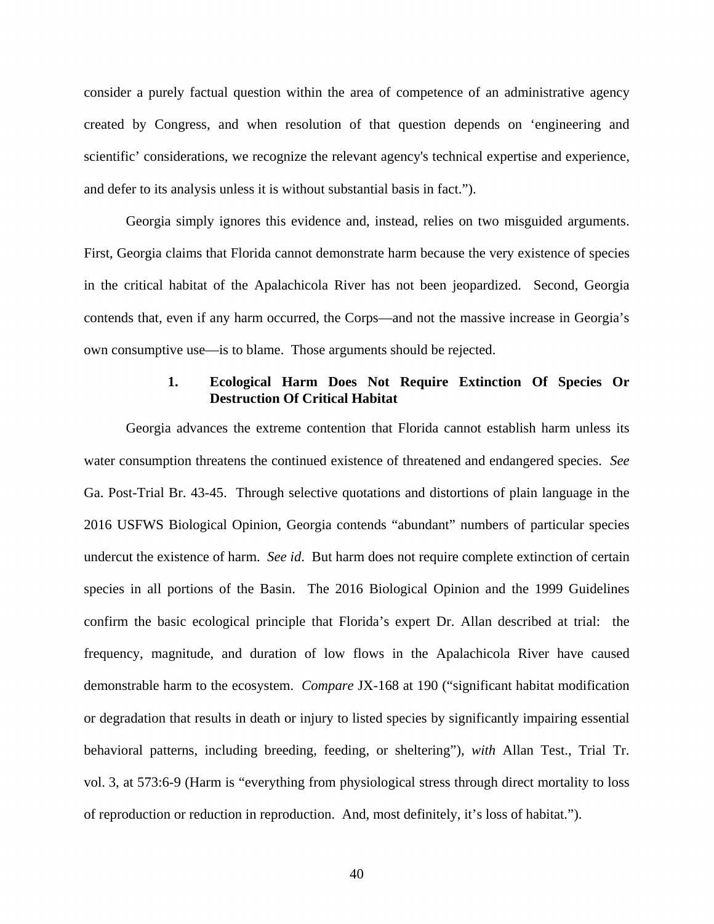consider a purely factual question within the area of competence of an administrative agency created by Congress, and when resolution of that question depends on 'engineering and scientific' considerations, we recognize the relevant agency's technical expertise and experience, and defer to its analysis unless it is without substantial basis in fact.").

Georgia simply ignores this evidence and, instead, relies on two misguided arguments. First, Georgia claims that Florida cannot demonstrate harm because the very existence of species in the critical habitat of the Apalachicola River has not been jeopardized. Second, Georgia contends that, even if any harm occurred, the Corps—and not the massive increase in Georgia's own consumptive use—is to blame. Those arguments should be rejected.

# **1. Ecological Harm Does Not Require Extinction Of Species Or Destruction Of Critical Habitat**

Georgia advances the extreme contention that Florida cannot establish harm unless its water consumption threatens the continued existence of threatened and endangered species. *See* Ga. Post-Trial Br. 43-45. Through selective quotations and distortions of plain language in the 2016 USFWS Biological Opinion, Georgia contends "abundant" numbers of particular species undercut the existence of harm. *See id*. But harm does not require complete extinction of certain species in all portions of the Basin. The 2016 Biological Opinion and the 1999 Guidelines confirm the basic ecological principle that Florida's expert Dr. Allan described at trial: the frequency, magnitude, and duration of low flows in the Apalachicola River have caused demonstrable harm to the ecosystem. *Compare* JX-168 at 190 ("significant habitat modification or degradation that results in death or injury to listed species by significantly impairing essential behavioral patterns, including breeding, feeding, or sheltering"), *with* Allan Test., Trial Tr. vol. 3, at 573:6-9 (Harm is "everything from physiological stress through direct mortality to loss of reproduction or reduction in reproduction. And, most definitely, it's loss of habitat.").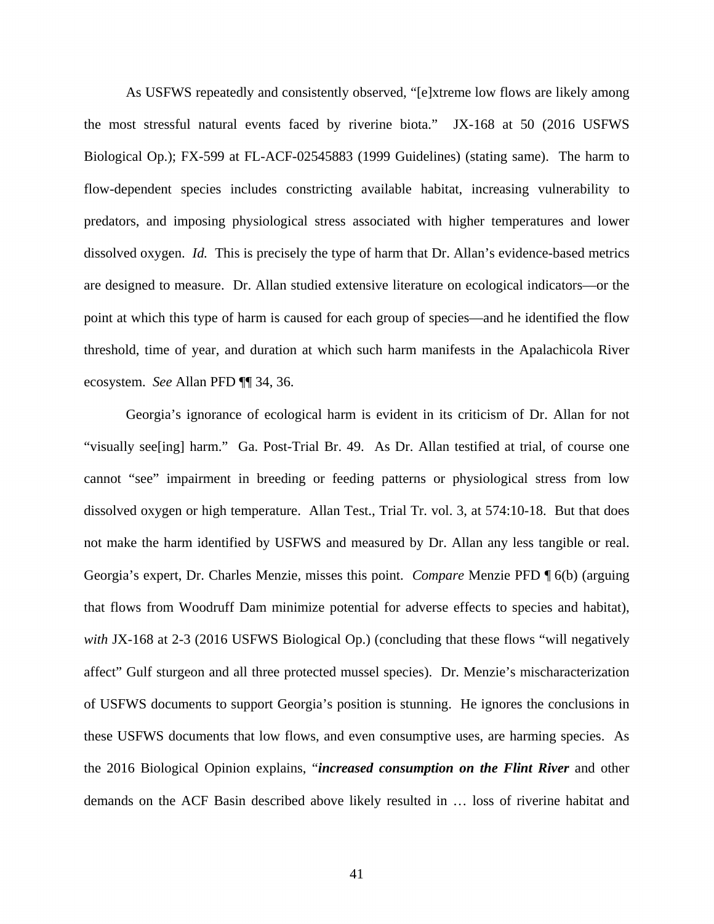As USFWS repeatedly and consistently observed, "[e]xtreme low flows are likely among the most stressful natural events faced by riverine biota." JX-168 at 50 (2016 USFWS Biological Op.); FX-599 at FL-ACF-02545883 (1999 Guidelines) (stating same). The harm to flow-dependent species includes constricting available habitat, increasing vulnerability to predators, and imposing physiological stress associated with higher temperatures and lower dissolved oxygen. *Id.* This is precisely the type of harm that Dr. Allan's evidence-based metrics are designed to measure. Dr. Allan studied extensive literature on ecological indicators—or the point at which this type of harm is caused for each group of species—and he identified the flow threshold, time of year, and duration at which such harm manifests in the Apalachicola River ecosystem. *See* Allan PFD ¶¶ 34, 36.

Georgia's ignorance of ecological harm is evident in its criticism of Dr. Allan for not "visually see[ing] harm." Ga. Post-Trial Br. 49. As Dr. Allan testified at trial, of course one cannot "see" impairment in breeding or feeding patterns or physiological stress from low dissolved oxygen or high temperature. Allan Test., Trial Tr. vol. 3, at 574:10-18. But that does not make the harm identified by USFWS and measured by Dr. Allan any less tangible or real. Georgia's expert, Dr. Charles Menzie, misses this point. *Compare* Menzie PFD ¶ 6(b) (arguing that flows from Woodruff Dam minimize potential for adverse effects to species and habitat), with JX-168 at 2-3 (2016 USFWS Biological Op.) (concluding that these flows "will negatively affect" Gulf sturgeon and all three protected mussel species). Dr. Menzie's mischaracterization of USFWS documents to support Georgia's position is stunning. He ignores the conclusions in these USFWS documents that low flows, and even consumptive uses, are harming species. As the 2016 Biological Opinion explains, "*increased consumption on the Flint River* and other demands on the ACF Basin described above likely resulted in … loss of riverine habitat and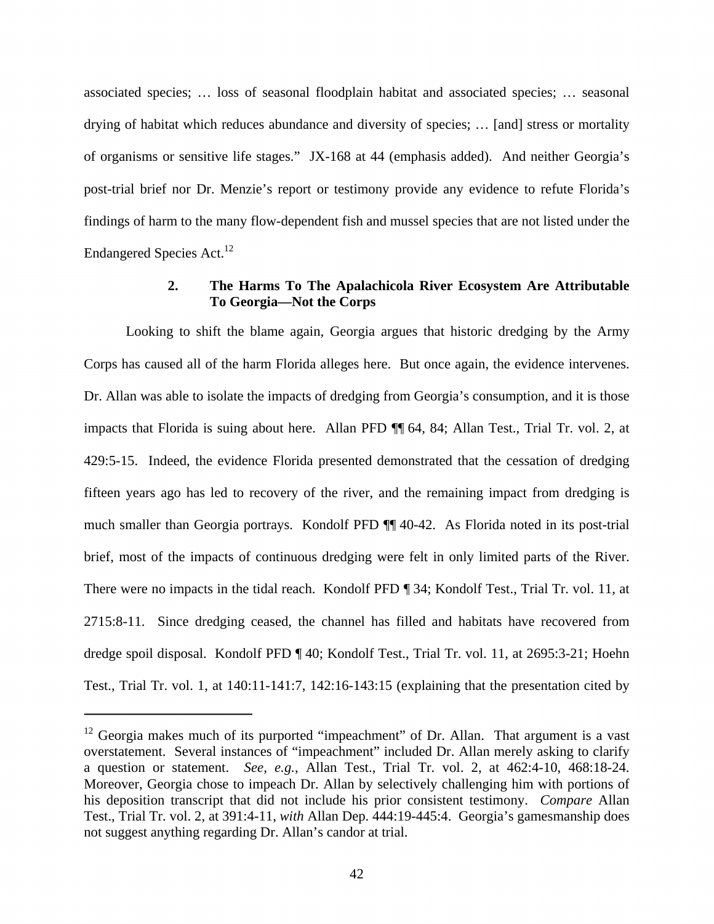associated species; … loss of seasonal floodplain habitat and associated species; … seasonal drying of habitat which reduces abundance and diversity of species; … [and] stress or mortality of organisms or sensitive life stages." JX-168 at 44 (emphasis added). And neither Georgia's post-trial brief nor Dr. Menzie's report or testimony provide any evidence to refute Florida's findings of harm to the many flow-dependent fish and mussel species that are not listed under the Endangered Species Act.<sup>12</sup>

# **2. The Harms To The Apalachicola River Ecosystem Are Attributable To Georgia—Not the Corps**

Looking to shift the blame again, Georgia argues that historic dredging by the Army Corps has caused all of the harm Florida alleges here. But once again, the evidence intervenes. Dr. Allan was able to isolate the impacts of dredging from Georgia's consumption, and it is those impacts that Florida is suing about here. Allan PFD ¶¶ 64, 84; Allan Test., Trial Tr. vol. 2, at 429:5-15. Indeed, the evidence Florida presented demonstrated that the cessation of dredging fifteen years ago has led to recovery of the river, and the remaining impact from dredging is much smaller than Georgia portrays. Kondolf PFD ¶¶ 40-42. As Florida noted in its post-trial brief, most of the impacts of continuous dredging were felt in only limited parts of the River. There were no impacts in the tidal reach. Kondolf PFD ¶ 34; Kondolf Test., Trial Tr. vol. 11, at 2715:8-11. Since dredging ceased, the channel has filled and habitats have recovered from dredge spoil disposal. Kondolf PFD ¶ 40; Kondolf Test., Trial Tr. vol. 11, at 2695:3-21; Hoehn Test., Trial Tr. vol. 1, at 140:11-141:7, 142:16-143:15 (explaining that the presentation cited by

 $12$  Georgia makes much of its purported "impeachment" of Dr. Allan. That argument is a vast overstatement. Several instances of "impeachment" included Dr. Allan merely asking to clarify a question or statement. *See, e.g.*, Allan Test., Trial Tr. vol. 2, at 462:4-10, 468:18-24. Moreover, Georgia chose to impeach Dr. Allan by selectively challenging him with portions of his deposition transcript that did not include his prior consistent testimony. *Compare* Allan Test., Trial Tr. vol. 2, at 391:4-11, *with* Allan Dep. 444:19-445:4. Georgia's gamesmanship does not suggest anything regarding Dr. Allan's candor at trial.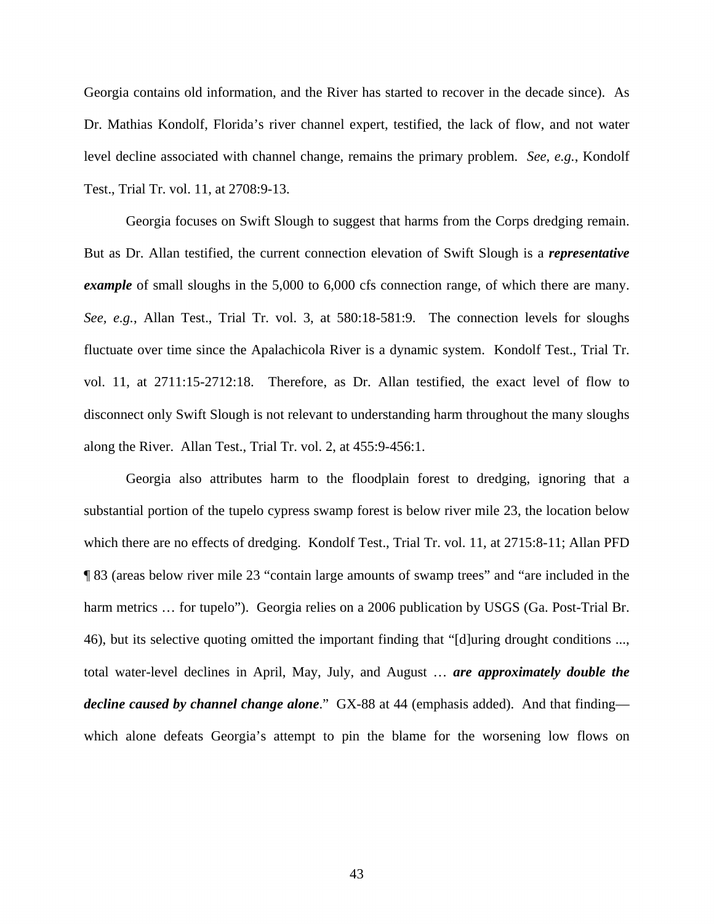Georgia contains old information, and the River has started to recover in the decade since). As Dr. Mathias Kondolf, Florida's river channel expert, testified, the lack of flow, and not water level decline associated with channel change, remains the primary problem. *See, e.g.*, Kondolf Test., Trial Tr. vol. 11, at 2708:9-13.

Georgia focuses on Swift Slough to suggest that harms from the Corps dredging remain. But as Dr. Allan testified, the current connection elevation of Swift Slough is a *representative example* of small sloughs in the 5,000 to 6,000 cfs connection range, of which there are many. *See, e.g.*, Allan Test., Trial Tr. vol. 3, at 580:18-581:9. The connection levels for sloughs fluctuate over time since the Apalachicola River is a dynamic system. Kondolf Test., Trial Tr. vol. 11, at 2711:15-2712:18. Therefore, as Dr. Allan testified, the exact level of flow to disconnect only Swift Slough is not relevant to understanding harm throughout the many sloughs along the River. Allan Test., Trial Tr. vol. 2, at 455:9-456:1.

Georgia also attributes harm to the floodplain forest to dredging, ignoring that a substantial portion of the tupelo cypress swamp forest is below river mile 23, the location below which there are no effects of dredging. Kondolf Test., Trial Tr. vol. 11, at 2715:8-11; Allan PFD ¶ 83 (areas below river mile 23 "contain large amounts of swamp trees" and "are included in the harm metrics ... for tupelo"). Georgia relies on a 2006 publication by USGS (Ga. Post-Trial Br. 46), but its selective quoting omitted the important finding that "[d]uring drought conditions ..., total water-level declines in April, May, July, and August … *are approximately double the decline caused by channel change alone*." GX-88 at 44 (emphasis added). And that finding which alone defeats Georgia's attempt to pin the blame for the worsening low flows on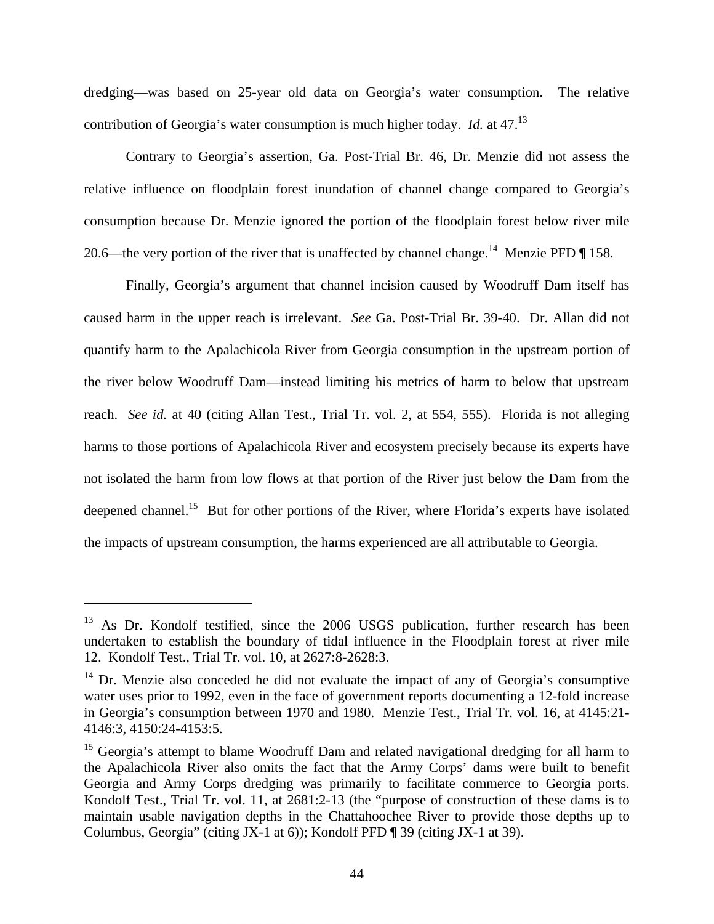dredging—was based on 25-year old data on Georgia's water consumption. The relative contribution of Georgia's water consumption is much higher today. *Id.* at 47.13

Contrary to Georgia's assertion, Ga. Post-Trial Br. 46, Dr. Menzie did not assess the relative influence on floodplain forest inundation of channel change compared to Georgia's consumption because Dr. Menzie ignored the portion of the floodplain forest below river mile 20.6—the very portion of the river that is unaffected by channel change.<sup>14</sup> Menzie PFD  $\P$  158.

Finally, Georgia's argument that channel incision caused by Woodruff Dam itself has caused harm in the upper reach is irrelevant. *See* Ga. Post-Trial Br. 39-40. Dr. Allan did not quantify harm to the Apalachicola River from Georgia consumption in the upstream portion of the river below Woodruff Dam—instead limiting his metrics of harm to below that upstream reach. *See id.* at 40 (citing Allan Test., Trial Tr. vol. 2, at 554, 555). Florida is not alleging harms to those portions of Apalachicola River and ecosystem precisely because its experts have not isolated the harm from low flows at that portion of the River just below the Dam from the deepened channel.<sup>15</sup> But for other portions of the River, where Florida's experts have isolated the impacts of upstream consumption, the harms experienced are all attributable to Georgia.

.

<sup>&</sup>lt;sup>13</sup> As Dr. Kondolf testified, since the 2006 USGS publication, further research has been undertaken to establish the boundary of tidal influence in the Floodplain forest at river mile 12. Kondolf Test., Trial Tr. vol. 10, at 2627:8-2628:3.

 $14$  Dr. Menzie also conceded he did not evaluate the impact of any of Georgia's consumptive water uses prior to 1992, even in the face of government reports documenting a 12-fold increase in Georgia's consumption between 1970 and 1980. Menzie Test., Trial Tr. vol. 16, at 4145:21- 4146:3, 4150:24-4153:5.

<sup>&</sup>lt;sup>15</sup> Georgia's attempt to blame Woodruff Dam and related navigational dredging for all harm to the Apalachicola River also omits the fact that the Army Corps' dams were built to benefit Georgia and Army Corps dredging was primarily to facilitate commerce to Georgia ports. Kondolf Test., Trial Tr. vol. 11, at 2681:2-13 (the "purpose of construction of these dams is to maintain usable navigation depths in the Chattahoochee River to provide those depths up to Columbus, Georgia" (citing JX-1 at 6)); Kondolf PFD ¶ 39 (citing JX-1 at 39).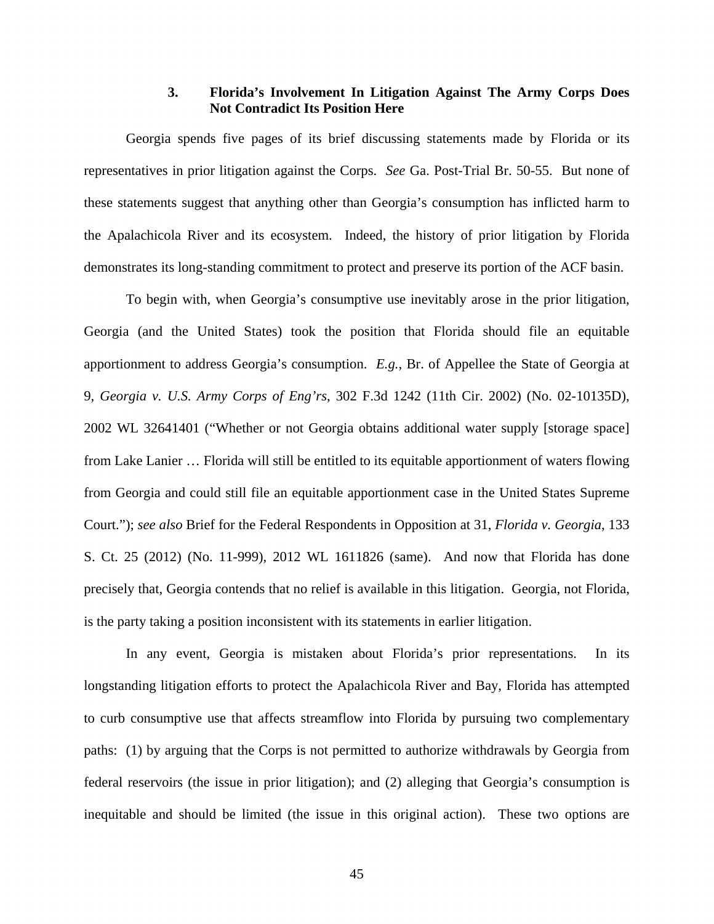## **3. Florida's Involvement In Litigation Against The Army Corps Does Not Contradict Its Position Here**

Georgia spends five pages of its brief discussing statements made by Florida or its representatives in prior litigation against the Corps. *See* Ga. Post-Trial Br. 50-55. But none of these statements suggest that anything other than Georgia's consumption has inflicted harm to the Apalachicola River and its ecosystem. Indeed, the history of prior litigation by Florida demonstrates its long-standing commitment to protect and preserve its portion of the ACF basin.

To begin with, when Georgia's consumptive use inevitably arose in the prior litigation, Georgia (and the United States) took the position that Florida should file an equitable apportionment to address Georgia's consumption. *E.g.*, Br. of Appellee the State of Georgia at 9, *Georgia v. U.S. Army Corps of Eng'rs*, 302 F.3d 1242 (11th Cir. 2002) (No. 02-10135D), 2002 WL 32641401 ("Whether or not Georgia obtains additional water supply [storage space] from Lake Lanier … Florida will still be entitled to its equitable apportionment of waters flowing from Georgia and could still file an equitable apportionment case in the United States Supreme Court."); *see also* Brief for the Federal Respondents in Opposition at 31, *Florida v. Georgia*, 133 S. Ct. 25 (2012) (No. 11-999), 2012 WL 1611826 (same). And now that Florida has done precisely that, Georgia contends that no relief is available in this litigation. Georgia, not Florida, is the party taking a position inconsistent with its statements in earlier litigation.

In any event, Georgia is mistaken about Florida's prior representations. In its longstanding litigation efforts to protect the Apalachicola River and Bay, Florida has attempted to curb consumptive use that affects streamflow into Florida by pursuing two complementary paths: (1) by arguing that the Corps is not permitted to authorize withdrawals by Georgia from federal reservoirs (the issue in prior litigation); and (2) alleging that Georgia's consumption is inequitable and should be limited (the issue in this original action). These two options are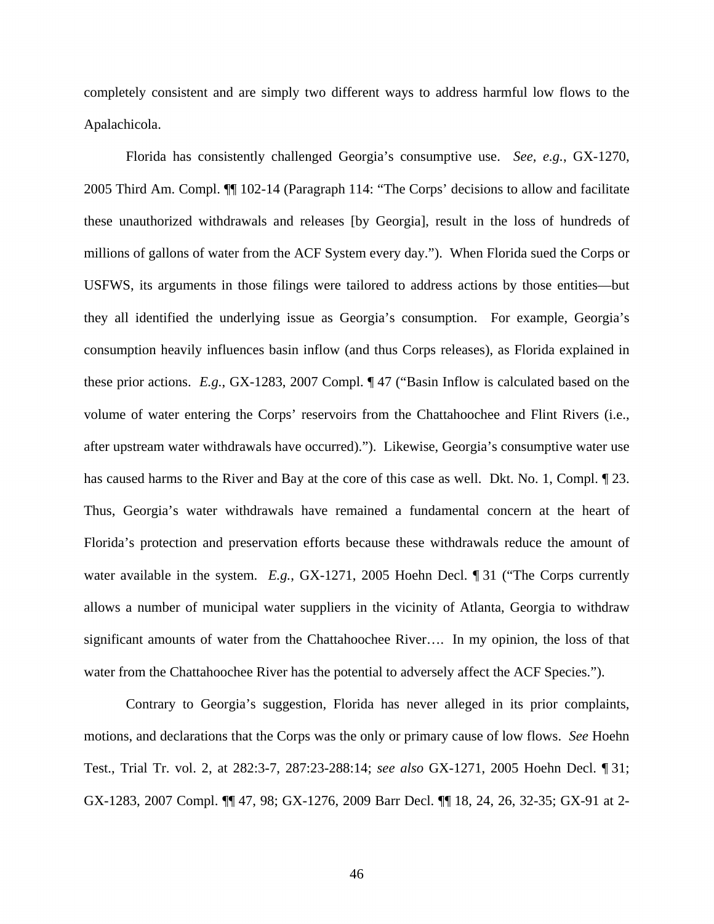completely consistent and are simply two different ways to address harmful low flows to the Apalachicola.

Florida has consistently challenged Georgia's consumptive use. *See, e.g.*, GX-1270, 2005 Third Am. Compl. ¶¶ 102-14 (Paragraph 114: "The Corps' decisions to allow and facilitate these unauthorized withdrawals and releases [by Georgia], result in the loss of hundreds of millions of gallons of water from the ACF System every day."). When Florida sued the Corps or USFWS, its arguments in those filings were tailored to address actions by those entities—but they all identified the underlying issue as Georgia's consumption. For example, Georgia's consumption heavily influences basin inflow (and thus Corps releases), as Florida explained in these prior actions. *E.g.*, GX-1283, 2007 Compl. ¶ 47 ("Basin Inflow is calculated based on the volume of water entering the Corps' reservoirs from the Chattahoochee and Flint Rivers (i.e., after upstream water withdrawals have occurred)."). Likewise, Georgia's consumptive water use has caused harms to the River and Bay at the core of this case as well. Dkt. No. 1, Compl. ¶ 23. Thus, Georgia's water withdrawals have remained a fundamental concern at the heart of Florida's protection and preservation efforts because these withdrawals reduce the amount of water available in the system. *E.g.*, GX-1271, 2005 Hoehn Decl. ¶ 31 ("The Corps currently allows a number of municipal water suppliers in the vicinity of Atlanta, Georgia to withdraw significant amounts of water from the Chattahoochee River…. In my opinion, the loss of that water from the Chattahoochee River has the potential to adversely affect the ACF Species.").

Contrary to Georgia's suggestion, Florida has never alleged in its prior complaints, motions, and declarations that the Corps was the only or primary cause of low flows. *See* Hoehn Test., Trial Tr. vol. 2, at 282:3-7, 287:23-288:14; *see also* GX-1271, 2005 Hoehn Decl. ¶ 31; GX-1283, 2007 Compl. ¶¶ 47, 98; GX-1276, 2009 Barr Decl. ¶¶ 18, 24, 26, 32-35; GX-91 at 2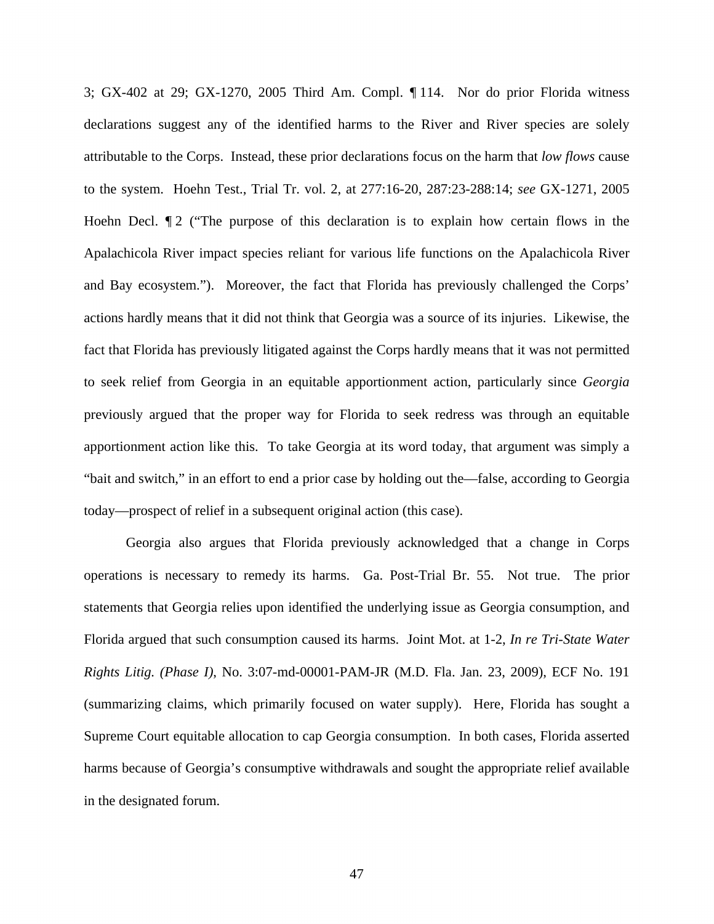3; GX-402 at 29; GX-1270, 2005 Third Am. Compl. ¶ 114. Nor do prior Florida witness declarations suggest any of the identified harms to the River and River species are solely attributable to the Corps. Instead, these prior declarations focus on the harm that *low flows* cause to the system. Hoehn Test., Trial Tr. vol. 2, at 277:16-20, 287:23-288:14; *see* GX-1271, 2005 Hoehn Decl.  $\P$ 2 ("The purpose of this declaration is to explain how certain flows in the Apalachicola River impact species reliant for various life functions on the Apalachicola River and Bay ecosystem."). Moreover, the fact that Florida has previously challenged the Corps' actions hardly means that it did not think that Georgia was a source of its injuries. Likewise, the fact that Florida has previously litigated against the Corps hardly means that it was not permitted to seek relief from Georgia in an equitable apportionment action, particularly since *Georgia* previously argued that the proper way for Florida to seek redress was through an equitable apportionment action like this. To take Georgia at its word today, that argument was simply a "bait and switch," in an effort to end a prior case by holding out the—false, according to Georgia today—prospect of relief in a subsequent original action (this case).

Georgia also argues that Florida previously acknowledged that a change in Corps operations is necessary to remedy its harms. Ga. Post-Trial Br. 55. Not true. The prior statements that Georgia relies upon identified the underlying issue as Georgia consumption, and Florida argued that such consumption caused its harms. Joint Mot. at 1-2, *In re Tri-State Water Rights Litig. (Phase I)*, No. 3:07-md-00001-PAM-JR (M.D. Fla. Jan. 23, 2009), ECF No. 191 (summarizing claims, which primarily focused on water supply). Here, Florida has sought a Supreme Court equitable allocation to cap Georgia consumption. In both cases, Florida asserted harms because of Georgia's consumptive withdrawals and sought the appropriate relief available in the designated forum.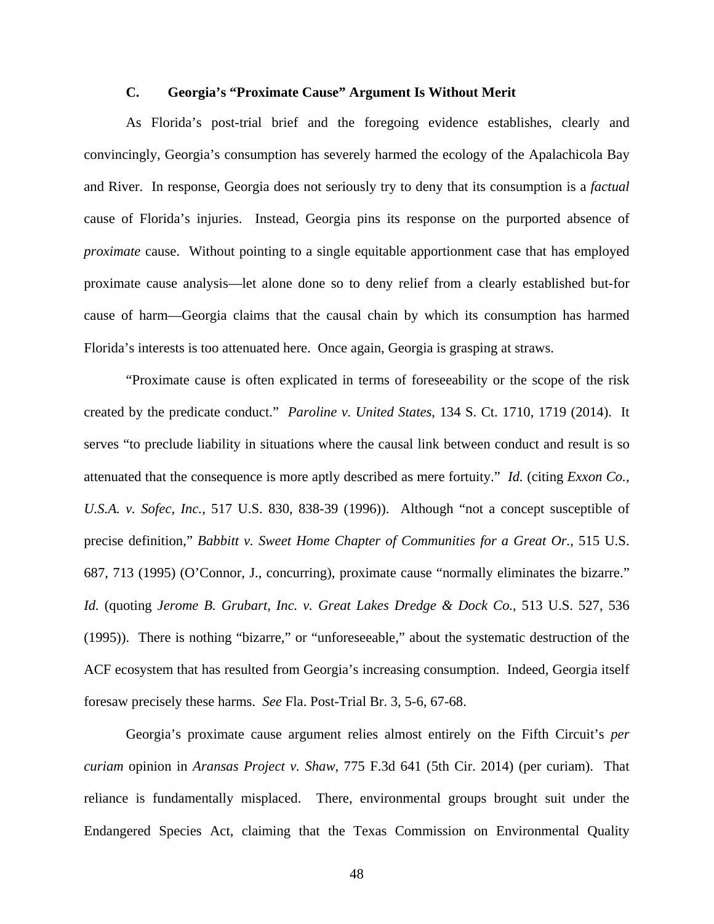### **C. Georgia's "Proximate Cause" Argument Is Without Merit**

As Florida's post-trial brief and the foregoing evidence establishes, clearly and convincingly, Georgia's consumption has severely harmed the ecology of the Apalachicola Bay and River. In response, Georgia does not seriously try to deny that its consumption is a *factual*  cause of Florida's injuries. Instead, Georgia pins its response on the purported absence of *proximate* cause. Without pointing to a single equitable apportionment case that has employed proximate cause analysis—let alone done so to deny relief from a clearly established but-for cause of harm—Georgia claims that the causal chain by which its consumption has harmed Florida's interests is too attenuated here. Once again, Georgia is grasping at straws.

"Proximate cause is often explicated in terms of foreseeability or the scope of the risk created by the predicate conduct." *Paroline v. United States*, 134 S. Ct. 1710, 1719 (2014). It serves "to preclude liability in situations where the causal link between conduct and result is so attenuated that the consequence is more aptly described as mere fortuity." *Id.* (citing *Exxon Co., U.S.A. v. Sofec, Inc.*, 517 U.S. 830, 838-39 (1996)). Although "not a concept susceptible of precise definition," *Babbitt v. Sweet Home Chapter of Communities for a Great Or.*, 515 U.S. 687, 713 (1995) (O'Connor, J., concurring), proximate cause "normally eliminates the bizarre." *Id.* (quoting *Jerome B. Grubart, Inc. v. Great Lakes Dredge & Dock Co.*, 513 U.S. 527, 536 (1995)). There is nothing "bizarre," or "unforeseeable," about the systematic destruction of the ACF ecosystem that has resulted from Georgia's increasing consumption. Indeed, Georgia itself foresaw precisely these harms. *See* Fla. Post-Trial Br. 3, 5-6, 67-68.

Georgia's proximate cause argument relies almost entirely on the Fifth Circuit's *per curiam* opinion in *Aransas Project v. Shaw*, 775 F.3d 641 (5th Cir. 2014) (per curiam). That reliance is fundamentally misplaced. There, environmental groups brought suit under the Endangered Species Act, claiming that the Texas Commission on Environmental Quality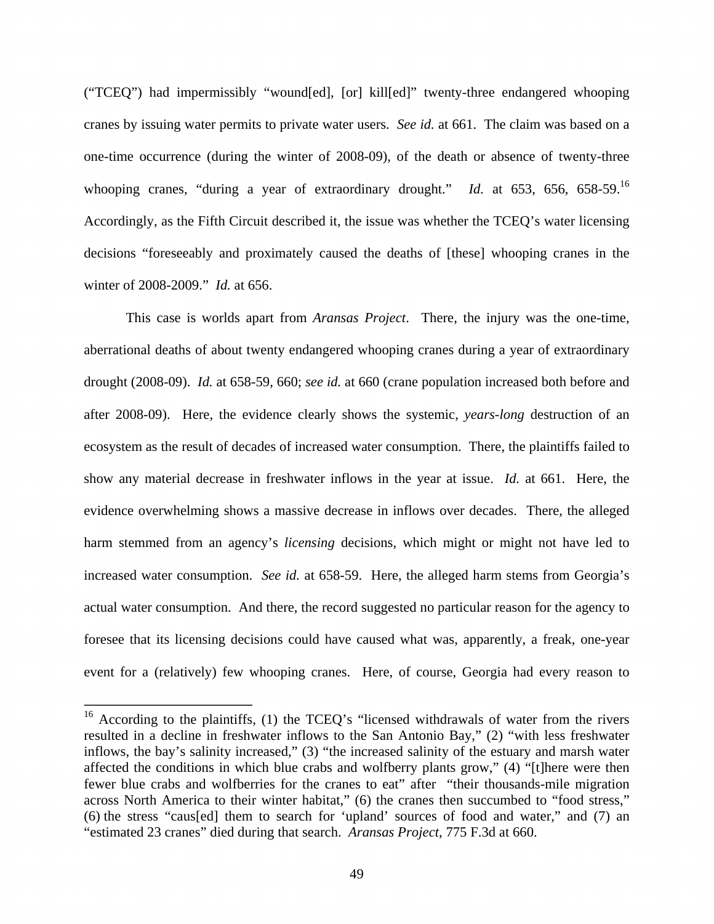("TCEQ") had impermissibly "wound[ed], [or] kill[ed]" twenty-three endangered whooping cranes by issuing water permits to private water users. *See id.* at 661. The claim was based on a one-time occurrence (during the winter of 2008-09), of the death or absence of twenty-three whooping cranes, "during a year of extraordinary drought." *Id.* at 653, 656, 658-59.<sup>16</sup> Accordingly, as the Fifth Circuit described it, the issue was whether the TCEQ's water licensing decisions "foreseeably and proximately caused the deaths of [these] whooping cranes in the winter of 2008-2009." *Id.* at 656.

This case is worlds apart from *Aransas Project*. There, the injury was the one-time, aberrational deaths of about twenty endangered whooping cranes during a year of extraordinary drought (2008-09). *Id.* at 658-59, 660; *see id.* at 660 (crane population increased both before and after 2008-09). Here, the evidence clearly shows the systemic, *years-long* destruction of an ecosystem as the result of decades of increased water consumption. There, the plaintiffs failed to show any material decrease in freshwater inflows in the year at issue. *Id.* at 661. Here, the evidence overwhelming shows a massive decrease in inflows over decades. There, the alleged harm stemmed from an agency's *licensing* decisions, which might or might not have led to increased water consumption. *See id.* at 658-59. Here, the alleged harm stems from Georgia's actual water consumption. And there, the record suggested no particular reason for the agency to foresee that its licensing decisions could have caused what was, apparently, a freak, one-year event for a (relatively) few whooping cranes. Here, of course, Georgia had every reason to

<sup>&</sup>lt;sup>16</sup> According to the plaintiffs, (1) the TCEQ's "licensed withdrawals of water from the rivers resulted in a decline in freshwater inflows to the San Antonio Bay," (2) "with less freshwater inflows, the bay's salinity increased," (3) "the increased salinity of the estuary and marsh water affected the conditions in which blue crabs and wolfberry plants grow," (4) "[t]here were then fewer blue crabs and wolfberries for the cranes to eat" after "their thousands-mile migration across North America to their winter habitat," (6) the cranes then succumbed to "food stress," (6) the stress "caus[ed] them to search for 'upland' sources of food and water," and (7) an "estimated 23 cranes" died during that search. *Aransas Project*, 775 F.3d at 660.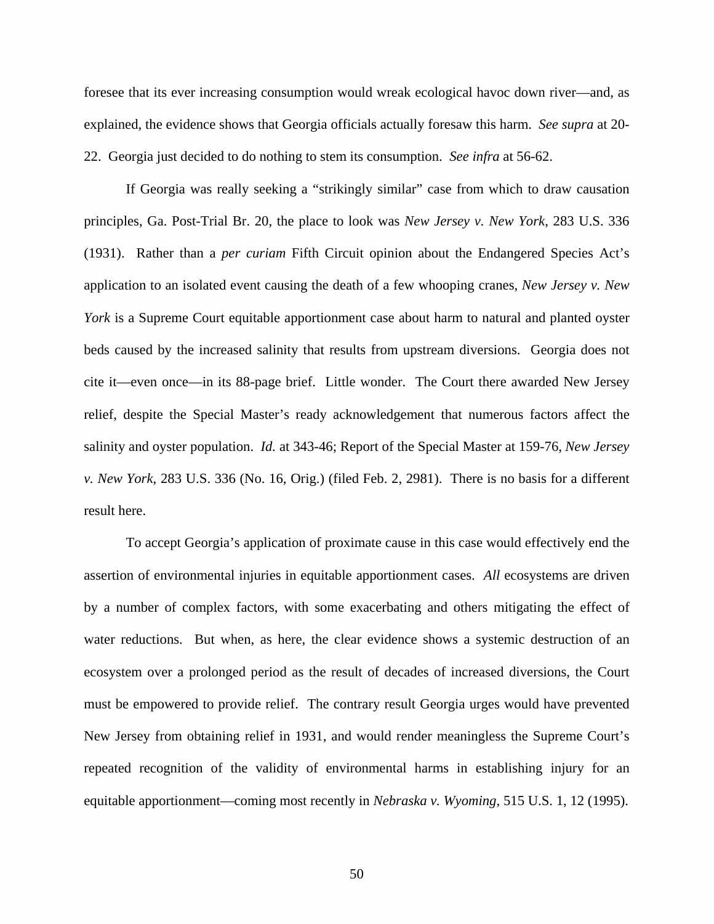foresee that its ever increasing consumption would wreak ecological havoc down river—and, as explained, the evidence shows that Georgia officials actually foresaw this harm. *See supra* at 20- 22. Georgia just decided to do nothing to stem its consumption. *See infra* at 56-62.

If Georgia was really seeking a "strikingly similar" case from which to draw causation principles, Ga. Post-Trial Br. 20, the place to look was *New Jersey v. New York*, 283 U.S. 336 (1931). Rather than a *per curiam* Fifth Circuit opinion about the Endangered Species Act's application to an isolated event causing the death of a few whooping cranes, *New Jersey v. New York* is a Supreme Court equitable apportionment case about harm to natural and planted oyster beds caused by the increased salinity that results from upstream diversions. Georgia does not cite it—even once—in its 88-page brief. Little wonder. The Court there awarded New Jersey relief, despite the Special Master's ready acknowledgement that numerous factors affect the salinity and oyster population. *Id.* at 343-46; Report of the Special Master at 159-76, *New Jersey v. New York*, 283 U.S. 336 (No. 16, Orig.) (filed Feb. 2, 2981). There is no basis for a different result here.

To accept Georgia's application of proximate cause in this case would effectively end the assertion of environmental injuries in equitable apportionment cases. *All* ecosystems are driven by a number of complex factors, with some exacerbating and others mitigating the effect of water reductions. But when, as here, the clear evidence shows a systemic destruction of an ecosystem over a prolonged period as the result of decades of increased diversions, the Court must be empowered to provide relief. The contrary result Georgia urges would have prevented New Jersey from obtaining relief in 1931, and would render meaningless the Supreme Court's repeated recognition of the validity of environmental harms in establishing injury for an equitable apportionment—coming most recently in *Nebraska v. Wyoming*, 515 U.S. 1, 12 (1995).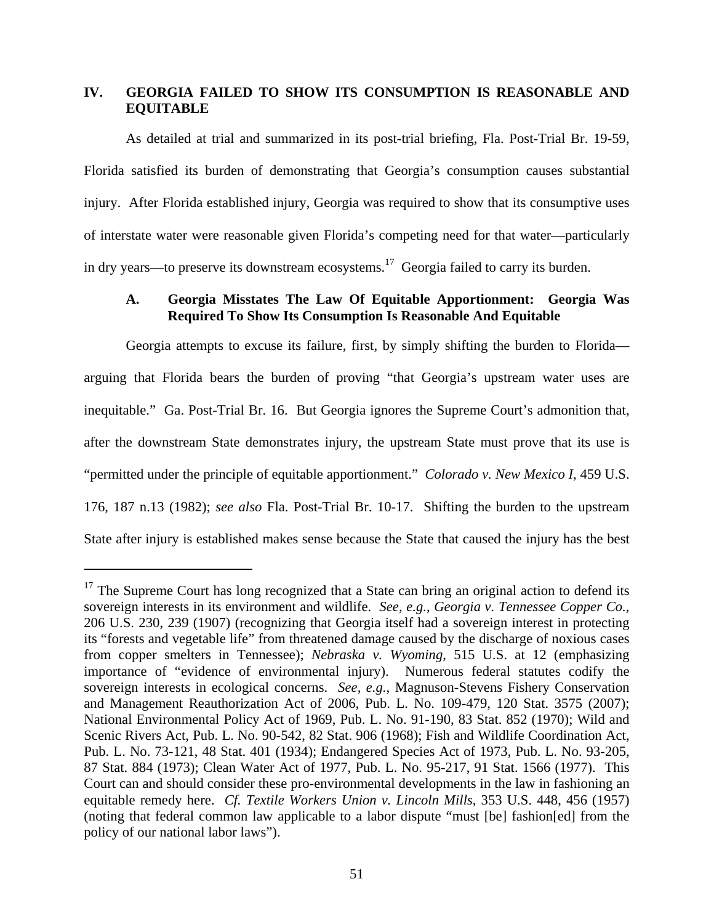# **IV. GEORGIA FAILED TO SHOW ITS CONSUMPTION IS REASONABLE AND EQUITABLE**

As detailed at trial and summarized in its post-trial briefing, Fla. Post-Trial Br. 19-59, Florida satisfied its burden of demonstrating that Georgia's consumption causes substantial injury. After Florida established injury, Georgia was required to show that its consumptive uses of interstate water were reasonable given Florida's competing need for that water—particularly in dry years—to preserve its downstream ecosystems.<sup>17</sup> Georgia failed to carry its burden.

# **A. Georgia Misstates The Law Of Equitable Apportionment: Georgia Was Required To Show Its Consumption Is Reasonable And Equitable**

Georgia attempts to excuse its failure, first, by simply shifting the burden to Florida arguing that Florida bears the burden of proving "that Georgia's upstream water uses are inequitable." Ga. Post-Trial Br. 16. But Georgia ignores the Supreme Court's admonition that, after the downstream State demonstrates injury, the upstream State must prove that its use is "permitted under the principle of equitable apportionment." *Colorado v. New Mexico I*, 459 U.S. 176, 187 n.13 (1982); *see also* Fla. Post-Trial Br. 10-17. Shifting the burden to the upstream State after injury is established makes sense because the State that caused the injury has the best

 $17$  The Supreme Court has long recognized that a State can bring an original action to defend its sovereign interests in its environment and wildlife. *See, e.g.*, *Georgia v. Tennessee Copper Co.*, 206 U.S. 230, 239 (1907) (recognizing that Georgia itself had a sovereign interest in protecting its "forests and vegetable life" from threatened damage caused by the discharge of noxious cases from copper smelters in Tennessee); *Nebraska v. Wyoming*, 515 U.S. at 12 (emphasizing importance of "evidence of environmental injury). Numerous federal statutes codify the sovereign interests in ecological concerns. *See, e.g.*, Magnuson-Stevens Fishery Conservation and Management Reauthorization Act of 2006, Pub. L. No. 109-479, 120 Stat. 3575 (2007); National Environmental Policy Act of 1969, Pub. L. No. 91-190, 83 Stat. 852 (1970); Wild and Scenic Rivers Act, Pub. L. No. 90-542, 82 Stat. 906 (1968); Fish and Wildlife Coordination Act, Pub. L. No. 73-121, 48 Stat. 401 (1934); Endangered Species Act of 1973, Pub. L. No. 93-205, 87 Stat. 884 (1973); Clean Water Act of 1977, Pub. L. No. 95-217, 91 Stat. 1566 (1977). This Court can and should consider these pro-environmental developments in the law in fashioning an equitable remedy here. *Cf. Textile Workers Union v. Lincoln Mills*, 353 U.S. 448, 456 (1957) (noting that federal common law applicable to a labor dispute "must [be] fashion[ed] from the policy of our national labor laws").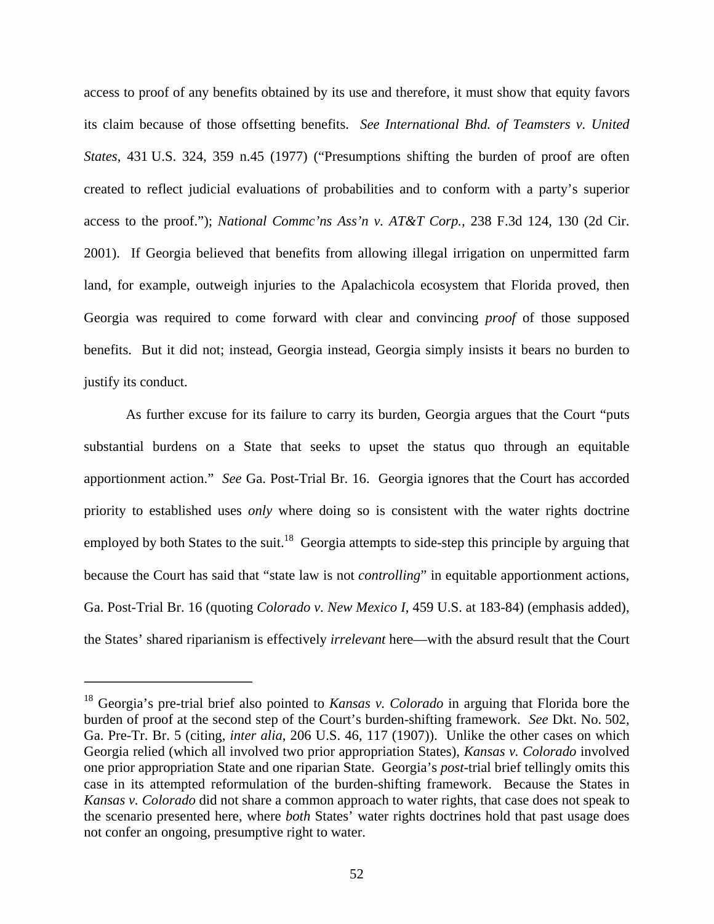access to proof of any benefits obtained by its use and therefore, it must show that equity favors its claim because of those offsetting benefits. *See International Bhd. of Teamsters v. United States*, 431 U.S. 324, 359 n.45 (1977) ("Presumptions shifting the burden of proof are often created to reflect judicial evaluations of probabilities and to conform with a party's superior access to the proof."); *National Commc'ns Ass'n v. AT&T Corp.,* 238 F.3d 124, 130 (2d Cir. 2001). If Georgia believed that benefits from allowing illegal irrigation on unpermitted farm land, for example, outweigh injuries to the Apalachicola ecosystem that Florida proved, then Georgia was required to come forward with clear and convincing *proof* of those supposed benefits. But it did not; instead, Georgia instead, Georgia simply insists it bears no burden to justify its conduct.

As further excuse for its failure to carry its burden, Georgia argues that the Court "puts substantial burdens on a State that seeks to upset the status quo through an equitable apportionment action." *See* Ga. Post-Trial Br. 16. Georgia ignores that the Court has accorded priority to established uses *only* where doing so is consistent with the water rights doctrine employed by both States to the suit.<sup>18</sup> Georgia attempts to side-step this principle by arguing that because the Court has said that "state law is not *controlling*" in equitable apportionment actions, Ga. Post-Trial Br. 16 (quoting *Colorado v. New Mexico I*, 459 U.S. at 183-84) (emphasis added), the States' shared riparianism is effectively *irrelevant* here—with the absurd result that the Court

<sup>18</sup> Georgia's pre-trial brief also pointed to *Kansas v. Colorado* in arguing that Florida bore the burden of proof at the second step of the Court's burden-shifting framework. *See* Dkt. No. 502, Ga. Pre-Tr. Br. 5 (citing, *inter alia*, 206 U.S. 46, 117 (1907)). Unlike the other cases on which Georgia relied (which all involved two prior appropriation States), *Kansas v. Colorado* involved one prior appropriation State and one riparian State. Georgia's *post*-trial brief tellingly omits this case in its attempted reformulation of the burden-shifting framework. Because the States in *Kansas v. Colorado* did not share a common approach to water rights, that case does not speak to the scenario presented here, where *both* States' water rights doctrines hold that past usage does not confer an ongoing, presumptive right to water.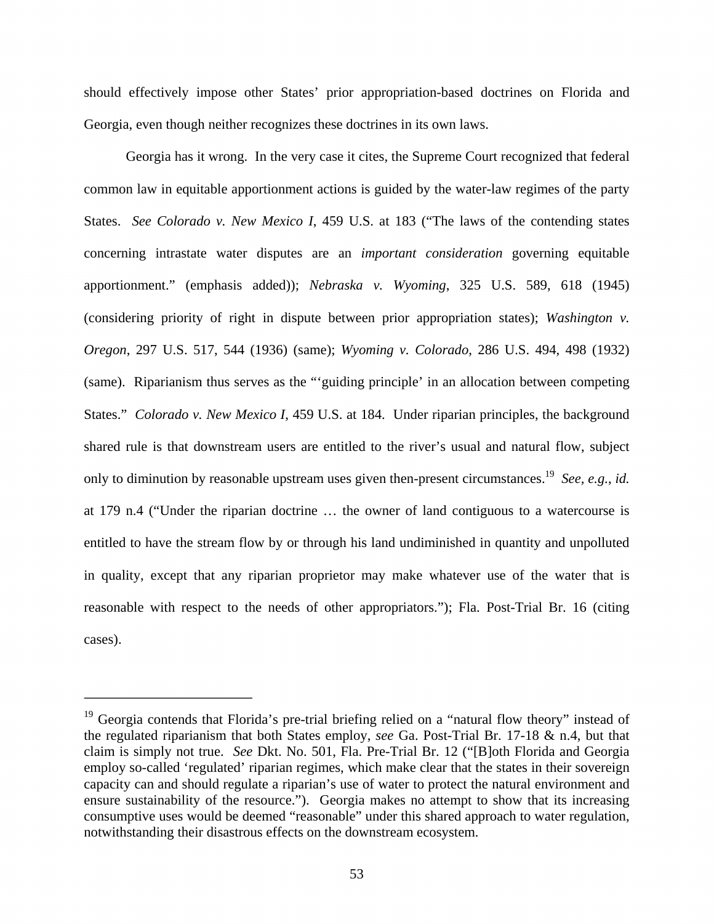should effectively impose other States' prior appropriation-based doctrines on Florida and Georgia, even though neither recognizes these doctrines in its own laws.

Georgia has it wrong. In the very case it cites, the Supreme Court recognized that federal common law in equitable apportionment actions is guided by the water-law regimes of the party States. *See Colorado v. New Mexico I*, 459 U.S. at 183 ("The laws of the contending states concerning intrastate water disputes are an *important consideration* governing equitable apportionment." (emphasis added)); *Nebraska v. Wyoming*, 325 U.S. 589, 618 (1945) (considering priority of right in dispute between prior appropriation states); *Washington v. Oregon*, 297 U.S. 517, 544 (1936) (same); *Wyoming v. Colorado*, 286 U.S. 494, 498 (1932) (same). Riparianism thus serves as the "'guiding principle' in an allocation between competing States." *Colorado v. New Mexico I*, 459 U.S. at 184. Under riparian principles, the background shared rule is that downstream users are entitled to the river's usual and natural flow, subject only to diminution by reasonable upstream uses given then-present circumstances.19 *See, e.g.*, *id.*  at 179 n.4 ("Under the riparian doctrine … the owner of land contiguous to a watercourse is entitled to have the stream flow by or through his land undiminished in quantity and unpolluted in quality, except that any riparian proprietor may make whatever use of the water that is reasonable with respect to the needs of other appropriators."); Fla. Post-Trial Br. 16 (citing cases).

<sup>&</sup>lt;sup>19</sup> Georgia contends that Florida's pre-trial briefing relied on a "natural flow theory" instead of the regulated riparianism that both States employ, *see* Ga. Post-Trial Br. 17-18 & n.4, but that claim is simply not true. *See* Dkt. No. 501, Fla. Pre-Trial Br. 12 ("[B]oth Florida and Georgia employ so-called 'regulated' riparian regimes, which make clear that the states in their sovereign capacity can and should regulate a riparian's use of water to protect the natural environment and ensure sustainability of the resource."). Georgia makes no attempt to show that its increasing consumptive uses would be deemed "reasonable" under this shared approach to water regulation, notwithstanding their disastrous effects on the downstream ecosystem.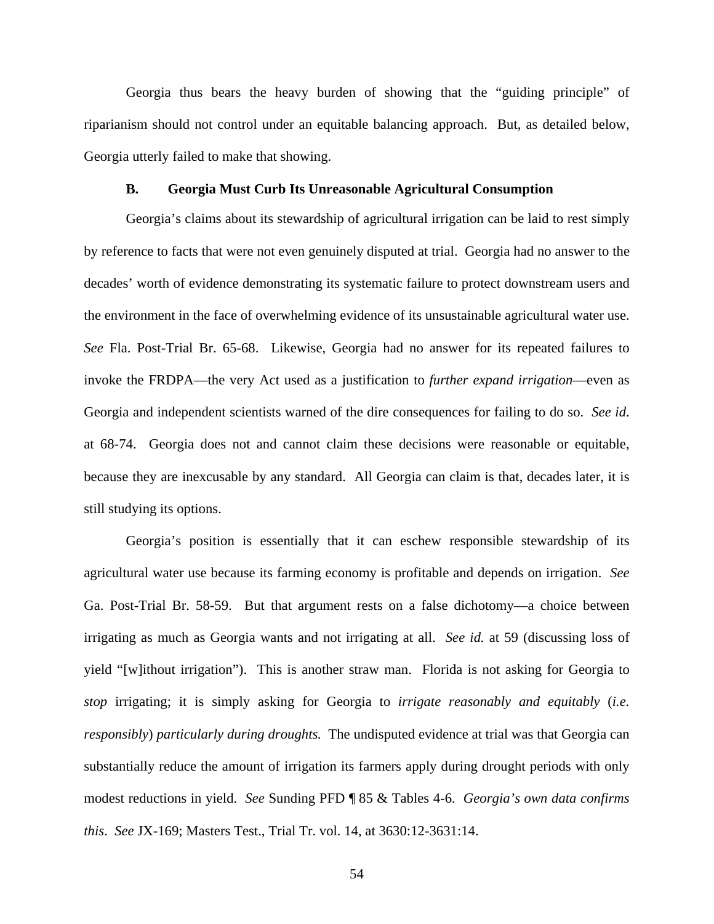Georgia thus bears the heavy burden of showing that the "guiding principle" of riparianism should not control under an equitable balancing approach. But, as detailed below, Georgia utterly failed to make that showing.

#### **B. Georgia Must Curb Its Unreasonable Agricultural Consumption**

Georgia's claims about its stewardship of agricultural irrigation can be laid to rest simply by reference to facts that were not even genuinely disputed at trial. Georgia had no answer to the decades' worth of evidence demonstrating its systematic failure to protect downstream users and the environment in the face of overwhelming evidence of its unsustainable agricultural water use. *See* Fla. Post-Trial Br. 65-68. Likewise, Georgia had no answer for its repeated failures to invoke the FRDPA—the very Act used as a justification to *further expand irrigation*—even as Georgia and independent scientists warned of the dire consequences for failing to do so. *See id*. at 68-74. Georgia does not and cannot claim these decisions were reasonable or equitable, because they are inexcusable by any standard. All Georgia can claim is that, decades later, it is still studying its options.

Georgia's position is essentially that it can eschew responsible stewardship of its agricultural water use because its farming economy is profitable and depends on irrigation. *See* Ga. Post-Trial Br. 58-59. But that argument rests on a false dichotomy—a choice between irrigating as much as Georgia wants and not irrigating at all. *See id.* at 59 (discussing loss of yield "[w]ithout irrigation"). This is another straw man. Florida is not asking for Georgia to *stop* irrigating; it is simply asking for Georgia to *irrigate reasonably and equitably* (*i.e. responsibly*) *particularly during droughts.* The undisputed evidence at trial was that Georgia can substantially reduce the amount of irrigation its farmers apply during drought periods with only modest reductions in yield. *See* Sunding PFD ¶ 85 & Tables 4-6. *Georgia's own data confirms this*. *See* JX-169; Masters Test., Trial Tr. vol. 14, at 3630:12-3631:14.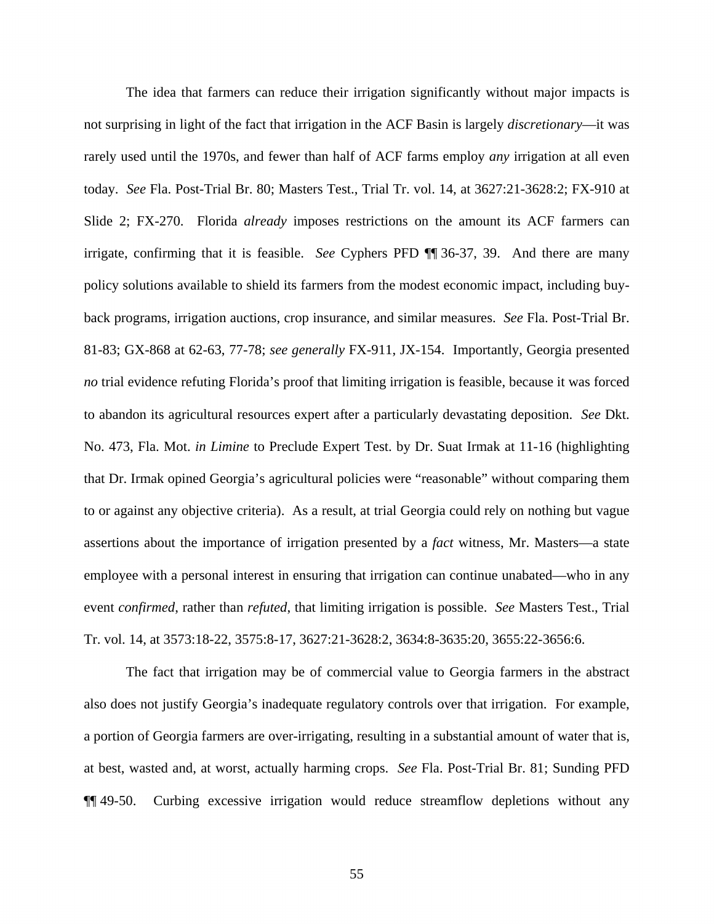The idea that farmers can reduce their irrigation significantly without major impacts is not surprising in light of the fact that irrigation in the ACF Basin is largely *discretionary*—it was rarely used until the 1970s, and fewer than half of ACF farms employ *any* irrigation at all even today. *See* Fla. Post-Trial Br. 80; Masters Test., Trial Tr. vol. 14, at 3627:21-3628:2; FX-910 at Slide 2; FX-270. Florida *already* imposes restrictions on the amount its ACF farmers can irrigate, confirming that it is feasible. *See* Cyphers PFD ¶¶ 36-37, 39. And there are many policy solutions available to shield its farmers from the modest economic impact, including buyback programs, irrigation auctions, crop insurance, and similar measures. *See* Fla. Post-Trial Br. 81-83; GX-868 at 62-63, 77-78; *see generally* FX-911, JX-154. Importantly, Georgia presented *no* trial evidence refuting Florida's proof that limiting irrigation is feasible, because it was forced to abandon its agricultural resources expert after a particularly devastating deposition. *See* Dkt. No. 473, Fla. Mot. *in Limine* to Preclude Expert Test. by Dr. Suat Irmak at 11-16 (highlighting that Dr. Irmak opined Georgia's agricultural policies were "reasonable" without comparing them to or against any objective criteria). As a result, at trial Georgia could rely on nothing but vague assertions about the importance of irrigation presented by a *fact* witness, Mr. Masters—a state employee with a personal interest in ensuring that irrigation can continue unabated—who in any event *confirmed*, rather than *refuted*, that limiting irrigation is possible. *See* Masters Test., Trial Tr. vol. 14, at 3573:18-22, 3575:8-17, 3627:21-3628:2, 3634:8-3635:20, 3655:22-3656:6.

The fact that irrigation may be of commercial value to Georgia farmers in the abstract also does not justify Georgia's inadequate regulatory controls over that irrigation. For example, a portion of Georgia farmers are over-irrigating, resulting in a substantial amount of water that is, at best, wasted and, at worst, actually harming crops. *See* Fla. Post-Trial Br. 81; Sunding PFD ¶¶ 49-50. Curbing excessive irrigation would reduce streamflow depletions without any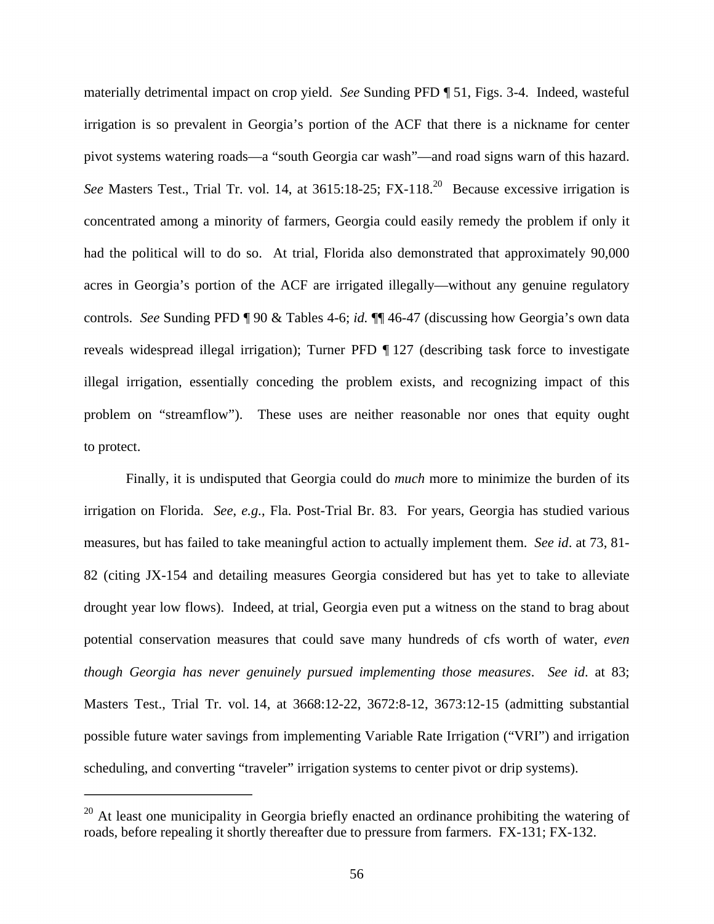materially detrimental impact on crop yield. *See* Sunding PFD ¶ 51, Figs. 3-4. Indeed, wasteful irrigation is so prevalent in Georgia's portion of the ACF that there is a nickname for center pivot systems watering roads—a "south Georgia car wash"—and road signs warn of this hazard. *See* Masters Test., Trial Tr. vol. 14, at 3615:18-25; FX-118.<sup>20</sup> Because excessive irrigation is concentrated among a minority of farmers, Georgia could easily remedy the problem if only it had the political will to do so. At trial, Florida also demonstrated that approximately 90,000 acres in Georgia's portion of the ACF are irrigated illegally—without any genuine regulatory controls. *See* Sunding PFD ¶ 90 & Tables 4-6; *id.* ¶¶ 46-47 (discussing how Georgia's own data reveals widespread illegal irrigation); Turner PFD ¶ 127 (describing task force to investigate illegal irrigation, essentially conceding the problem exists, and recognizing impact of this problem on "streamflow"). These uses are neither reasonable nor ones that equity ought to protect.

Finally, it is undisputed that Georgia could do *much* more to minimize the burden of its irrigation on Florida. *See*, *e.g.*, Fla. Post-Trial Br. 83. For years, Georgia has studied various measures, but has failed to take meaningful action to actually implement them. *See id*. at 73, 81- 82 (citing JX-154 and detailing measures Georgia considered but has yet to take to alleviate drought year low flows). Indeed, at trial, Georgia even put a witness on the stand to brag about potential conservation measures that could save many hundreds of cfs worth of water, *even though Georgia has never genuinely pursued implementing those measures*. *See id*. at 83; Masters Test., Trial Tr. vol. 14, at 3668:12-22, 3672:8-12, 3673:12-15 (admitting substantial possible future water savings from implementing Variable Rate Irrigation ("VRI") and irrigation scheduling, and converting "traveler" irrigation systems to center pivot or drip systems).

 $^{20}$  At least one municipality in Georgia briefly enacted an ordinance prohibiting the watering of roads, before repealing it shortly thereafter due to pressure from farmers. FX-131; FX-132.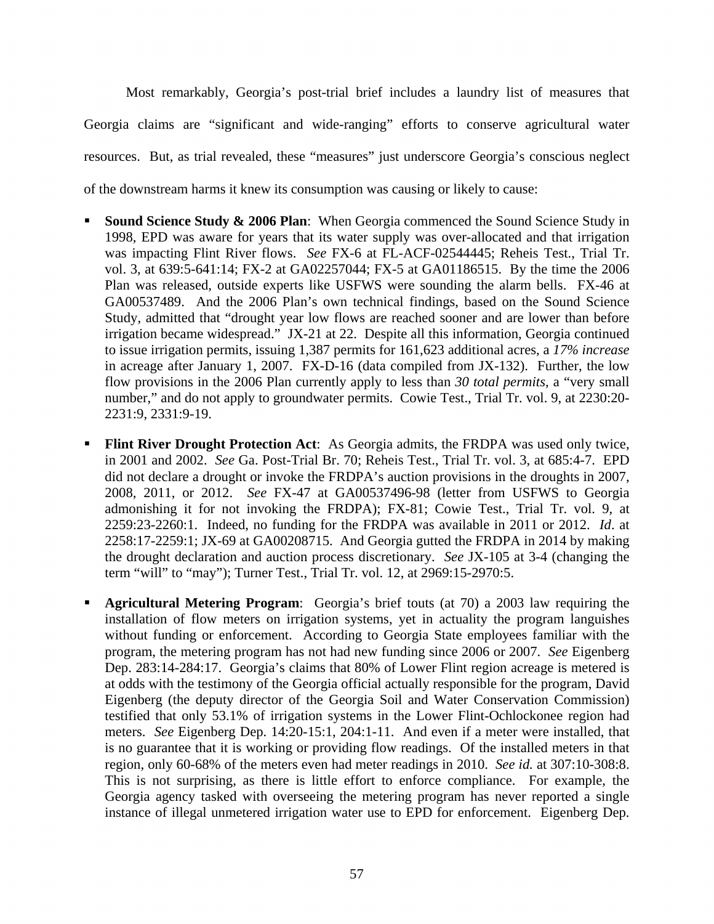Most remarkably, Georgia's post-trial brief includes a laundry list of measures that Georgia claims are "significant and wide-ranging" efforts to conserve agricultural water resources. But, as trial revealed, these "measures" just underscore Georgia's conscious neglect of the downstream harms it knew its consumption was causing or likely to cause:

- **Sound Science Study & 2006 Plan:** When Georgia commenced the Sound Science Study in 1998, EPD was aware for years that its water supply was over-allocated and that irrigation was impacting Flint River flows. *See* FX-6 at FL-ACF-02544445; Reheis Test., Trial Tr. vol. 3, at 639:5-641:14; FX-2 at GA02257044; FX-5 at GA01186515. By the time the 2006 Plan was released, outside experts like USFWS were sounding the alarm bells. FX-46 at GA00537489. And the 2006 Plan's own technical findings, based on the Sound Science Study, admitted that "drought year low flows are reached sooner and are lower than before irrigation became widespread." JX-21 at 22. Despite all this information, Georgia continued to issue irrigation permits, issuing 1,387 permits for 161,623 additional acres, a *17% increase* in acreage after January 1, 2007. FX-D-16 (data compiled from JX-132). Further, the low flow provisions in the 2006 Plan currently apply to less than *30 total permits*, a "very small number," and do not apply to groundwater permits. Cowie Test., Trial Tr. vol. 9, at 2230:20-2231:9, 2331:9-19.
- **Flint River Drought Protection Act**: As Georgia admits, the FRDPA was used only twice, in 2001 and 2002. *See* Ga. Post-Trial Br. 70; Reheis Test., Trial Tr. vol. 3, at 685:4-7. EPD did not declare a drought or invoke the FRDPA's auction provisions in the droughts in 2007, 2008, 2011, or 2012. *See* FX-47 at GA00537496-98 (letter from USFWS to Georgia admonishing it for not invoking the FRDPA); FX-81; Cowie Test., Trial Tr. vol. 9, at 2259:23-2260:1. Indeed, no funding for the FRDPA was available in 2011 or 2012. *Id*. at 2258:17-2259:1; JX-69 at GA00208715. And Georgia gutted the FRDPA in 2014 by making the drought declaration and auction process discretionary. *See* JX-105 at 3-4 (changing the term "will" to "may"); Turner Test., Trial Tr. vol. 12, at 2969:15-2970:5.
- **Agricultural Metering Program**: Georgia's brief touts (at 70) a 2003 law requiring the installation of flow meters on irrigation systems, yet in actuality the program languishes without funding or enforcement. According to Georgia State employees familiar with the program, the metering program has not had new funding since 2006 or 2007. *See* Eigenberg Dep. 283:14-284:17. Georgia's claims that 80% of Lower Flint region acreage is metered is at odds with the testimony of the Georgia official actually responsible for the program, David Eigenberg (the deputy director of the Georgia Soil and Water Conservation Commission) testified that only 53.1% of irrigation systems in the Lower Flint-Ochlockonee region had meters. *See* Eigenberg Dep. 14:20-15:1, 204:1-11. And even if a meter were installed, that is no guarantee that it is working or providing flow readings. Of the installed meters in that region, only 60-68% of the meters even had meter readings in 2010. *See id.* at 307:10-308:8. This is not surprising, as there is little effort to enforce compliance. For example, the Georgia agency tasked with overseeing the metering program has never reported a single instance of illegal unmetered irrigation water use to EPD for enforcement. Eigenberg Dep.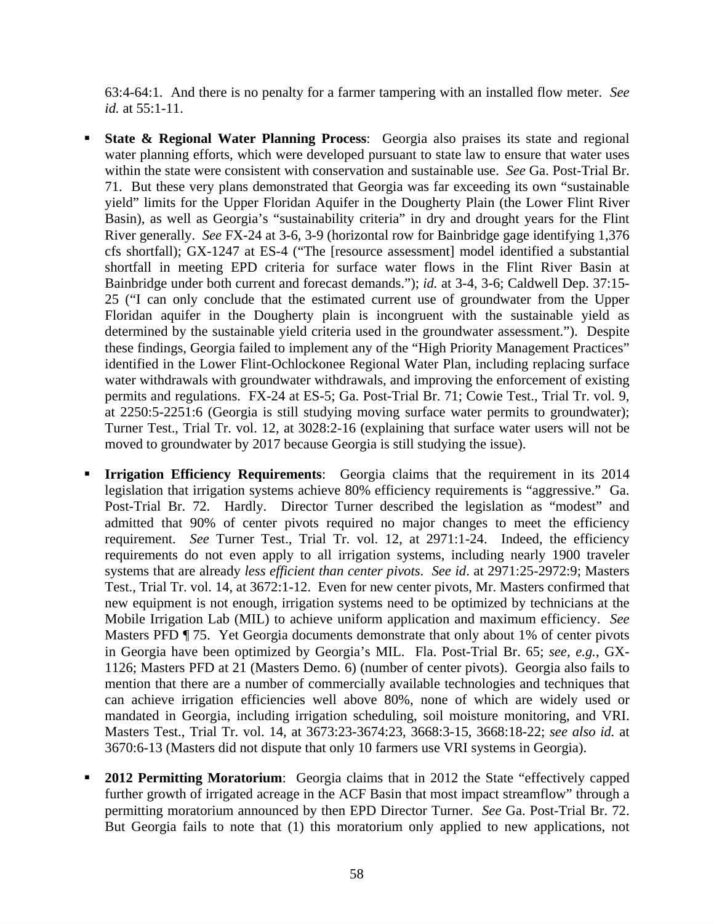63:4-64:1. And there is no penalty for a farmer tampering with an installed flow meter. *See id.* at 55:1-11.

- **State & Regional Water Planning Process**: Georgia also praises its state and regional water planning efforts, which were developed pursuant to state law to ensure that water uses within the state were consistent with conservation and sustainable use. *See* Ga. Post-Trial Br. 71. But these very plans demonstrated that Georgia was far exceeding its own "sustainable yield" limits for the Upper Floridan Aquifer in the Dougherty Plain (the Lower Flint River Basin), as well as Georgia's "sustainability criteria" in dry and drought years for the Flint River generally. *See* FX-24 at 3-6, 3-9 (horizontal row for Bainbridge gage identifying 1,376 cfs shortfall); GX-1247 at ES-4 ("The [resource assessment] model identified a substantial shortfall in meeting EPD criteria for surface water flows in the Flint River Basin at Bainbridge under both current and forecast demands."); *id.* at 3-4, 3-6; Caldwell Dep. 37:15- 25 ("I can only conclude that the estimated current use of groundwater from the Upper Floridan aquifer in the Dougherty plain is incongruent with the sustainable yield as determined by the sustainable yield criteria used in the groundwater assessment."). Despite these findings, Georgia failed to implement any of the "High Priority Management Practices" identified in the Lower Flint-Ochlockonee Regional Water Plan, including replacing surface water withdrawals with groundwater withdrawals, and improving the enforcement of existing permits and regulations. FX-24 at ES-5; Ga. Post-Trial Br. 71; Cowie Test., Trial Tr. vol. 9, at 2250:5-2251:6 (Georgia is still studying moving surface water permits to groundwater); Turner Test., Trial Tr. vol. 12, at 3028:2-16 (explaining that surface water users will not be moved to groundwater by 2017 because Georgia is still studying the issue).
- **Irrigation Efficiency Requirements**: Georgia claims that the requirement in its 2014 legislation that irrigation systems achieve 80% efficiency requirements is "aggressive." Ga. Post-Trial Br. 72. Hardly. Director Turner described the legislation as "modest" and admitted that 90% of center pivots required no major changes to meet the efficiency requirement. *See* Turner Test., Trial Tr. vol. 12, at 2971:1-24. Indeed, the efficiency requirements do not even apply to all irrigation systems, including nearly 1900 traveler systems that are already *less efficient than center pivots*. *See id*. at 2971:25-2972:9; Masters Test., Trial Tr. vol. 14, at 3672:1-12. Even for new center pivots, Mr. Masters confirmed that new equipment is not enough, irrigation systems need to be optimized by technicians at the Mobile Irrigation Lab (MIL) to achieve uniform application and maximum efficiency. *See* Masters PFD ¶ 75. Yet Georgia documents demonstrate that only about 1% of center pivots in Georgia have been optimized by Georgia's MIL. Fla. Post-Trial Br. 65; *see, e.g.*, GX-1126; Masters PFD at 21 (Masters Demo. 6) (number of center pivots). Georgia also fails to mention that there are a number of commercially available technologies and techniques that can achieve irrigation efficiencies well above 80%, none of which are widely used or mandated in Georgia, including irrigation scheduling, soil moisture monitoring, and VRI. Masters Test., Trial Tr. vol. 14, at 3673:23-3674:23, 3668:3-15, 3668:18-22; *see also id.* at 3670:6-13 (Masters did not dispute that only 10 farmers use VRI systems in Georgia).
- **2012 Permitting Moratorium**: Georgia claims that in 2012 the State "effectively capped further growth of irrigated acreage in the ACF Basin that most impact streamflow" through a permitting moratorium announced by then EPD Director Turner. *See* Ga. Post-Trial Br. 72. But Georgia fails to note that (1) this moratorium only applied to new applications, not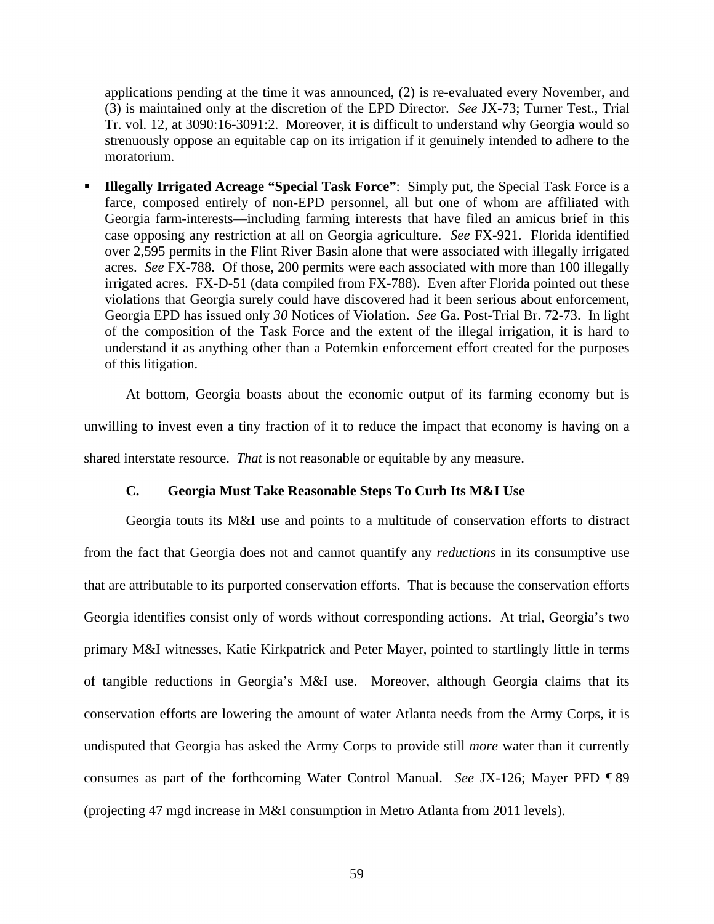applications pending at the time it was announced, (2) is re-evaluated every November, and (3) is maintained only at the discretion of the EPD Director. *See* JX-73; Turner Test., Trial Tr. vol. 12, at 3090:16-3091:2. Moreover, it is difficult to understand why Georgia would so strenuously oppose an equitable cap on its irrigation if it genuinely intended to adhere to the moratorium.

 **Illegally Irrigated Acreage "Special Task Force"**: Simply put, the Special Task Force is a farce, composed entirely of non-EPD personnel, all but one of whom are affiliated with Georgia farm-interests—including farming interests that have filed an amicus brief in this case opposing any restriction at all on Georgia agriculture. *See* FX-921. Florida identified over 2,595 permits in the Flint River Basin alone that were associated with illegally irrigated acres. *See* FX-788. Of those, 200 permits were each associated with more than 100 illegally irrigated acres. FX-D-51 (data compiled from FX-788). Even after Florida pointed out these violations that Georgia surely could have discovered had it been serious about enforcement, Georgia EPD has issued only *30* Notices of Violation. *See* Ga. Post-Trial Br. 72-73. In light of the composition of the Task Force and the extent of the illegal irrigation, it is hard to understand it as anything other than a Potemkin enforcement effort created for the purposes of this litigation.

At bottom, Georgia boasts about the economic output of its farming economy but is unwilling to invest even a tiny fraction of it to reduce the impact that economy is having on a shared interstate resource. *That* is not reasonable or equitable by any measure.

## **C. Georgia Must Take Reasonable Steps To Curb Its M&I Use**

Georgia touts its M&I use and points to a multitude of conservation efforts to distract from the fact that Georgia does not and cannot quantify any *reductions* in its consumptive use that are attributable to its purported conservation efforts. That is because the conservation efforts Georgia identifies consist only of words without corresponding actions. At trial, Georgia's two primary M&I witnesses, Katie Kirkpatrick and Peter Mayer, pointed to startlingly little in terms of tangible reductions in Georgia's M&I use. Moreover, although Georgia claims that its conservation efforts are lowering the amount of water Atlanta needs from the Army Corps, it is undisputed that Georgia has asked the Army Corps to provide still *more* water than it currently consumes as part of the forthcoming Water Control Manual. *See* JX-126; Mayer PFD ¶ 89 (projecting 47 mgd increase in M&I consumption in Metro Atlanta from 2011 levels).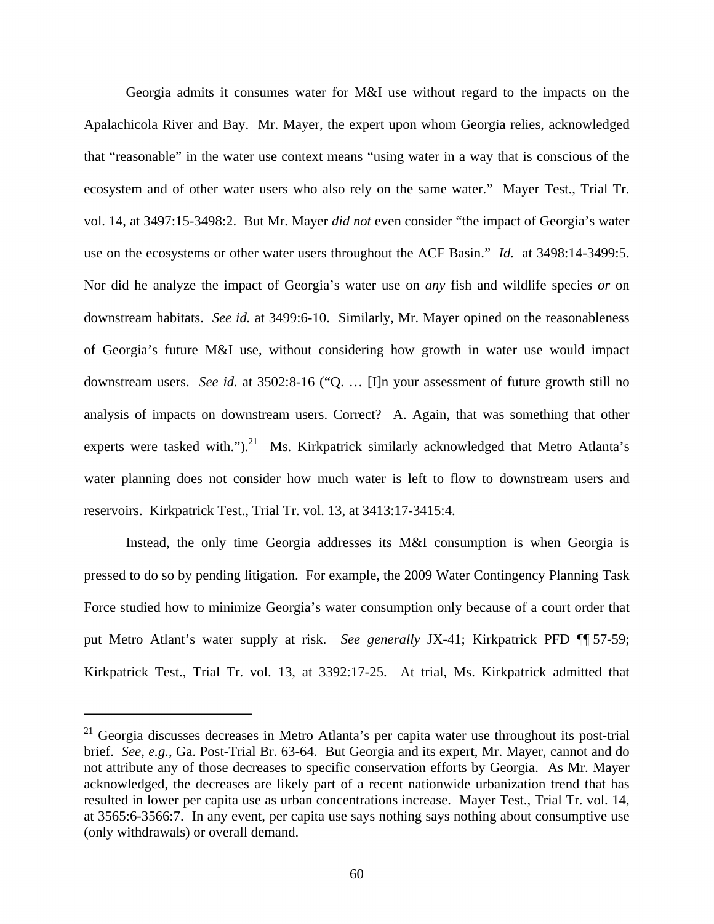Georgia admits it consumes water for M&I use without regard to the impacts on the Apalachicola River and Bay. Mr. Mayer, the expert upon whom Georgia relies, acknowledged that "reasonable" in the water use context means "using water in a way that is conscious of the ecosystem and of other water users who also rely on the same water." Mayer Test., Trial Tr. vol. 14, at 3497:15-3498:2. But Mr. Mayer *did not* even consider "the impact of Georgia's water use on the ecosystems or other water users throughout the ACF Basin." *Id.* at 3498:14-3499:5. Nor did he analyze the impact of Georgia's water use on *any* fish and wildlife species *or* on downstream habitats. *See id.* at 3499:6-10. Similarly, Mr. Mayer opined on the reasonableness of Georgia's future M&I use, without considering how growth in water use would impact downstream users. *See id.* at 3502:8-16 ("Q. … [I]n your assessment of future growth still no analysis of impacts on downstream users. Correct? A. Again, that was something that other experts were tasked with.").<sup>21</sup> Ms. Kirkpatrick similarly acknowledged that Metro Atlanta's water planning does not consider how much water is left to flow to downstream users and reservoirs. Kirkpatrick Test., Trial Tr. vol. 13, at 3413:17-3415:4.

Instead, the only time Georgia addresses its M&I consumption is when Georgia is pressed to do so by pending litigation. For example, the 2009 Water Contingency Planning Task Force studied how to minimize Georgia's water consumption only because of a court order that put Metro Atlant's water supply at risk. *See generally* JX-41; Kirkpatrick PFD ¶¶ 57-59; Kirkpatrick Test., Trial Tr. vol. 13, at 3392:17-25. At trial, Ms. Kirkpatrick admitted that

 $21$  Georgia discusses decreases in Metro Atlanta's per capita water use throughout its post-trial brief. *See, e.g.*, Ga. Post-Trial Br. 63-64. But Georgia and its expert, Mr. Mayer, cannot and do not attribute any of those decreases to specific conservation efforts by Georgia. As Mr. Mayer acknowledged, the decreases are likely part of a recent nationwide urbanization trend that has resulted in lower per capita use as urban concentrations increase. Mayer Test., Trial Tr. vol. 14, at 3565:6-3566:7. In any event, per capita use says nothing says nothing about consumptive use (only withdrawals) or overall demand.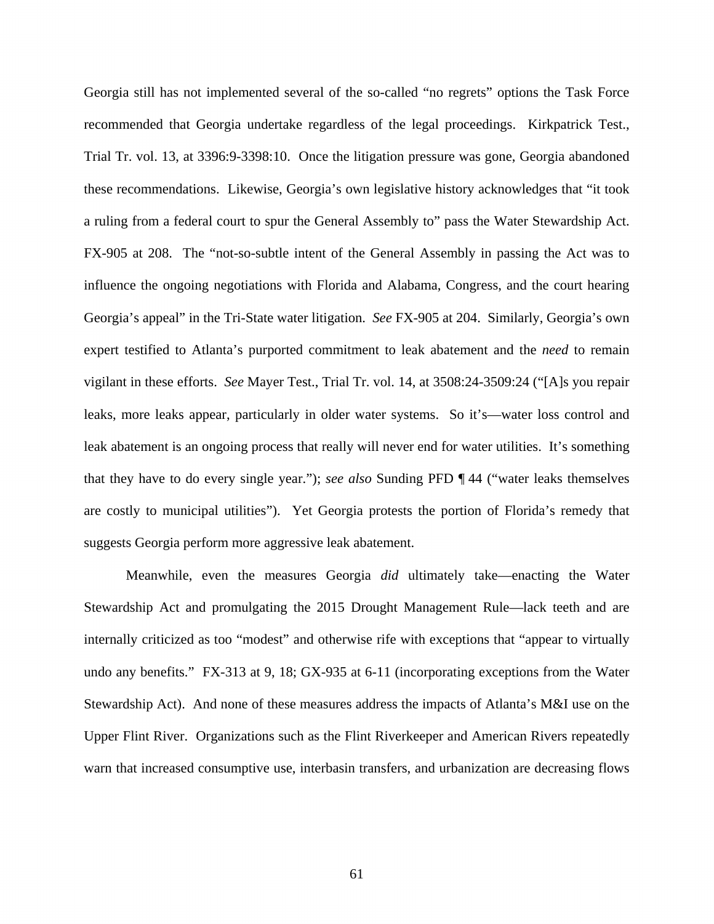Georgia still has not implemented several of the so-called "no regrets" options the Task Force recommended that Georgia undertake regardless of the legal proceedings. Kirkpatrick Test., Trial Tr. vol. 13, at 3396:9-3398:10. Once the litigation pressure was gone, Georgia abandoned these recommendations. Likewise, Georgia's own legislative history acknowledges that "it took a ruling from a federal court to spur the General Assembly to" pass the Water Stewardship Act. FX-905 at 208. The "not-so-subtle intent of the General Assembly in passing the Act was to influence the ongoing negotiations with Florida and Alabama, Congress, and the court hearing Georgia's appeal" in the Tri-State water litigation. *See* FX-905 at 204. Similarly, Georgia's own expert testified to Atlanta's purported commitment to leak abatement and the *need* to remain vigilant in these efforts. *See* Mayer Test., Trial Tr. vol. 14, at 3508:24-3509:24 ("[A]s you repair leaks, more leaks appear, particularly in older water systems. So it's—water loss control and leak abatement is an ongoing process that really will never end for water utilities. It's something that they have to do every single year."); *see also* Sunding PFD ¶ 44 ("water leaks themselves are costly to municipal utilities"). Yet Georgia protests the portion of Florida's remedy that suggests Georgia perform more aggressive leak abatement.

Meanwhile, even the measures Georgia *did* ultimately take—enacting the Water Stewardship Act and promulgating the 2015 Drought Management Rule—lack teeth and are internally criticized as too "modest" and otherwise rife with exceptions that "appear to virtually undo any benefits." FX-313 at 9, 18; GX-935 at 6-11 (incorporating exceptions from the Water Stewardship Act). And none of these measures address the impacts of Atlanta's M&I use on the Upper Flint River. Organizations such as the Flint Riverkeeper and American Rivers repeatedly warn that increased consumptive use, interbasin transfers, and urbanization are decreasing flows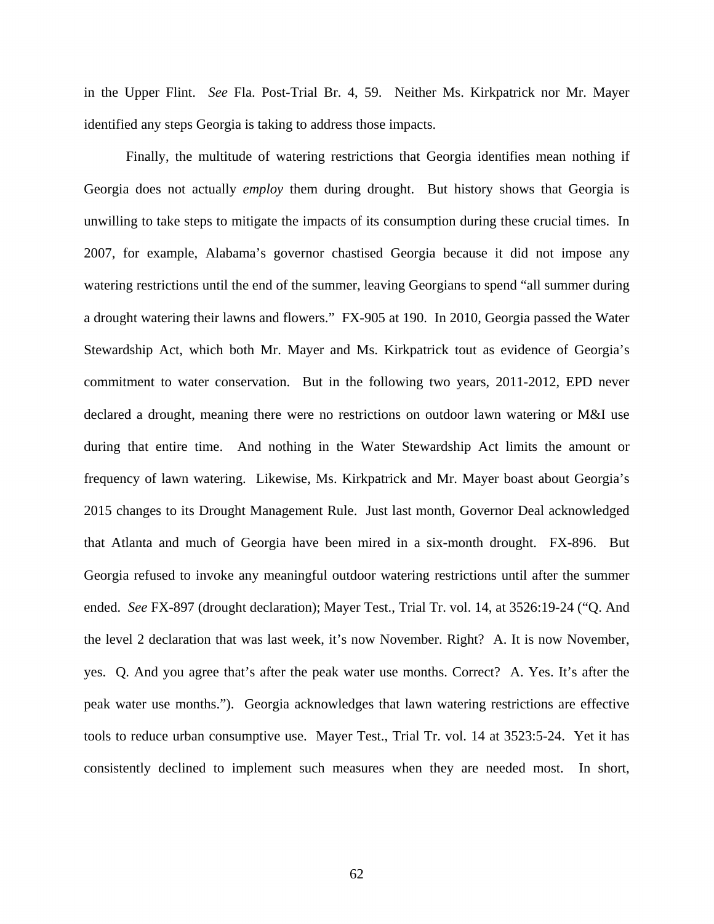in the Upper Flint. *See* Fla. Post-Trial Br. 4, 59. Neither Ms. Kirkpatrick nor Mr. Mayer identified any steps Georgia is taking to address those impacts.

Finally, the multitude of watering restrictions that Georgia identifies mean nothing if Georgia does not actually *employ* them during drought. But history shows that Georgia is unwilling to take steps to mitigate the impacts of its consumption during these crucial times. In 2007, for example, Alabama's governor chastised Georgia because it did not impose any watering restrictions until the end of the summer, leaving Georgians to spend "all summer during a drought watering their lawns and flowers." FX-905 at 190. In 2010, Georgia passed the Water Stewardship Act, which both Mr. Mayer and Ms. Kirkpatrick tout as evidence of Georgia's commitment to water conservation. But in the following two years, 2011-2012, EPD never declared a drought, meaning there were no restrictions on outdoor lawn watering or M&I use during that entire time. And nothing in the Water Stewardship Act limits the amount or frequency of lawn watering. Likewise, Ms. Kirkpatrick and Mr. Mayer boast about Georgia's 2015 changes to its Drought Management Rule. Just last month, Governor Deal acknowledged that Atlanta and much of Georgia have been mired in a six-month drought. FX-896. But Georgia refused to invoke any meaningful outdoor watering restrictions until after the summer ended. *See* FX-897 (drought declaration); Mayer Test., Trial Tr. vol. 14, at 3526:19-24 ("Q. And the level 2 declaration that was last week, it's now November. Right? A. It is now November, yes. Q. And you agree that's after the peak water use months. Correct? A. Yes. It's after the peak water use months."). Georgia acknowledges that lawn watering restrictions are effective tools to reduce urban consumptive use. Mayer Test., Trial Tr. vol. 14 at 3523:5-24. Yet it has consistently declined to implement such measures when they are needed most. In short,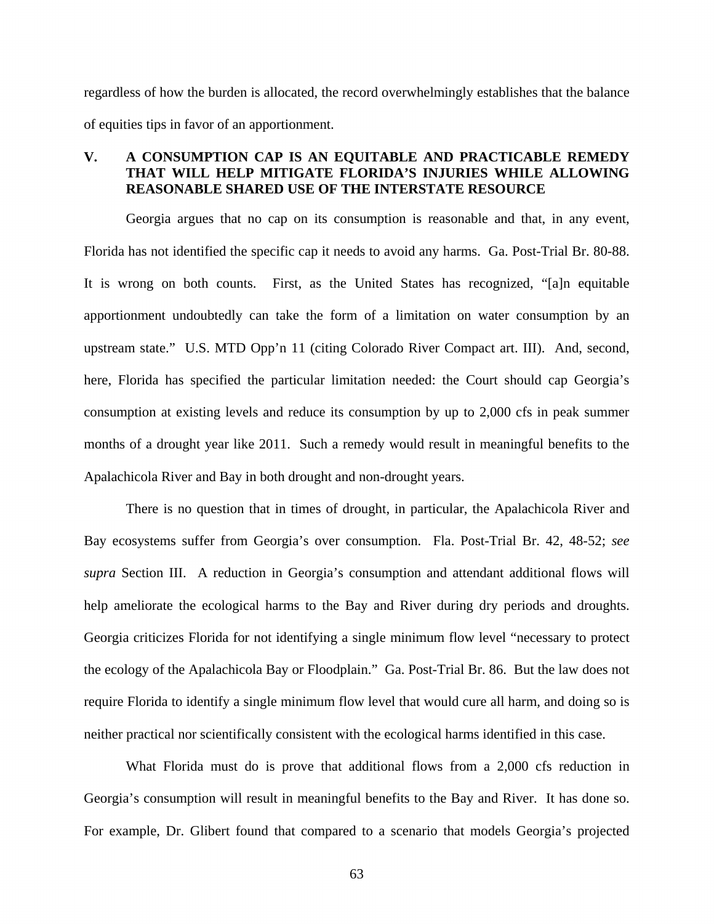regardless of how the burden is allocated, the record overwhelmingly establishes that the balance of equities tips in favor of an apportionment.

# **V. A CONSUMPTION CAP IS AN EQUITABLE AND PRACTICABLE REMEDY THAT WILL HELP MITIGATE FLORIDA'S INJURIES WHILE ALLOWING REASONABLE SHARED USE OF THE INTERSTATE RESOURCE**

Georgia argues that no cap on its consumption is reasonable and that, in any event, Florida has not identified the specific cap it needs to avoid any harms. Ga. Post-Trial Br. 80-88. It is wrong on both counts. First, as the United States has recognized, "[a]n equitable apportionment undoubtedly can take the form of a limitation on water consumption by an upstream state." U.S. MTD Opp'n 11 (citing Colorado River Compact art. III). And, second, here, Florida has specified the particular limitation needed: the Court should cap Georgia's consumption at existing levels and reduce its consumption by up to 2,000 cfs in peak summer months of a drought year like 2011. Such a remedy would result in meaningful benefits to the Apalachicola River and Bay in both drought and non-drought years.

There is no question that in times of drought, in particular, the Apalachicola River and Bay ecosystems suffer from Georgia's over consumption. Fla. Post-Trial Br. 42, 48-52; *see supra* Section III. A reduction in Georgia's consumption and attendant additional flows will help ameliorate the ecological harms to the Bay and River during dry periods and droughts. Georgia criticizes Florida for not identifying a single minimum flow level "necessary to protect the ecology of the Apalachicola Bay or Floodplain." Ga. Post-Trial Br. 86. But the law does not require Florida to identify a single minimum flow level that would cure all harm, and doing so is neither practical nor scientifically consistent with the ecological harms identified in this case.

What Florida must do is prove that additional flows from a 2,000 cfs reduction in Georgia's consumption will result in meaningful benefits to the Bay and River. It has done so. For example, Dr. Glibert found that compared to a scenario that models Georgia's projected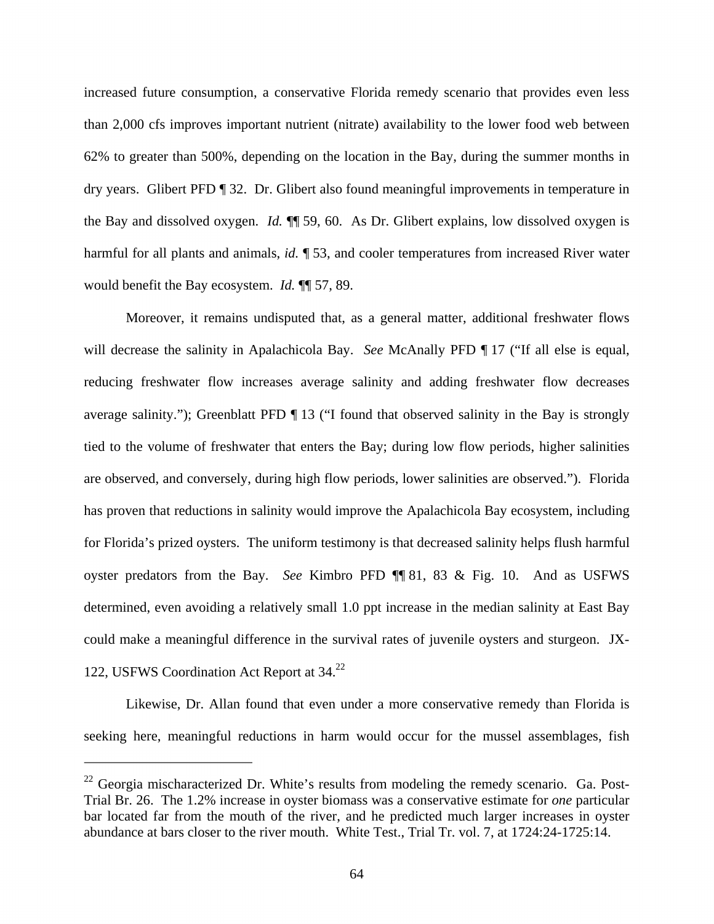increased future consumption, a conservative Florida remedy scenario that provides even less than 2,000 cfs improves important nutrient (nitrate) availability to the lower food web between 62% to greater than 500%, depending on the location in the Bay, during the summer months in dry years. Glibert PFD ¶ 32. Dr. Glibert also found meaningful improvements in temperature in the Bay and dissolved oxygen. *Id.* ¶¶ 59, 60. As Dr. Glibert explains, low dissolved oxygen is harmful for all plants and animals, *id.* ¶ 53, and cooler temperatures from increased River water would benefit the Bay ecosystem. *Id.* ¶¶ 57, 89.

Moreover, it remains undisputed that, as a general matter, additional freshwater flows will decrease the salinity in Apalachicola Bay. *See* McAnally PFD  $\P$  17 ("If all else is equal, reducing freshwater flow increases average salinity and adding freshwater flow decreases average salinity."); Greenblatt PFD ¶ 13 ("I found that observed salinity in the Bay is strongly tied to the volume of freshwater that enters the Bay; during low flow periods, higher salinities are observed, and conversely, during high flow periods, lower salinities are observed."). Florida has proven that reductions in salinity would improve the Apalachicola Bay ecosystem, including for Florida's prized oysters. The uniform testimony is that decreased salinity helps flush harmful oyster predators from the Bay. *See* Kimbro PFD ¶¶ 81, 83 & Fig. 10. And as USFWS determined, even avoiding a relatively small 1.0 ppt increase in the median salinity at East Bay could make a meaningful difference in the survival rates of juvenile oysters and sturgeon. JX-122, USFWS Coordination Act Report at 34.<sup>22</sup>

Likewise, Dr. Allan found that even under a more conservative remedy than Florida is seeking here, meaningful reductions in harm would occur for the mussel assemblages, fish

 $22$  Georgia mischaracterized Dr. White's results from modeling the remedy scenario. Ga. Post-Trial Br. 26. The 1.2% increase in oyster biomass was a conservative estimate for *one* particular bar located far from the mouth of the river, and he predicted much larger increases in oyster abundance at bars closer to the river mouth. White Test., Trial Tr. vol. 7, at 1724:24-1725:14.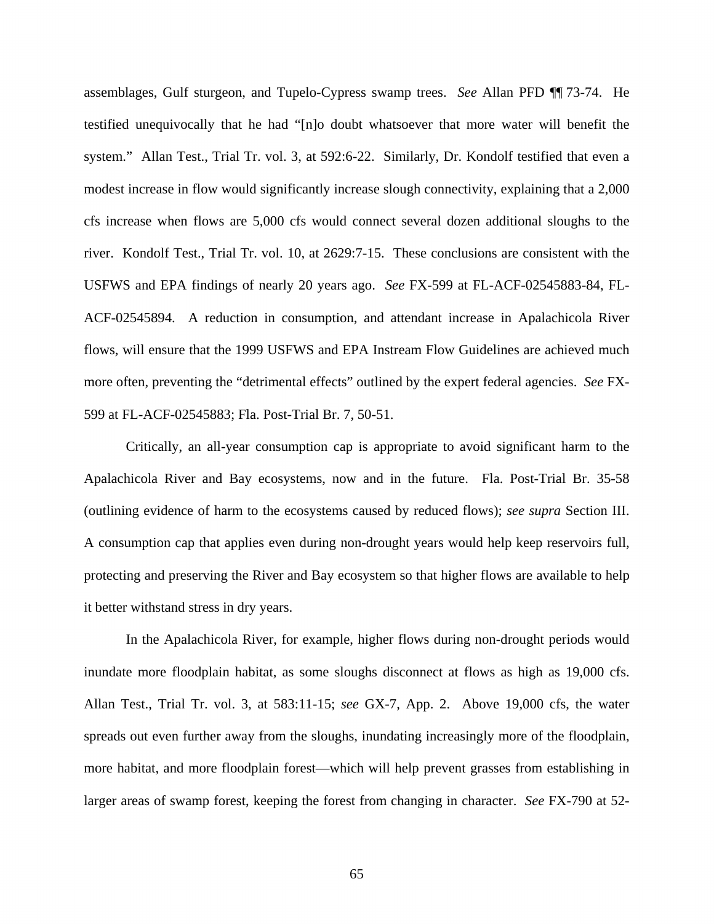assemblages, Gulf sturgeon, and Tupelo-Cypress swamp trees. *See* Allan PFD ¶¶ 73-74. He testified unequivocally that he had "[n]o doubt whatsoever that more water will benefit the system." Allan Test., Trial Tr. vol. 3, at 592:6-22. Similarly, Dr. Kondolf testified that even a modest increase in flow would significantly increase slough connectivity, explaining that a 2,000 cfs increase when flows are 5,000 cfs would connect several dozen additional sloughs to the river. Kondolf Test., Trial Tr. vol. 10, at 2629:7-15. These conclusions are consistent with the USFWS and EPA findings of nearly 20 years ago. *See* FX-599 at FL-ACF-02545883-84, FL-ACF-02545894. A reduction in consumption, and attendant increase in Apalachicola River flows, will ensure that the 1999 USFWS and EPA Instream Flow Guidelines are achieved much more often, preventing the "detrimental effects" outlined by the expert federal agencies. *See* FX-599 at FL-ACF-02545883; Fla. Post-Trial Br. 7, 50-51.

Critically, an all-year consumption cap is appropriate to avoid significant harm to the Apalachicola River and Bay ecosystems, now and in the future. Fla. Post-Trial Br. 35-58 (outlining evidence of harm to the ecosystems caused by reduced flows); *see supra* Section III. A consumption cap that applies even during non-drought years would help keep reservoirs full, protecting and preserving the River and Bay ecosystem so that higher flows are available to help it better withstand stress in dry years.

In the Apalachicola River, for example, higher flows during non-drought periods would inundate more floodplain habitat, as some sloughs disconnect at flows as high as 19,000 cfs. Allan Test., Trial Tr. vol. 3, at 583:11-15; *see* GX-7, App. 2. Above 19,000 cfs, the water spreads out even further away from the sloughs, inundating increasingly more of the floodplain, more habitat, and more floodplain forest—which will help prevent grasses from establishing in larger areas of swamp forest, keeping the forest from changing in character. *See* FX-790 at 52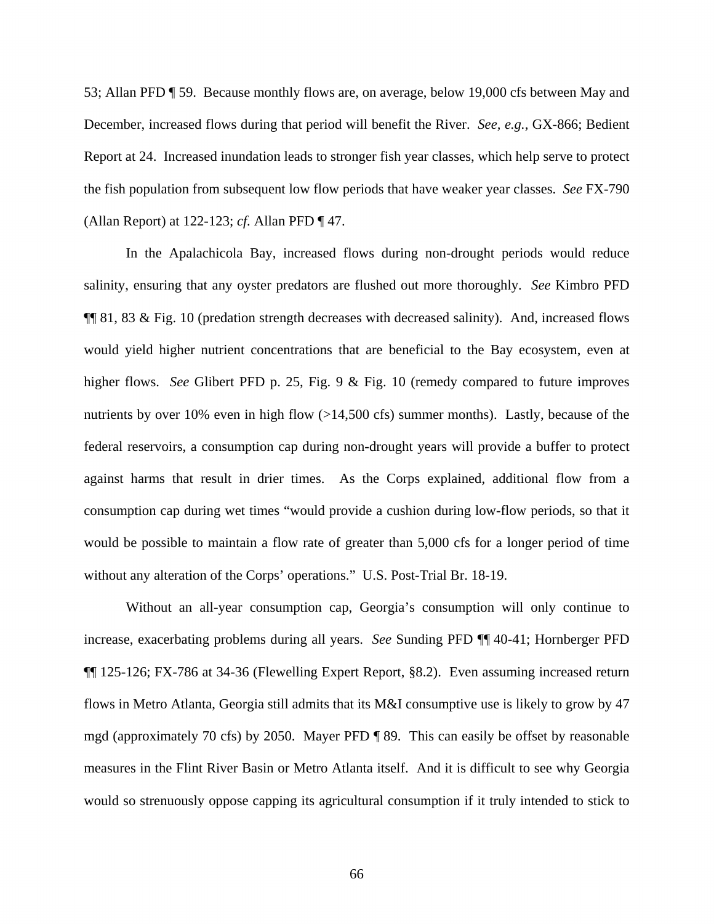53; Allan PFD ¶ 59. Because monthly flows are, on average, below 19,000 cfs between May and December, increased flows during that period will benefit the River. *See, e.g.,* GX-866; Bedient Report at 24. Increased inundation leads to stronger fish year classes, which help serve to protect the fish population from subsequent low flow periods that have weaker year classes. *See* FX-790 (Allan Report) at 122-123; *cf.* Allan PFD ¶ 47.

In the Apalachicola Bay, increased flows during non-drought periods would reduce salinity, ensuring that any oyster predators are flushed out more thoroughly. *See* Kimbro PFD  $\P\P$  81, 83 & Fig. 10 (predation strength decreases with decreased salinity). And, increased flows would yield higher nutrient concentrations that are beneficial to the Bay ecosystem, even at higher flows. *See* Glibert PFD p. 25, Fig. 9 & Fig. 10 (remedy compared to future improves nutrients by over 10% even in high flow  $(>14,500 \text{ cfs})$  summer months). Lastly, because of the federal reservoirs, a consumption cap during non-drought years will provide a buffer to protect against harms that result in drier times. As the Corps explained, additional flow from a consumption cap during wet times "would provide a cushion during low-flow periods, so that it would be possible to maintain a flow rate of greater than 5,000 cfs for a longer period of time without any alteration of the Corps' operations." U.S. Post-Trial Br. 18-19.

Without an all-year consumption cap, Georgia's consumption will only continue to increase, exacerbating problems during all years. *See* Sunding PFD ¶¶ 40-41; Hornberger PFD ¶¶ 125-126; FX-786 at 34-36 (Flewelling Expert Report, §8.2). Even assuming increased return flows in Metro Atlanta, Georgia still admits that its M&I consumptive use is likely to grow by 47 mgd (approximately 70 cfs) by 2050. Mayer PFD ¶ 89. This can easily be offset by reasonable measures in the Flint River Basin or Metro Atlanta itself. And it is difficult to see why Georgia would so strenuously oppose capping its agricultural consumption if it truly intended to stick to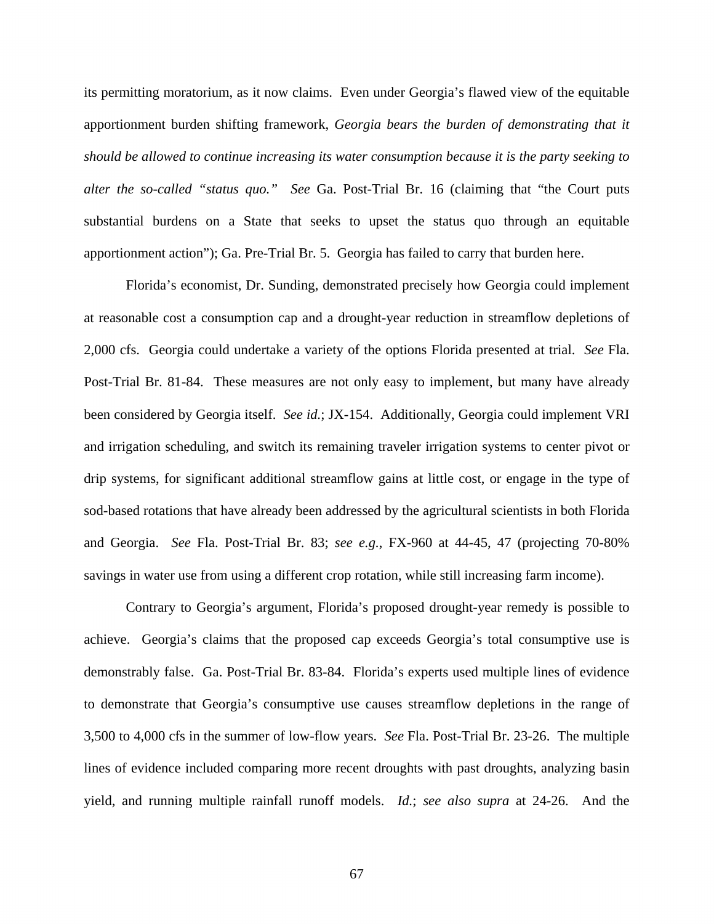its permitting moratorium, as it now claims. Even under Georgia's flawed view of the equitable apportionment burden shifting framework, *Georgia bears the burden of demonstrating that it should be allowed to continue increasing its water consumption because it is the party seeking to alter the so-called "status quo." See* Ga. Post-Trial Br. 16 (claiming that "the Court puts substantial burdens on a State that seeks to upset the status quo through an equitable apportionment action"); Ga. Pre-Trial Br. 5. Georgia has failed to carry that burden here.

Florida's economist, Dr. Sunding, demonstrated precisely how Georgia could implement at reasonable cost a consumption cap and a drought-year reduction in streamflow depletions of 2,000 cfs. Georgia could undertake a variety of the options Florida presented at trial. *See* Fla. Post-Trial Br. 81-84. These measures are not only easy to implement, but many have already been considered by Georgia itself. *See id.*; JX-154. Additionally, Georgia could implement VRI and irrigation scheduling, and switch its remaining traveler irrigation systems to center pivot or drip systems, for significant additional streamflow gains at little cost, or engage in the type of sod-based rotations that have already been addressed by the agricultural scientists in both Florida and Georgia. *See* Fla. Post-Trial Br. 83; *see e.g.*, FX-960 at 44-45, 47 (projecting 70-80% savings in water use from using a different crop rotation, while still increasing farm income).

Contrary to Georgia's argument, Florida's proposed drought-year remedy is possible to achieve. Georgia's claims that the proposed cap exceeds Georgia's total consumptive use is demonstrably false. Ga. Post-Trial Br. 83-84. Florida's experts used multiple lines of evidence to demonstrate that Georgia's consumptive use causes streamflow depletions in the range of 3,500 to 4,000 cfs in the summer of low-flow years. *See* Fla. Post-Trial Br. 23-26. The multiple lines of evidence included comparing more recent droughts with past droughts, analyzing basin yield, and running multiple rainfall runoff models. *Id.*; *see also supra* at 24-26. And the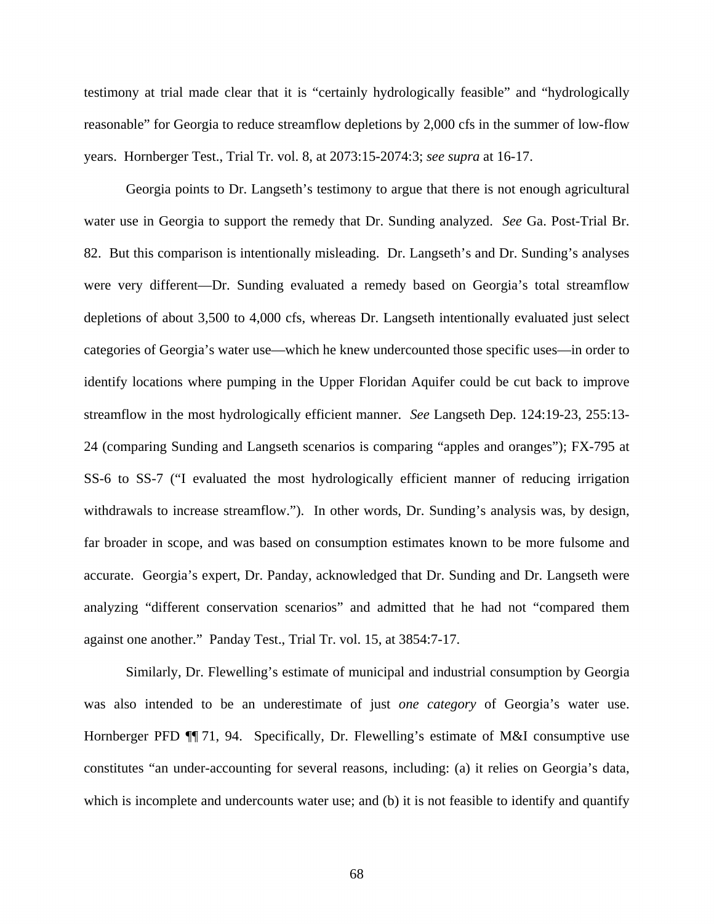testimony at trial made clear that it is "certainly hydrologically feasible" and "hydrologically reasonable" for Georgia to reduce streamflow depletions by 2,000 cfs in the summer of low-flow years. Hornberger Test., Trial Tr. vol. 8, at 2073:15-2074:3; *see supra* at 16-17.

Georgia points to Dr. Langseth's testimony to argue that there is not enough agricultural water use in Georgia to support the remedy that Dr. Sunding analyzed. *See* Ga. Post-Trial Br. 82. But this comparison is intentionally misleading. Dr. Langseth's and Dr. Sunding's analyses were very different—Dr. Sunding evaluated a remedy based on Georgia's total streamflow depletions of about 3,500 to 4,000 cfs, whereas Dr. Langseth intentionally evaluated just select categories of Georgia's water use—which he knew undercounted those specific uses—in order to identify locations where pumping in the Upper Floridan Aquifer could be cut back to improve streamflow in the most hydrologically efficient manner. *See* Langseth Dep. 124:19-23, 255:13- 24 (comparing Sunding and Langseth scenarios is comparing "apples and oranges"); FX-795 at SS-6 to SS-7 ("I evaluated the most hydrologically efficient manner of reducing irrigation withdrawals to increase streamflow."). In other words, Dr. Sunding's analysis was, by design, far broader in scope, and was based on consumption estimates known to be more fulsome and accurate. Georgia's expert, Dr. Panday, acknowledged that Dr. Sunding and Dr. Langseth were analyzing "different conservation scenarios" and admitted that he had not "compared them against one another." Panday Test., Trial Tr. vol. 15, at 3854:7-17.

Similarly, Dr. Flewelling's estimate of municipal and industrial consumption by Georgia was also intended to be an underestimate of just *one category* of Georgia's water use. Hornberger PFD  $\P$  71, 94. Specifically, Dr. Flewelling's estimate of M&I consumptive use constitutes "an under-accounting for several reasons, including: (a) it relies on Georgia's data, which is incomplete and undercounts water use; and (b) it is not feasible to identify and quantify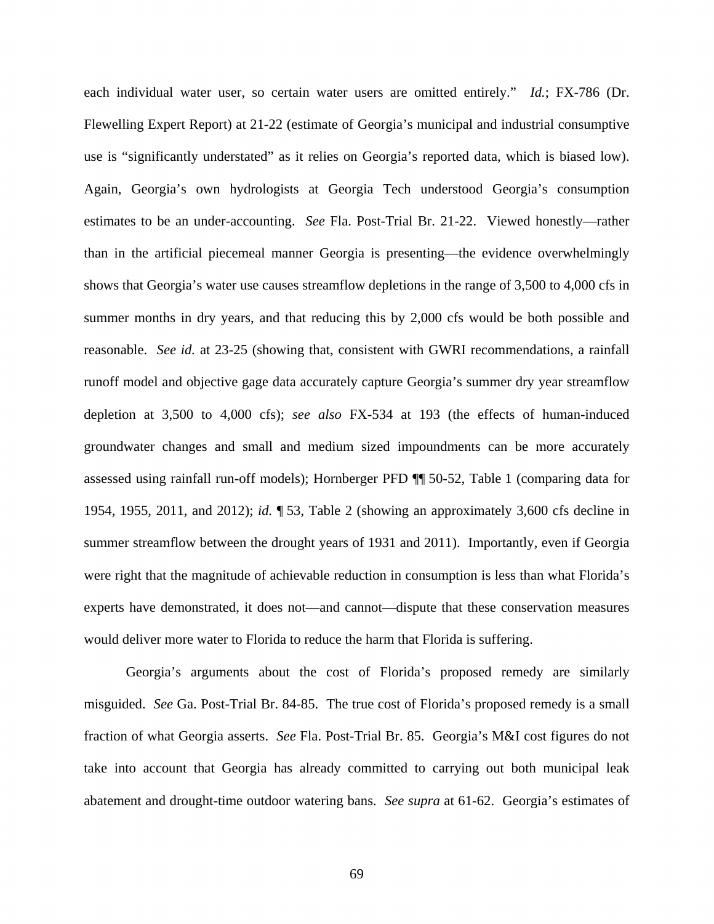each individual water user, so certain water users are omitted entirely." *Id.*; FX-786 (Dr. Flewelling Expert Report) at 21-22 (estimate of Georgia's municipal and industrial consumptive use is "significantly understated" as it relies on Georgia's reported data, which is biased low). Again, Georgia's own hydrologists at Georgia Tech understood Georgia's consumption estimates to be an under-accounting. *See* Fla. Post-Trial Br. 21-22. Viewed honestly—rather than in the artificial piecemeal manner Georgia is presenting—the evidence overwhelmingly shows that Georgia's water use causes streamflow depletions in the range of 3,500 to 4,000 cfs in summer months in dry years, and that reducing this by 2,000 cfs would be both possible and reasonable. *See id.* at 23-25 (showing that, consistent with GWRI recommendations, a rainfall runoff model and objective gage data accurately capture Georgia's summer dry year streamflow depletion at 3,500 to 4,000 cfs); *see also* FX-534 at 193 (the effects of human-induced groundwater changes and small and medium sized impoundments can be more accurately assessed using rainfall run-off models); Hornberger PFD ¶¶ 50-52, Table 1 (comparing data for 1954, 1955, 2011, and 2012); *id.* ¶ 53, Table 2 (showing an approximately 3,600 cfs decline in summer streamflow between the drought years of 1931 and 2011). Importantly, even if Georgia were right that the magnitude of achievable reduction in consumption is less than what Florida's experts have demonstrated, it does not—and cannot—dispute that these conservation measures would deliver more water to Florida to reduce the harm that Florida is suffering.

Georgia's arguments about the cost of Florida's proposed remedy are similarly misguided. *See* Ga. Post-Trial Br. 84-85. The true cost of Florida's proposed remedy is a small fraction of what Georgia asserts. *See* Fla. Post-Trial Br. 85. Georgia's M&I cost figures do not take into account that Georgia has already committed to carrying out both municipal leak abatement and drought-time outdoor watering bans. *See supra* at 61-62. Georgia's estimates of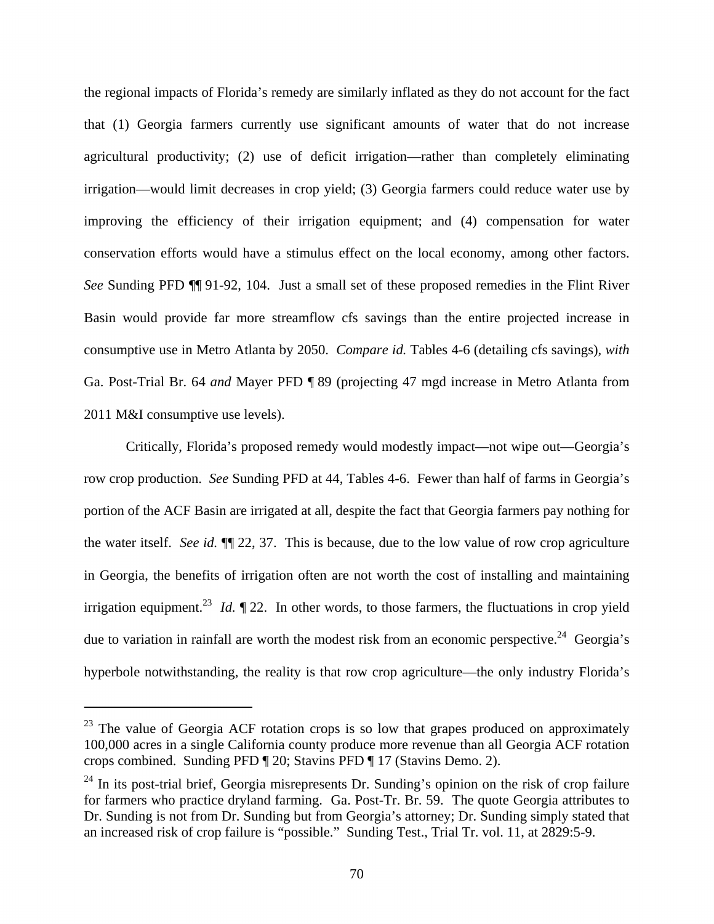the regional impacts of Florida's remedy are similarly inflated as they do not account for the fact that (1) Georgia farmers currently use significant amounts of water that do not increase agricultural productivity; (2) use of deficit irrigation—rather than completely eliminating irrigation—would limit decreases in crop yield; (3) Georgia farmers could reduce water use by improving the efficiency of their irrigation equipment; and (4) compensation for water conservation efforts would have a stimulus effect on the local economy, among other factors. *See* Sunding PFD ¶¶ 91-92, 104. Just a small set of these proposed remedies in the Flint River Basin would provide far more streamflow cfs savings than the entire projected increase in consumptive use in Metro Atlanta by 2050. *Compare id.* Tables 4-6 (detailing cfs savings), *with* Ga. Post-Trial Br. 64 *and* Mayer PFD ¶ 89 (projecting 47 mgd increase in Metro Atlanta from 2011 M&I consumptive use levels).

Critically, Florida's proposed remedy would modestly impact—not wipe out—Georgia's row crop production. *See* Sunding PFD at 44, Tables 4-6. Fewer than half of farms in Georgia's portion of the ACF Basin are irrigated at all, despite the fact that Georgia farmers pay nothing for the water itself. *See id.* ¶¶ 22, 37. This is because, due to the low value of row crop agriculture in Georgia, the benefits of irrigation often are not worth the cost of installing and maintaining irrigation equipment.<sup>23</sup> *Id.*  $\P$  22. In other words, to those farmers, the fluctuations in crop yield due to variation in rainfall are worth the modest risk from an economic perspective.<sup>24</sup> Georgia's hyperbole notwithstanding, the reality is that row crop agriculture—the only industry Florida's

 $\overline{a}$ 

 $^{23}$  The value of Georgia ACF rotation crops is so low that grapes produced on approximately 100,000 acres in a single California county produce more revenue than all Georgia ACF rotation crops combined. Sunding PFD ¶ 20; Stavins PFD ¶ 17 (Stavins Demo. 2).

 $^{24}$  In its post-trial brief, Georgia misrepresents Dr. Sunding's opinion on the risk of crop failure for farmers who practice dryland farming. Ga. Post-Tr. Br. 59. The quote Georgia attributes to Dr. Sunding is not from Dr. Sunding but from Georgia's attorney; Dr. Sunding simply stated that an increased risk of crop failure is "possible." Sunding Test., Trial Tr. vol. 11, at 2829:5-9.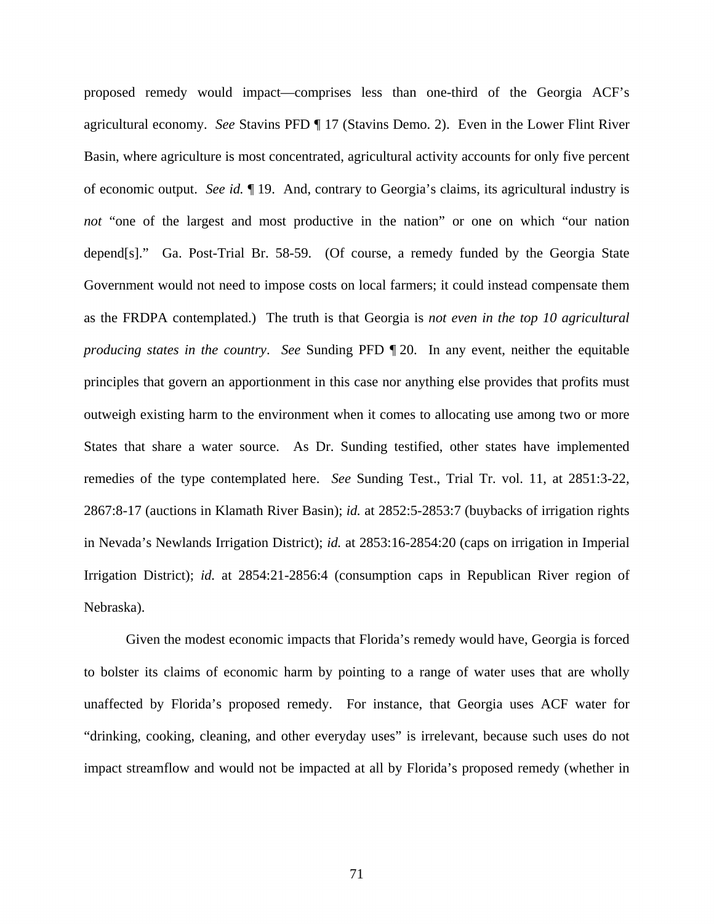proposed remedy would impact—comprises less than one-third of the Georgia ACF's agricultural economy. *See* Stavins PFD ¶ 17 (Stavins Demo. 2). Even in the Lower Flint River Basin, where agriculture is most concentrated, agricultural activity accounts for only five percent of economic output. *See id.* ¶ 19. And, contrary to Georgia's claims, its agricultural industry is *not* "one of the largest and most productive in the nation" or one on which "our nation" depend[s]." Ga. Post-Trial Br. 58-59. (Of course, a remedy funded by the Georgia State Government would not need to impose costs on local farmers; it could instead compensate them as the FRDPA contemplated.) The truth is that Georgia is *not even in the top 10 agricultural producing states in the country*. *See* Sunding PFD ¶ 20. In any event, neither the equitable principles that govern an apportionment in this case nor anything else provides that profits must outweigh existing harm to the environment when it comes to allocating use among two or more States that share a water source. As Dr. Sunding testified, other states have implemented remedies of the type contemplated here. *See* Sunding Test., Trial Tr. vol. 11, at 2851:3-22, 2867:8-17 (auctions in Klamath River Basin); *id.* at 2852:5-2853:7 (buybacks of irrigation rights in Nevada's Newlands Irrigation District); *id.* at 2853:16-2854:20 (caps on irrigation in Imperial Irrigation District); *id.* at 2854:21-2856:4 (consumption caps in Republican River region of Nebraska).

Given the modest economic impacts that Florida's remedy would have, Georgia is forced to bolster its claims of economic harm by pointing to a range of water uses that are wholly unaffected by Florida's proposed remedy. For instance, that Georgia uses ACF water for "drinking, cooking, cleaning, and other everyday uses" is irrelevant, because such uses do not impact streamflow and would not be impacted at all by Florida's proposed remedy (whether in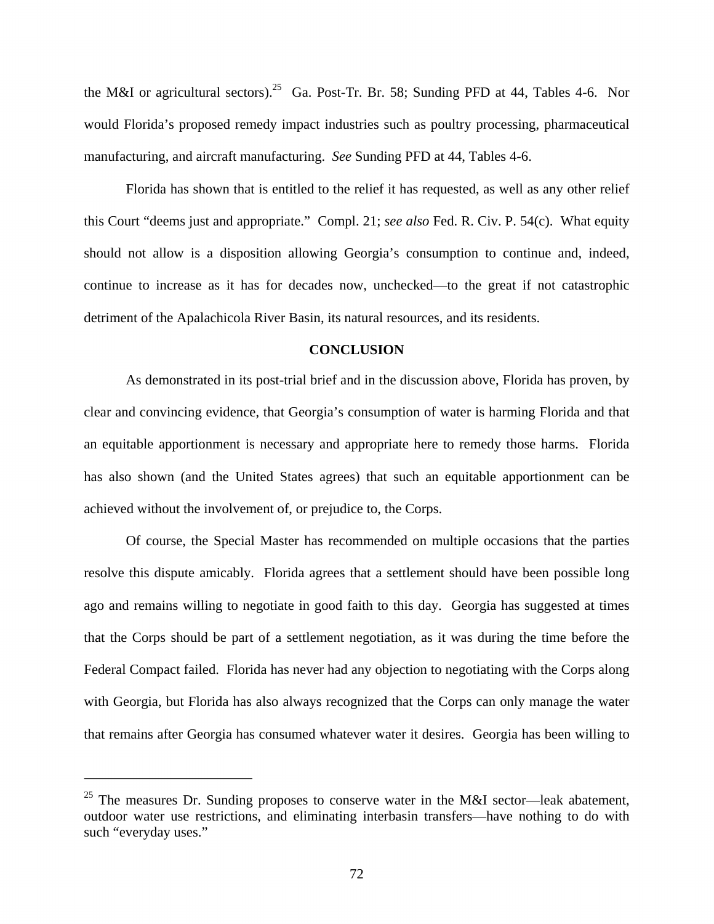the M&I or agricultural sectors).<sup>25</sup> Ga. Post-Tr. Br. 58; Sunding PFD at 44, Tables 4-6. Nor would Florida's proposed remedy impact industries such as poultry processing, pharmaceutical manufacturing, and aircraft manufacturing. *See* Sunding PFD at 44, Tables 4-6.

Florida has shown that is entitled to the relief it has requested, as well as any other relief this Court "deems just and appropriate." Compl. 21; *see also* Fed. R. Civ. P. 54(c). What equity should not allow is a disposition allowing Georgia's consumption to continue and, indeed, continue to increase as it has for decades now, unchecked—to the great if not catastrophic detriment of the Apalachicola River Basin, its natural resources, and its residents.

## **CONCLUSION**

As demonstrated in its post-trial brief and in the discussion above, Florida has proven, by clear and convincing evidence, that Georgia's consumption of water is harming Florida and that an equitable apportionment is necessary and appropriate here to remedy those harms. Florida has also shown (and the United States agrees) that such an equitable apportionment can be achieved without the involvement of, or prejudice to, the Corps.

Of course, the Special Master has recommended on multiple occasions that the parties resolve this dispute amicably. Florida agrees that a settlement should have been possible long ago and remains willing to negotiate in good faith to this day. Georgia has suggested at times that the Corps should be part of a settlement negotiation, as it was during the time before the Federal Compact failed. Florida has never had any objection to negotiating with the Corps along with Georgia, but Florida has also always recognized that the Corps can only manage the water that remains after Georgia has consumed whatever water it desires. Georgia has been willing to

 $\overline{a}$ 

<sup>&</sup>lt;sup>25</sup> The measures Dr. Sunding proposes to conserve water in the M&I sector—leak abatement, outdoor water use restrictions, and eliminating interbasin transfers—have nothing to do with such "everyday uses."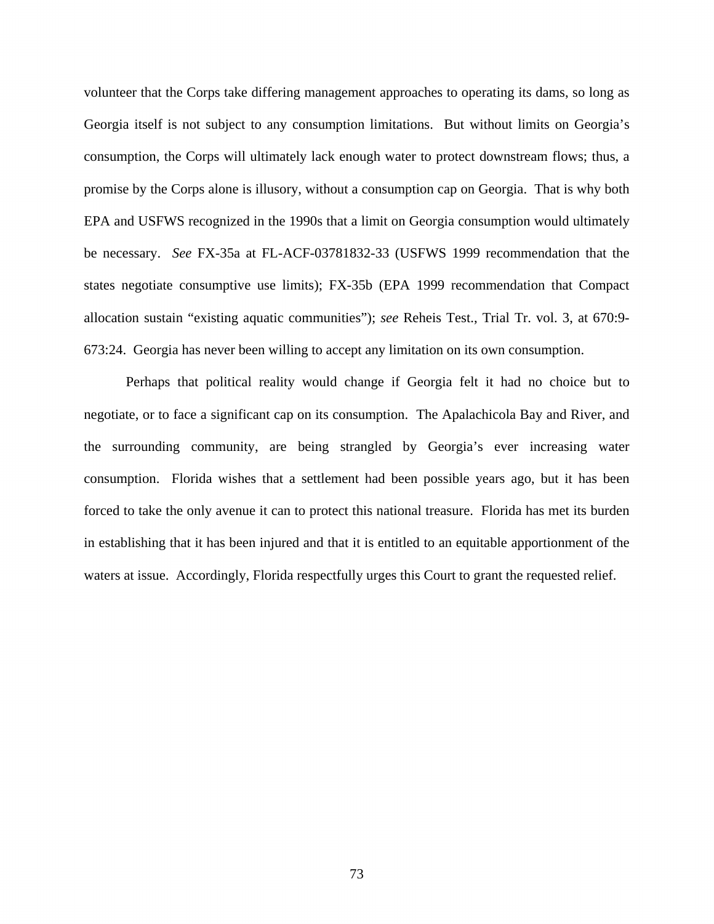volunteer that the Corps take differing management approaches to operating its dams, so long as Georgia itself is not subject to any consumption limitations. But without limits on Georgia's consumption, the Corps will ultimately lack enough water to protect downstream flows; thus, a promise by the Corps alone is illusory, without a consumption cap on Georgia. That is why both EPA and USFWS recognized in the 1990s that a limit on Georgia consumption would ultimately be necessary. *See* FX-35a at FL-ACF-03781832-33 (USFWS 1999 recommendation that the states negotiate consumptive use limits); FX-35b (EPA 1999 recommendation that Compact allocation sustain "existing aquatic communities"); *see* Reheis Test., Trial Tr. vol. 3, at 670:9- 673:24. Georgia has never been willing to accept any limitation on its own consumption.

Perhaps that political reality would change if Georgia felt it had no choice but to negotiate, or to face a significant cap on its consumption. The Apalachicola Bay and River, and the surrounding community, are being strangled by Georgia's ever increasing water consumption. Florida wishes that a settlement had been possible years ago, but it has been forced to take the only avenue it can to protect this national treasure. Florida has met its burden in establishing that it has been injured and that it is entitled to an equitable apportionment of the waters at issue. Accordingly, Florida respectfully urges this Court to grant the requested relief.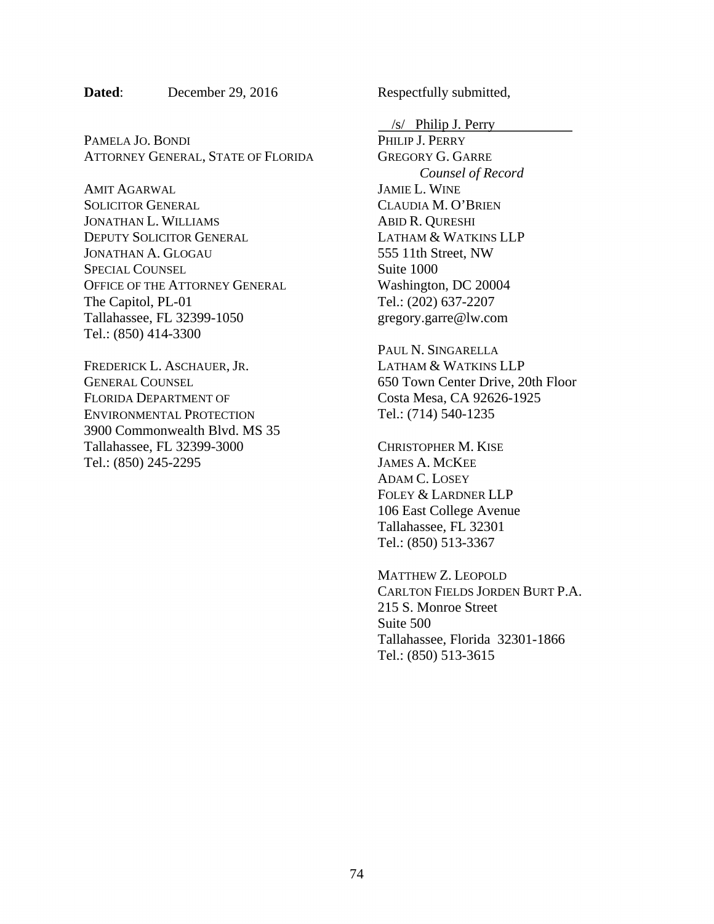PAMELA JO. BONDI ATTORNEY GENERAL, STATE OF FLORIDA

AMIT AGARWAL SOLICITOR GENERAL JONATHAN L. WILLIAMS DEPUTY SOLICITOR GENERAL JONATHAN A. GLOGAU SPECIAL COUNSEL OFFICE OF THE ATTORNEY GENERAL The Capitol, PL-01 Tallahassee, FL 32399-1050 Tel.: (850) 414-3300

FREDERICK L. ASCHAUER, JR. GENERAL COUNSEL FLORIDA DEPARTMENT OF ENVIRONMENTAL PROTECTION 3900 Commonwealth Blvd. MS 35 Tallahassee, FL 32399-3000 Tel.: (850) 245-2295

 $/s/$  Philip J. Perry

PHILIP J. PERRY GREGORY G. GARRE *Counsel of Record* JAMIE L. WINE CLAUDIA M. O'BRIEN ABID R. QURESHI LATHAM & WATKINS LLP 555 11th Street, NW Suite 1000 Washington, DC 20004 Tel.: (202) 637-2207 gregory.garre@lw.com

PAUL N. SINGARELLA LATHAM & WATKINS LLP 650 Town Center Drive, 20th Floor Costa Mesa, CA 92626-1925 Tel.: (714) 540-1235

CHRISTOPHER M. KISE JAMES A. MCKEE ADAM C. LOSEY FOLEY & LARDNER LLP 106 East College Avenue Tallahassee, FL 32301 Tel.: (850) 513-3367

MATTHEW Z. LEOPOLD CARLTON FIELDS JORDEN BURT P.A. 215 S. Monroe Street Suite 500 Tallahassee, Florida 32301-1866 Tel.: (850) 513-3615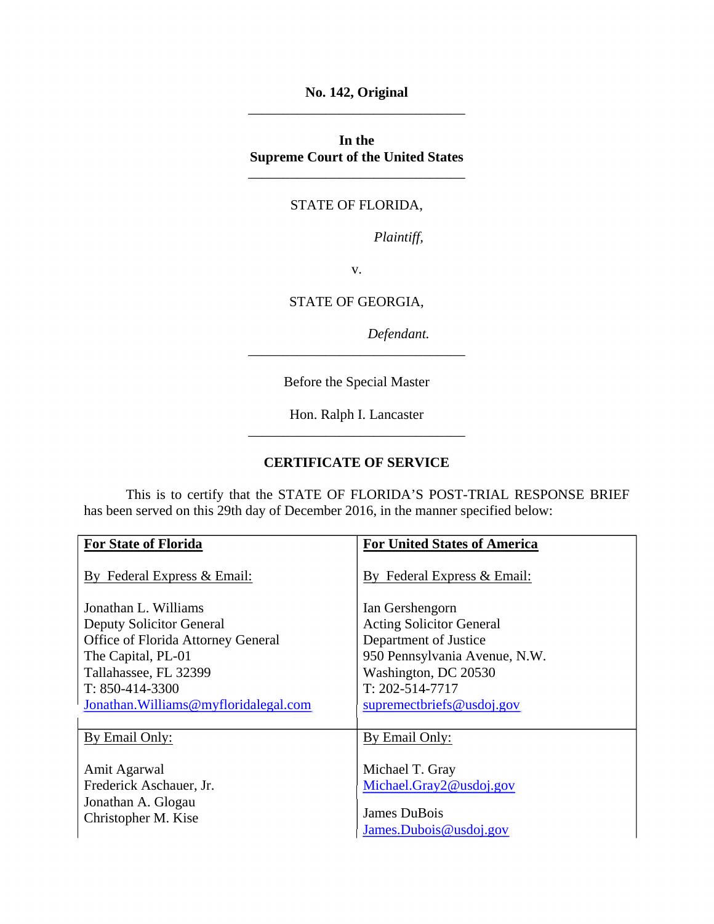**No. 142, Original**  \_\_\_\_\_\_\_\_\_\_\_\_\_\_\_\_\_\_\_\_\_\_\_\_\_\_\_\_\_\_\_

**In the Supreme Court of the United States** 

## STATE OF FLORIDA,

\_\_\_\_\_\_\_\_\_\_\_\_\_\_\_\_\_\_\_\_\_\_\_\_\_\_\_\_\_\_\_

*Plaintiff,* 

v.

STATE OF GEORGIA,

*Defendant.* 

Before the Special Master

\_\_\_\_\_\_\_\_\_\_\_\_\_\_\_\_\_\_\_\_\_\_\_\_\_\_\_\_\_\_\_

Hon. Ralph I. Lancaster \_\_\_\_\_\_\_\_\_\_\_\_\_\_\_\_\_\_\_\_\_\_\_\_\_\_\_\_\_\_\_

## **CERTIFICATE OF SERVICE**

 This is to certify that the STATE OF FLORIDA'S POST-TRIAL RESPONSE BRIEF has been served on this 29th day of December 2016, in the manner specified below:

| <b>For State of Florida</b>                                   | <b>For United States of America</b>        |
|---------------------------------------------------------------|--------------------------------------------|
| By Federal Express & Email:                                   | By Federal Express & Email:                |
| Jonathan L. Williams                                          | Ian Gershengorn                            |
| Deputy Solicitor General                                      | <b>Acting Solicitor General</b>            |
| Office of Florida Attorney General                            | Department of Justice                      |
| The Capital, PL-01                                            | 950 Pennsylvania Avenue, N.W.              |
| Tallahassee, FL 32399                                         | Washington, DC 20530                       |
| $T: 850-414-3300$                                             | $T: 202 - 514 - 7717$                      |
| Jonathan. Williams@myfloridalegal.com                         | supremectoriefs@usdoj.gov                  |
|                                                               |                                            |
| By Email Only:                                                | By Email Only:                             |
| Amit Agarwal<br>Frederick Aschauer, Jr.<br>Jonathan A. Glogau | Michael T. Gray<br>Michael.Gray2@usdoj.gov |
| Christopher M. Kise                                           | James DuBois                               |
|                                                               | James.Dubois@usdoj.gov                     |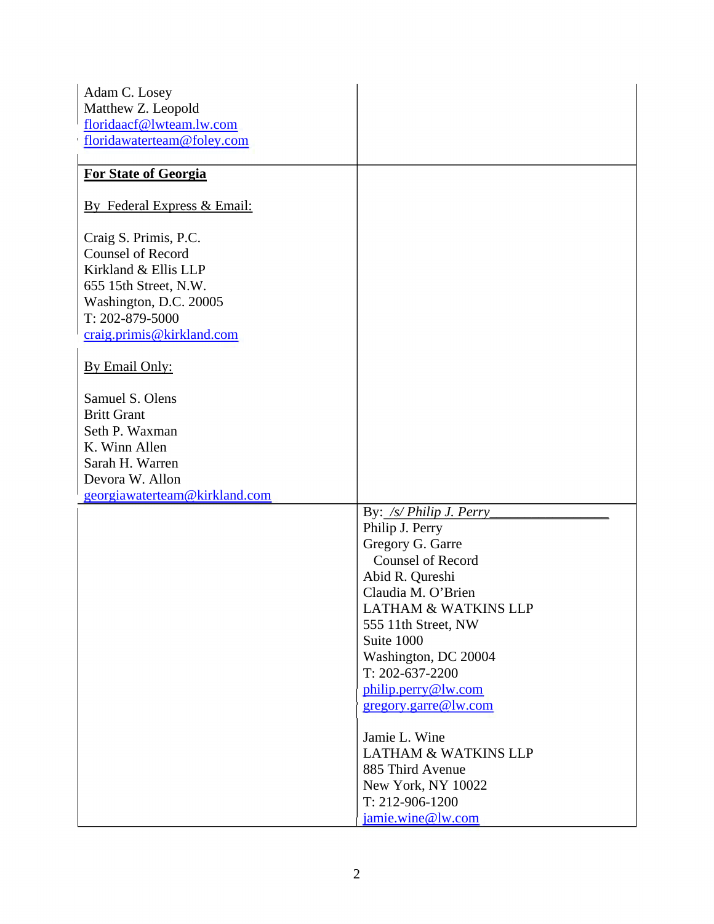| Adam C. Losey                 |                                       |
|-------------------------------|---------------------------------------|
| Matthew Z. Leopold            |                                       |
| floridaacf@lwteam.lw.com      |                                       |
| floridawaterteam@foley.com    |                                       |
|                               |                                       |
| <b>For State of Georgia</b>   |                                       |
| By Federal Express & Email:   |                                       |
| Craig S. Primis, P.C.         |                                       |
| <b>Counsel of Record</b>      |                                       |
| Kirkland & Ellis LLP          |                                       |
| 655 15th Street, N.W.         |                                       |
| Washington, D.C. 20005        |                                       |
| T: 202-879-5000               |                                       |
| craig.primis@kirkland.com     |                                       |
|                               |                                       |
| By Email Only:                |                                       |
|                               |                                       |
| Samuel S. Olens               |                                       |
| <b>Britt Grant</b>            |                                       |
| Seth P. Waxman                |                                       |
| K. Winn Allen                 |                                       |
| Sarah H. Warren               |                                       |
| Devora W. Allon               |                                       |
| georgiawaterteam@kirkland.com |                                       |
|                               | By: /s/ Philip J. Perry               |
|                               | Philip J. Perry                       |
|                               | Gregory G. Garre                      |
|                               | <b>Counsel of Record</b>              |
|                               | Abid R. Qureshi                       |
|                               | Claudia M. O'Brien                    |
|                               | <b>LATHAM &amp; WATKINS LLP</b>       |
|                               | 555 11th Street, NW                   |
|                               | Suite 1000                            |
|                               | Washington, DC 20004                  |
|                               | T: 202-637-2200                       |
|                               | philip.perry@lw.com                   |
|                               | gregory.garre@lw.com                  |
|                               | Jamie L. Wine                         |
|                               | <b>LATHAM &amp; WATKINS LLP</b>       |
|                               |                                       |
|                               | 885 Third Avenue                      |
|                               | New York, NY 10022<br>T: 212-906-1200 |
|                               |                                       |
|                               | jamie.wine@lw.com                     |